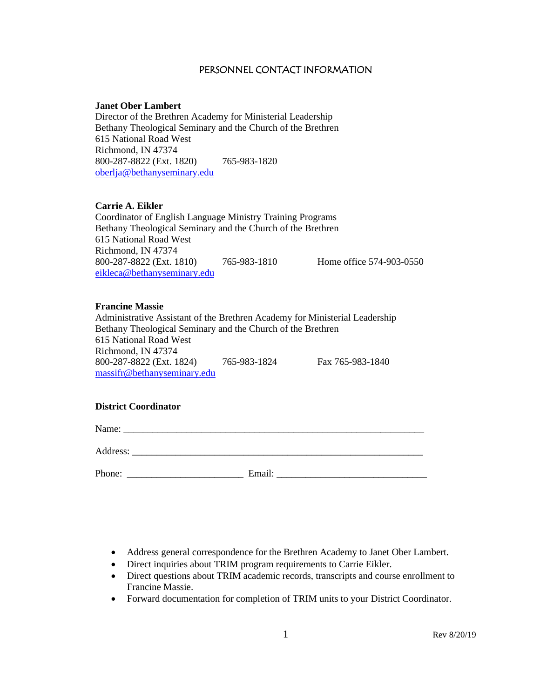## PERSONNEL CONTACT INFORMATION

### **Janet Ober Lambert**

Director of the Brethren Academy for Ministerial Leadership Bethany Theological Seminary and the Church of the Brethren 615 National Road West Richmond, IN 47374 800-287-8822 (Ext. 1820) 765-983-1820 [oberlja@bethanyseminary.edu](mailto:oberlja@bethanyseminary.edu)

## **Carrie A. Eikler**

Coordinator of English Language Ministry Training Programs Bethany Theological Seminary and the Church of the Brethren 615 National Road West Richmond, IN 47374 800-287-8822 (Ext. 1810) 765-983-1810 Home office 574-903-0550 [eikleca@bethanyseminary.edu](mailto:eikleca@bethanyseminary.edu)

## **Francine Massie**

Administrative Assistant of the Brethren Academy for Ministerial Leadership Bethany Theological Seminary and the Church of the Brethren 615 National Road West Richmond, IN 47374 800-287-8822 (Ext. 1824) 765-983-1824 Fax 765-983-1840 massifr@bethanyseminary.edu

## **District Coordinator**

Name: \_\_\_\_\_\_\_\_\_\_\_\_\_\_\_\_\_\_\_\_\_\_\_\_\_\_\_\_\_\_\_\_\_\_\_\_\_\_\_\_\_\_\_\_\_\_\_\_\_\_\_\_\_\_\_\_\_\_\_\_\_\_

Address:

Phone: \_\_\_\_\_\_\_\_\_\_\_\_\_\_\_\_\_\_\_\_\_\_\_\_ Email: \_\_\_\_\_\_\_\_\_\_\_\_\_\_\_\_\_\_\_\_\_\_\_\_\_\_\_\_\_\_\_

- Address general correspondence for the Brethren Academy to Janet Ober Lambert.
- Direct inquiries about TRIM program requirements to Carrie Eikler.
- Direct questions about TRIM academic records, transcripts and course enrollment to Francine Massie.
- Forward documentation for completion of TRIM units to your District Coordinator.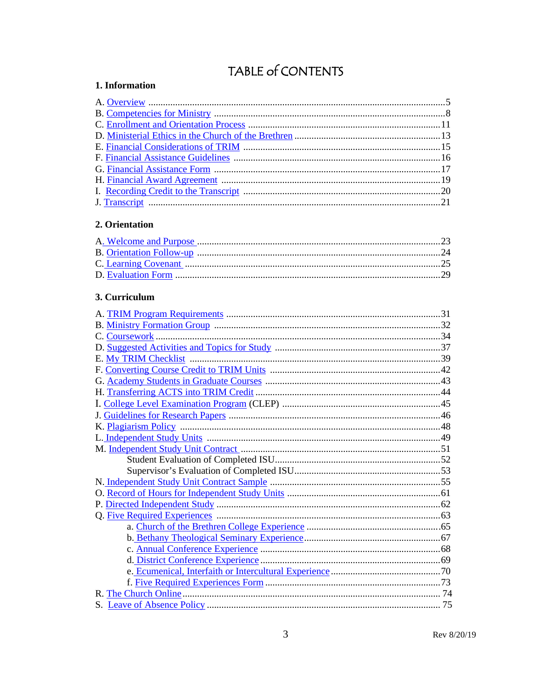# TABLE of CONTENTS

## <span id="page-2-0"></span>1. Information

## <span id="page-2-1"></span>2. Orientation

## <span id="page-2-2"></span>3. Curriculum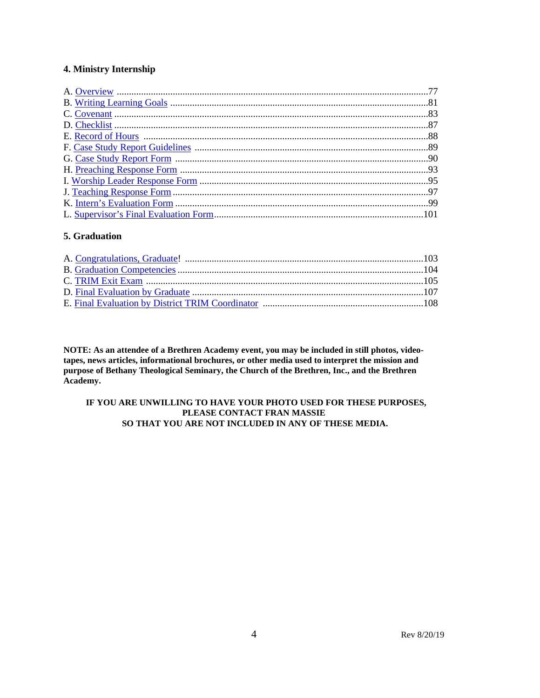## **4. Ministry Internship**

## **5. Graduation**

**NOTE: As an attendee of a Brethren Academy event, you may be included in still photos, videotapes, news articles, informational brochures, or other media used to interpret the mission and purpose of Bethany Theological Seminary, the Church of the Brethren, Inc., and the Brethren Academy.**

### **IF YOU ARE UNWILLING TO HAVE YOUR PHOTO USED FOR THESE PURPOSES, PLEASE CONTACT FRAN MASSIE SO THAT YOU ARE NOT INCLUDED IN ANY OF THESE MEDIA.**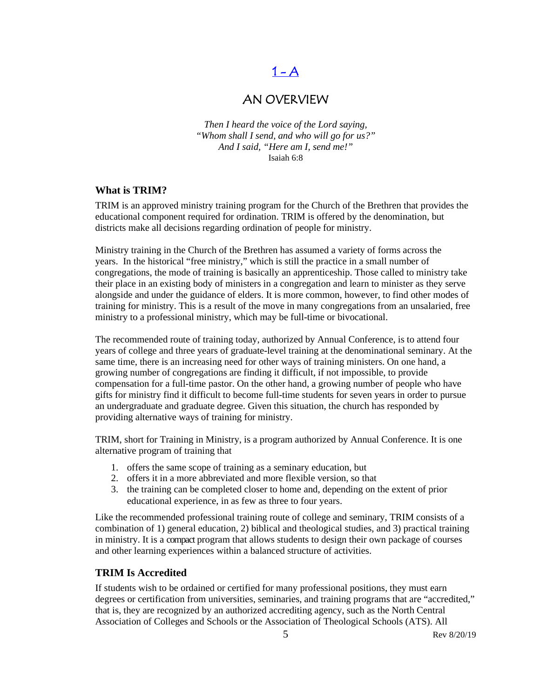# $1 - A$

## AN OVERVIEW

<span id="page-4-0"></span>*Then I heard the voice of the Lord saying, "Whom shall I send, and who will go for us?" And I said, "Here am I, send me!"* Isaiah 6:8

## **What is TRIM?**

TRIM is an approved ministry training program for the Church of the Brethren that provides the educational component required for ordination. TRIM is offered by the denomination, but districts make all decisions regarding ordination of people for ministry.

Ministry training in the Church of the Brethren has assumed a variety of forms across the years. In the historical "free ministry," which is still the practice in a small number of congregations, the mode of training is basically an apprenticeship. Those called to ministry take their place in an existing body of ministers in a congregation and learn to minister as they serve alongside and under the guidance of elders. It is more common, however, to find other modes of training for ministry. This is a result of the move in many congregations from an unsalaried, free ministry to a professional ministry, which may be full-time or bivocational.

The recommended route of training today, authorized by Annual Conference, is to attend four years of college and three years of graduate-level training at the denominational seminary. At the same time, there is an increasing need for other ways of training ministers. On one hand, a growing number of congregations are finding it difficult, if not impossible, to provide compensation for a full-time pastor. On the other hand, a growing number of people who have gifts for ministry find it difficult to become full-time students for seven years in order to pursue an undergraduate and graduate degree. Given this situation, the church has responded by providing alternative ways of training for ministry.

TRIM, short for Training in Ministry, is a program authorized by Annual Conference. It is one alternative program of training that

- 1. offers the same scope of training as a seminary education, but
- 2. offers it in a more abbreviated and more flexible version, so that
- 3. the training can be completed closer to home and, depending on the extent of prior educational experience, in as few as three to four years.

Like the recommended professional training route of college and seminary, TRIM consists of a combination of 1) general education, 2) biblical and theological studies, and 3) practical training in ministry. It is a compact program that allows students to design their own package of courses and other learning experiences within a balanced structure of activities.

## **TRIM Is Accredited**

If students wish to be ordained or certified for many professional positions, they must earn degrees or certification from universities, seminaries, and training programs that are "accredited," that is, they are recognized by an authorized accrediting agency, such as the North Central Association of Colleges and Schools or the Association of Theological Schools (ATS). All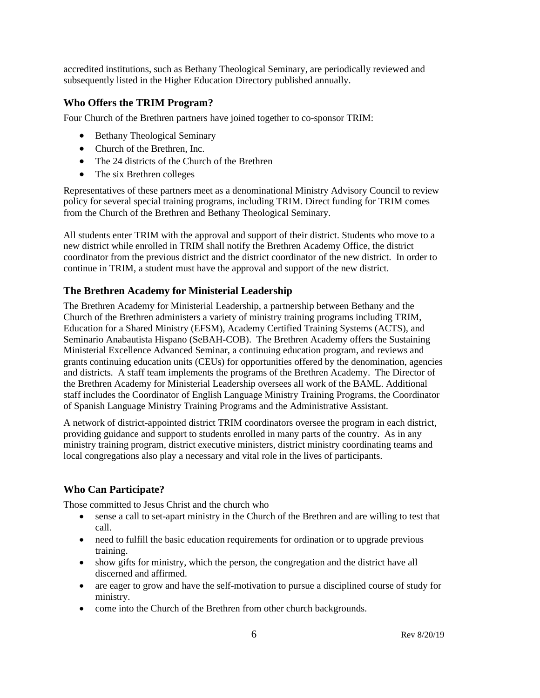accredited institutions, such as Bethany Theological Seminary, are periodically reviewed and subsequently listed in the Higher Education Directory published annually.

## **Who Offers the TRIM Program?**

Four Church of the Brethren partners have joined together to co-sponsor TRIM:

- Bethany Theological Seminary
- Church of the Brethren, Inc.
- The 24 districts of the Church of the Brethren
- The six Brethren colleges

Representatives of these partners meet as a denominational Ministry Advisory Council to review policy for several special training programs, including TRIM. Direct funding for TRIM comes from the Church of the Brethren and Bethany Theological Seminary.

All students enter TRIM with the approval and support of their district. Students who move to a new district while enrolled in TRIM shall notify the Brethren Academy Office, the district coordinator from the previous district and the district coordinator of the new district. In order to continue in TRIM, a student must have the approval and support of the new district.

## **The Brethren Academy for Ministerial Leadership**

The Brethren Academy for Ministerial Leadership, a partnership between Bethany and the Church of the Brethren administers a variety of ministry training programs including TRIM, Education for a Shared Ministry (EFSM), Academy Certified Training Systems (ACTS), and Seminario Anabautista Hispano (SeBAH-COB). The Brethren Academy offers the Sustaining Ministerial Excellence Advanced Seminar, a continuing education program, and reviews and grants continuing education units (CEUs) for opportunities offered by the denomination, agencies and districts. A staff team implements the programs of the Brethren Academy. The Director of the Brethren Academy for Ministerial Leadership oversees all work of the BAML. Additional staff includes the Coordinator of English Language Ministry Training Programs, the Coordinator of Spanish Language Ministry Training Programs and the Administrative Assistant.

A network of district-appointed district TRIM coordinators oversee the program in each district, providing guidance and support to students enrolled in many parts of the country. As in any ministry training program, district executive ministers, district ministry coordinating teams and local congregations also play a necessary and vital role in the lives of participants.

## **Who Can Participate?**

Those committed to Jesus Christ and the church who

- sense a call to set-apart ministry in the Church of the Brethren and are willing to test that call.
- need to fulfill the basic education requirements for ordination or to upgrade previous training.
- show gifts for ministry, which the person, the congregation and the district have all discerned and affirmed.
- are eager to grow and have the self-motivation to pursue a disciplined course of study for ministry.
- come into the Church of the Brethren from other church backgrounds.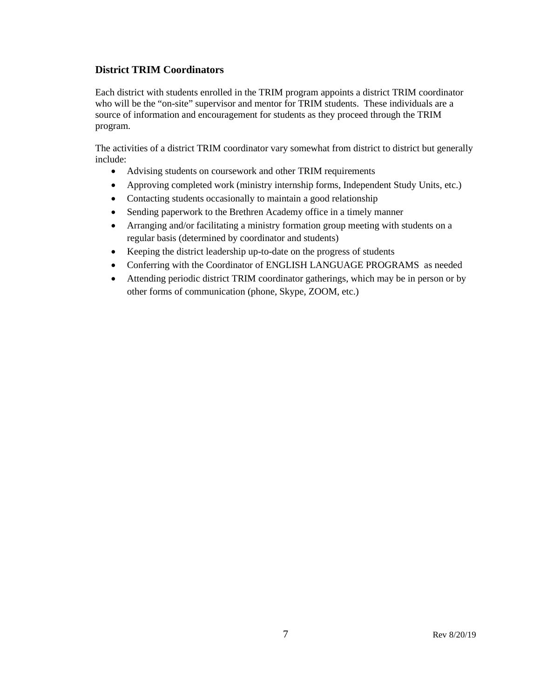## **District TRIM Coordinators**

Each district with students enrolled in the TRIM program appoints a district TRIM coordinator who will be the "on-site" supervisor and mentor for TRIM students. These individuals are a source of information and encouragement for students as they proceed through the TRIM program.

The activities of a district TRIM coordinator vary somewhat from district to district but generally include:

- Advising students on coursework and other TRIM requirements
- Approving completed work (ministry internship forms, Independent Study Units, etc.)
- Contacting students occasionally to maintain a good relationship
- Sending paperwork to the Brethren Academy office in a timely manner
- Arranging and/or facilitating a ministry formation group meeting with students on a regular basis (determined by coordinator and students)
- Keeping the district leadership up-to-date on the progress of students
- Conferring with the Coordinator of ENGLISH LANGUAGE PROGRAMS as needed
- Attending periodic district TRIM coordinator gatherings, which may be in person or by other forms of communication (phone, Skype, ZOOM, etc.)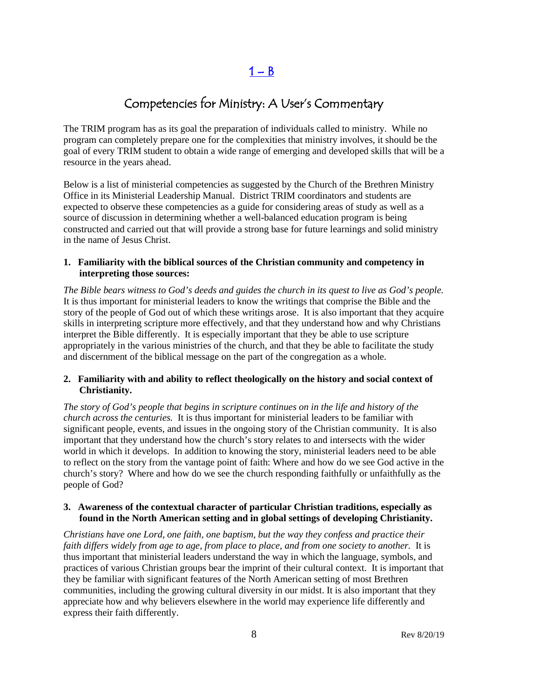$1 - B$ 

# Competencies for Ministry: A User's Commentary

<span id="page-7-0"></span>The TRIM program has as its goal the preparation of individuals called to ministry. While no program can completely prepare one for the complexities that ministry involves, it should be the goal of every TRIM student to obtain a wide range of emerging and developed skills that will be a resource in the years ahead.

Below is a list of ministerial competencies as suggested by the Church of the Brethren Ministry Office in its Ministerial Leadership Manual. District TRIM coordinators and students are expected to observe these competencies as a guide for considering areas of study as well as a source of discussion in determining whether a well-balanced education program is being constructed and carried out that will provide a strong base for future learnings and solid ministry in the name of Jesus Christ.

### **1. Familiarity with the biblical sources of the Christian community and competency in interpreting those sources:**

*The Bible bears witness to God's deeds and guides the church in its quest to live as God's people.* It is thus important for ministerial leaders to know the writings that comprise the Bible and the story of the people of God out of which these writings arose. It is also important that they acquire skills in interpreting scripture more effectively, and that they understand how and why Christians interpret the Bible differently. It is especially important that they be able to use scripture appropriately in the various ministries of the church, and that they be able to facilitate the study and discernment of the biblical message on the part of the congregation as a whole.

## **2. Familiarity with and ability to reflect theologically on the history and social context of Christianity.**

*The story of God's people that begins in scripture continues on in the life and history of the church across the centuries.* It is thus important for ministerial leaders to be familiar with significant people, events, and issues in the ongoing story of the Christian community. It is also important that they understand how the church's story relates to and intersects with the wider world in which it develops. In addition to knowing the story, ministerial leaders need to be able to reflect on the story from the vantage point of faith: Where and how do we see God active in the church's story? Where and how do we see the church responding faithfully or unfaithfully as the people of God?

## **3. Awareness of the contextual character of particular Christian traditions, especially as found in the North American setting and in global settings of developing Christianity.**

*Christians have one Lord, one faith, one baptism, but the way they confess and practice their faith differs widely from age to age, from place to place, and from one society to another.* It is thus important that ministerial leaders understand the way in which the language, symbols, and practices of various Christian groups bear the imprint of their cultural context. It is important that they be familiar with significant features of the North American setting of most Brethren communities, including the growing cultural diversity in our midst. It is also important that they appreciate how and why believers elsewhere in the world may experience life differently and express their faith differently.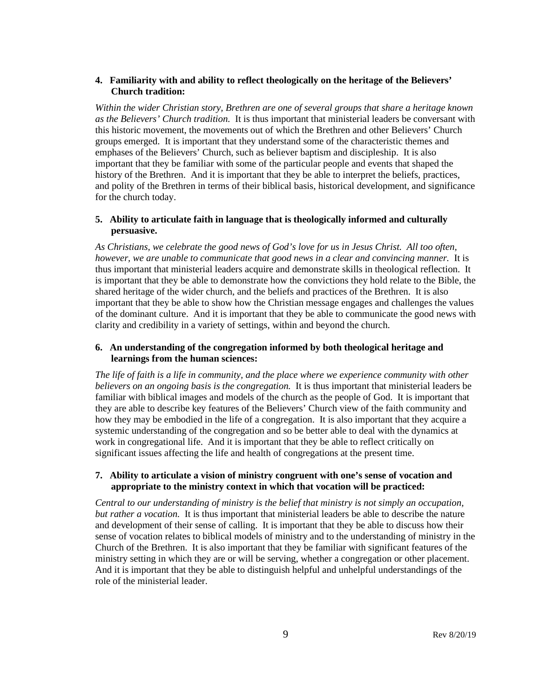## **4. Familiarity with and ability to reflect theologically on the heritage of the Believers' Church tradition:**

*Within the wider Christian story, Brethren are one of several groups that share a heritage known as the Believers' Church tradition.* It is thus important that ministerial leaders be conversant with this historic movement, the movements out of which the Brethren and other Believers' Church groups emerged. It is important that they understand some of the characteristic themes and emphases of the Believers' Church, such as believer baptism and discipleship. It is also important that they be familiar with some of the particular people and events that shaped the history of the Brethren. And it is important that they be able to interpret the beliefs, practices, and polity of the Brethren in terms of their biblical basis, historical development, and significance for the church today.

## **5. Ability to articulate faith in language that is theologically informed and culturally persuasive.**

*As Christians, we celebrate the good news of God's love for us in Jesus Christ. All too often, however, we are unable to communicate that good news in a clear and convincing manner.* It is thus important that ministerial leaders acquire and demonstrate skills in theological reflection. It is important that they be able to demonstrate how the convictions they hold relate to the Bible, the shared heritage of the wider church, and the beliefs and practices of the Brethren. It is also important that they be able to show how the Christian message engages and challenges the values of the dominant culture. And it is important that they be able to communicate the good news with clarity and credibility in a variety of settings, within and beyond the church.

## **6. An understanding of the congregation informed by both theological heritage and learnings from the human sciences:**

*The life of faith is a life in community, and the place where we experience community with other believers on an ongoing basis is the congregation.* It is thus important that ministerial leaders be familiar with biblical images and models of the church as the people of God. It is important that they are able to describe key features of the Believers' Church view of the faith community and how they may be embodied in the life of a congregation. It is also important that they acquire a systemic understanding of the congregation and so be better able to deal with the dynamics at work in congregational life. And it is important that they be able to reflect critically on significant issues affecting the life and health of congregations at the present time.

## **7. Ability to articulate a vision of ministry congruent with one's sense of vocation and appropriate to the ministry context in which that vocation will be practiced:**

*Central to our understanding of ministry is the belief that ministry is not simply an occupation, but rather a vocation.* It is thus important that ministerial leaders be able to describe the nature and development of their sense of calling. It is important that they be able to discuss how their sense of vocation relates to biblical models of ministry and to the understanding of ministry in the Church of the Brethren. It is also important that they be familiar with significant features of the ministry setting in which they are or will be serving, whether a congregation or other placement. And it is important that they be able to distinguish helpful and unhelpful understandings of the role of the ministerial leader.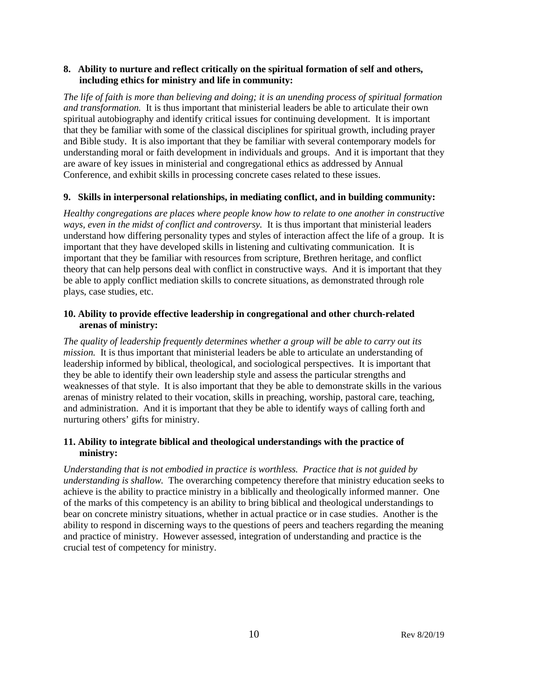## **8. Ability to nurture and reflect critically on the spiritual formation of self and others, including ethics for ministry and life in community:**

*The life of faith is more than believing and doing; it is an unending process of spiritual formation and transformation.* It is thus important that ministerial leaders be able to articulate their own spiritual autobiography and identify critical issues for continuing development. It is important that they be familiar with some of the classical disciplines for spiritual growth, including prayer and Bible study. It is also important that they be familiar with several contemporary models for understanding moral or faith development in individuals and groups. And it is important that they are aware of key issues in ministerial and congregational ethics as addressed by Annual Conference, and exhibit skills in processing concrete cases related to these issues.

## **9. Skills in interpersonal relationships, in mediating conflict, and in building community:**

*Healthy congregations are places where people know how to relate to one another in constructive ways, even in the midst of conflict and controversy.* It is thus important that ministerial leaders understand how differing personality types and styles of interaction affect the life of a group. It is important that they have developed skills in listening and cultivating communication. It is important that they be familiar with resources from scripture, Brethren heritage, and conflict theory that can help persons deal with conflict in constructive ways. And it is important that they be able to apply conflict mediation skills to concrete situations, as demonstrated through role plays, case studies, etc.

## **10. Ability to provide effective leadership in congregational and other church-related arenas of ministry:**

*The quality of leadership frequently determines whether a group will be able to carry out its mission.* It is thus important that ministerial leaders be able to articulate an understanding of leadership informed by biblical, theological, and sociological perspectives. It is important that they be able to identify their own leadership style and assess the particular strengths and weaknesses of that style. It is also important that they be able to demonstrate skills in the various arenas of ministry related to their vocation, skills in preaching, worship, pastoral care, teaching, and administration. And it is important that they be able to identify ways of calling forth and nurturing others' gifts for ministry.

## **11. Ability to integrate biblical and theological understandings with the practice of ministry:**

*Understanding that is not embodied in practice is worthless. Practice that is not guided by understanding is shallow.* The overarching competency therefore that ministry education seeks to achieve is the ability to practice ministry in a biblically and theologically informed manner. One of the marks of this competency is an ability to bring biblical and theological understandings to bear on concrete ministry situations, whether in actual practice or in case studies. Another is the ability to respond in discerning ways to the questions of peers and teachers regarding the meaning and practice of ministry. However assessed, integration of understanding and practice is the crucial test of competency for ministry.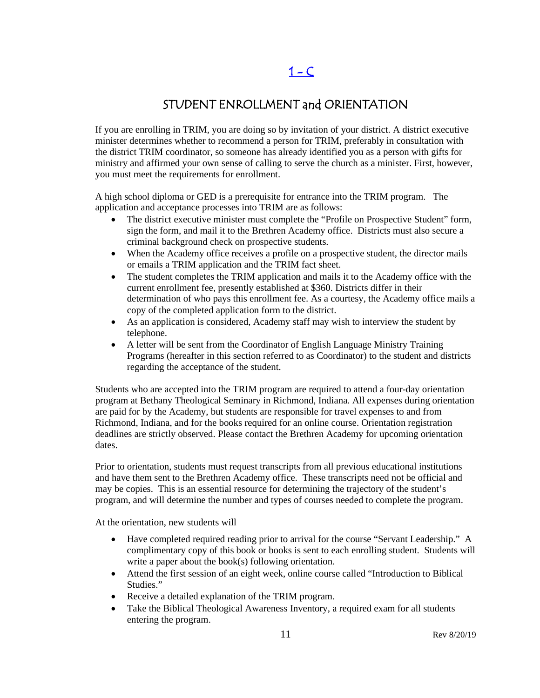# $1 - C$

## STUDENT ENROLLMENT and ORIENTATION

<span id="page-10-0"></span>If you are enrolling in TRIM, you are doing so by invitation of your district. A district executive minister determines whether to recommend a person for TRIM, preferably in consultation with the district TRIM coordinator, so someone has already identified you as a person with gifts for ministry and affirmed your own sense of calling to serve the church as a minister. First, however, you must meet the requirements for enrollment.

A high school diploma or GED is a prerequisite for entrance into the TRIM program. The application and acceptance processes into TRIM are as follows:

- The district executive minister must complete the "Profile on Prospective Student" form, sign the form, and mail it to the Brethren Academy office. Districts must also secure a criminal background check on prospective students.
- When the Academy office receives a profile on a prospective student, the director mails or emails a TRIM application and the TRIM fact sheet.
- The student completes the TRIM application and mails it to the Academy office with the current enrollment fee, presently established at \$360. Districts differ in their determination of who pays this enrollment fee. As a courtesy, the Academy office mails a copy of the completed application form to the district.
- As an application is considered, Academy staff may wish to interview the student by telephone.
- A letter will be sent from the Coordinator of English Language Ministry Training Programs (hereafter in this section referred to as Coordinator) to the student and districts regarding the acceptance of the student.

Students who are accepted into the TRIM program are required to attend a four-day orientation program at Bethany Theological Seminary in Richmond, Indiana. All expenses during orientation are paid for by the Academy, but students are responsible for travel expenses to and from Richmond, Indiana, and for the books required for an online course. Orientation registration deadlines are strictly observed. Please contact the Brethren Academy for upcoming orientation dates.

Prior to orientation, students must request transcripts from all previous educational institutions and have them sent to the Brethren Academy office. These transcripts need not be official and may be copies. This is an essential resource for determining the trajectory of the student's program, and will determine the number and types of courses needed to complete the program.

At the orientation, new students will

- Have completed required reading prior to arrival for the course "Servant Leadership." A complimentary copy of this book or books is sent to each enrolling student. Students will write a paper about the book(s) following orientation.
- Attend the first session of an eight week, online course called "Introduction to Biblical Studies."
- Receive a detailed explanation of the TRIM program.
- Take the Biblical Theological Awareness Inventory, a required exam for all students entering the program.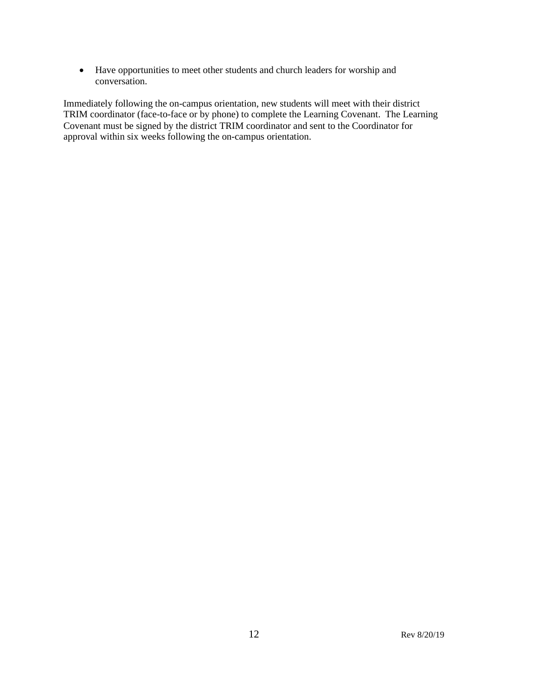• Have opportunities to meet other students and church leaders for worship and conversation.

Immediately following the on-campus orientation, new students will meet with their district TRIM coordinator (face-to-face or by phone) to complete the Learning Covenant. The Learning Covenant must be signed by the district TRIM coordinator and sent to the Coordinator for approval within six weeks following the on-campus orientation.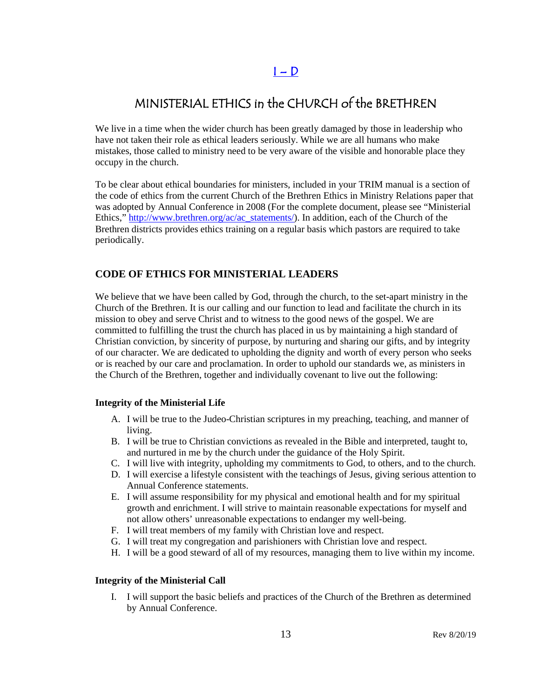## $I - D$

# <span id="page-12-0"></span>MINISTERIAL ETHICS in the CHURCH of the BRETHREN

We live in a time when the wider church has been greatly damaged by those in leadership who have not taken their role as ethical leaders seriously. While we are all humans who make mistakes, those called to ministry need to be very aware of the visible and honorable place they occupy in the church.

To be clear about ethical boundaries for ministers, included in your TRIM manual is a section of the code of ethics from the current Church of the Brethren Ethics in Ministry Relations paper that was adopted by Annual Conference in 2008 (For the complete document, please see "Ministerial Ethics," [http://www.brethren.org/ac/ac\\_statements/\)](http://www.brethren.org/ac/ac_statements/). In addition, each of the Church of the Brethren districts provides ethics training on a regular basis which pastors are required to take periodically.

## **CODE OF ETHICS FOR MINISTERIAL LEADERS**

We believe that we have been called by God, through the church, to the set-apart ministry in the Church of the Brethren. It is our calling and our function to lead and facilitate the church in its mission to obey and serve Christ and to witness to the good news of the gospel. We are committed to fulfilling the trust the church has placed in us by maintaining a high standard of Christian conviction, by sincerity of purpose, by nurturing and sharing our gifts, and by integrity of our character. We are dedicated to upholding the dignity and worth of every person who seeks or is reached by our care and proclamation. In order to uphold our standards we, as ministers in the Church of the Brethren, together and individually covenant to live out the following:

## **Integrity of the Ministerial Life**

- A. I will be true to the Judeo-Christian scriptures in my preaching, teaching, and manner of living.
- B. I will be true to Christian convictions as revealed in the Bible and interpreted, taught to, and nurtured in me by the church under the guidance of the Holy Spirit.
- C. I will live with integrity, upholding my commitments to God, to others, and to the church.
- D. I will exercise a lifestyle consistent with the teachings of Jesus, giving serious attention to Annual Conference statements.
- E. I will assume responsibility for my physical and emotional health and for my spiritual growth and enrichment. I will strive to maintain reasonable expectations for myself and not allow others' unreasonable expectations to endanger my well-being.
- F. I will treat members of my family with Christian love and respect.
- G. I will treat my congregation and parishioners with Christian love and respect.
- H. I will be a good steward of all of my resources, managing them to live within my income.

### **Integrity of the Ministerial Call**

I. I will support the basic beliefs and practices of the Church of the Brethren as determined by Annual Conference.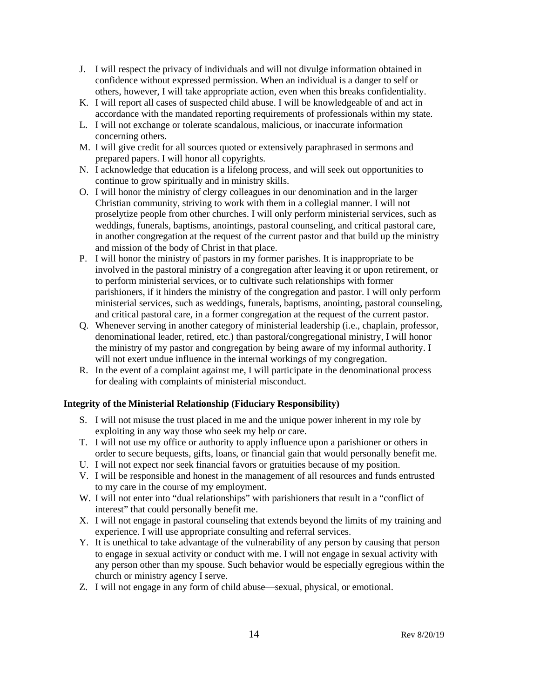- J. I will respect the privacy of individuals and will not divulge information obtained in confidence without expressed permission. When an individual is a danger to self or others, however, I will take appropriate action, even when this breaks confidentiality.
- K. I will report all cases of suspected child abuse. I will be knowledgeable of and act in accordance with the mandated reporting requirements of professionals within my state.
- L. I will not exchange or tolerate scandalous, malicious, or inaccurate information concerning others.
- M. I will give credit for all sources quoted or extensively paraphrased in sermons and prepared papers. I will honor all copyrights.
- N. I acknowledge that education is a lifelong process, and will seek out opportunities to continue to grow spiritually and in ministry skills.
- O. I will honor the ministry of clergy colleagues in our denomination and in the larger Christian community, striving to work with them in a collegial manner. I will not proselytize people from other churches. I will only perform ministerial services, such as weddings, funerals, baptisms, anointings, pastoral counseling, and critical pastoral care, in another congregation at the request of the current pastor and that build up the ministry and mission of the body of Christ in that place.
- P. I will honor the ministry of pastors in my former parishes. It is inappropriate to be involved in the pastoral ministry of a congregation after leaving it or upon retirement, or to perform ministerial services, or to cultivate such relationships with former parishioners, if it hinders the ministry of the congregation and pastor. I will only perform ministerial services, such as weddings, funerals, baptisms, anointing, pastoral counseling, and critical pastoral care, in a former congregation at the request of the current pastor.
- Q. Whenever serving in another category of ministerial leadership (i.e., chaplain, professor, denominational leader, retired, etc.) than pastoral/congregational ministry, I will honor the ministry of my pastor and congregation by being aware of my informal authority. I will not exert undue influence in the internal workings of my congregation.
- R. In the event of a complaint against me, I will participate in the denominational process for dealing with complaints of ministerial misconduct.

## **Integrity of the Ministerial Relationship (Fiduciary Responsibility)**

- S. I will not misuse the trust placed in me and the unique power inherent in my role by exploiting in any way those who seek my help or care.
- T. I will not use my office or authority to apply influence upon a parishioner or others in order to secure bequests, gifts, loans, or financial gain that would personally benefit me.
- U. I will not expect nor seek financial favors or gratuities because of my position.
- V. I will be responsible and honest in the management of all resources and funds entrusted to my care in the course of my employment.
- W. I will not enter into "dual relationships" with parishioners that result in a "conflict of interest" that could personally benefit me.
- X. I will not engage in pastoral counseling that extends beyond the limits of my training and experience. I will use appropriate consulting and referral services.
- Y. It is unethical to take advantage of the vulnerability of any person by causing that person to engage in sexual activity or conduct with me. I will not engage in sexual activity with any person other than my spouse. Such behavior would be especially egregious within the church or ministry agency I serve.
- Z. I will not engage in any form of child abuse—sexual, physical, or emotional.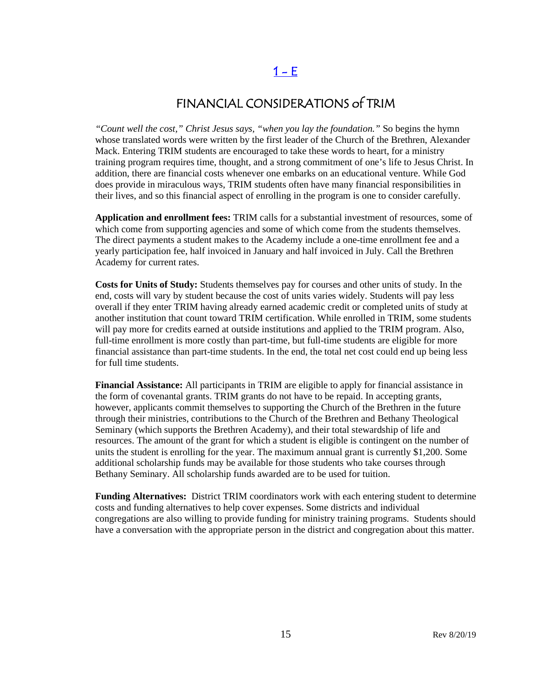## $1 - E$

## FINANCIAL CONSIDERATIONS of TRIM

<span id="page-14-0"></span>*"Count well the cost," Christ Jesus says, "when you lay the foundation."* So begins the hymn whose translated words were written by the first leader of the Church of the Brethren, Alexander Mack. Entering TRIM students are encouraged to take these words to heart, for a ministry training program requires time, thought, and a strong commitment of one's life to Jesus Christ. In addition, there are financial costs whenever one embarks on an educational venture. While God does provide in miraculous ways, TRIM students often have many financial responsibilities in their lives, and so this financial aspect of enrolling in the program is one to consider carefully.

**Application and enrollment fees:** TRIM calls for a substantial investment of resources, some of which come from supporting agencies and some of which come from the students themselves. The direct payments a student makes to the Academy include a one-time enrollment fee and a yearly participation fee, half invoiced in January and half invoiced in July. Call the Brethren Academy for current rates.

**Costs for Units of Study:** Students themselves pay for courses and other units of study. In the end, costs will vary by student because the cost of units varies widely. Students will pay less overall if they enter TRIM having already earned academic credit or completed units of study at another institution that count toward TRIM certification. While enrolled in TRIM, some students will pay more for credits earned at outside institutions and applied to the TRIM program. Also, full-time enrollment is more costly than part-time, but full-time students are eligible for more financial assistance than part-time students. In the end, the total net cost could end up being less for full time students.

**Financial Assistance:** All participants in TRIM are eligible to apply for financial assistance in the form of covenantal grants. TRIM grants do not have to be repaid. In accepting grants, however, applicants commit themselves to supporting the Church of the Brethren in the future through their ministries, contributions to the Church of the Brethren and Bethany Theological Seminary (which supports the Brethren Academy), and their total stewardship of life and resources. The amount of the grant for which a student is eligible is contingent on the number of units the student is enrolling for the year. The maximum annual grant is currently \$1,200. Some additional scholarship funds may be available for those students who take courses through Bethany Seminary. All scholarship funds awarded are to be used for tuition.

**Funding Alternatives:** District TRIM coordinators work with each entering student to determine costs and funding alternatives to help cover expenses. Some districts and individual congregations are also willing to provide funding for ministry training programs. Students should have a conversation with the appropriate person in the district and congregation about this matter.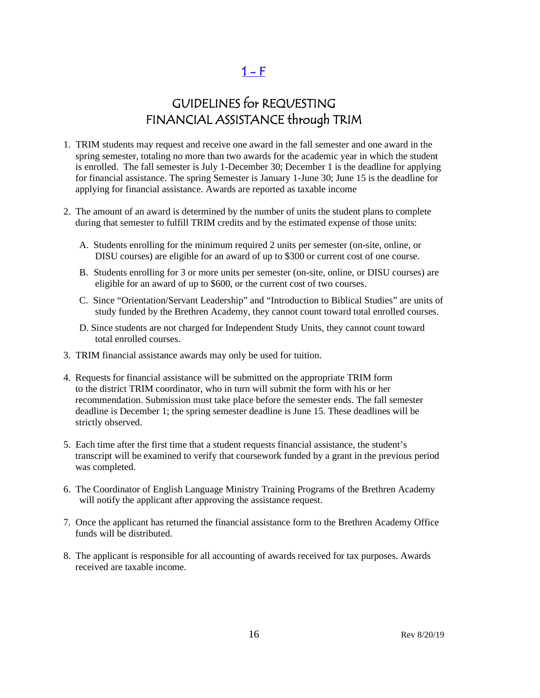$1 - F$ 

# GUIDELINES for REQUESTING FINANCIAL ASSISTANCE through TRIM

- <span id="page-15-0"></span>1. TRIM students may request and receive one award in the fall semester and one award in the spring semester, totaling no more than two awards for the academic year in which the student is enrolled. The fall semester is July 1-December 30; December 1 is the deadline for applying for financial assistance. The spring Semester is January 1-June 30; June 15 is the deadline for applying for financial assistance. Awards are reported as taxable income
- 2. The amount of an award is determined by the number of units the student plans to complete during that semester to fulfill TRIM credits and by the estimated expense of those units:
	- A. Students enrolling for the minimum required 2 units per semester (on-site, online, or DISU courses) are eligible for an award of up to \$300 or current cost of one course.
	- B. Students enrolling for 3 or more units per semester (on-site, online, or DISU courses) are eligible for an award of up to \$600, or the current cost of two courses.
	- C. Since "Orientation/Servant Leadership" and "Introduction to Biblical Studies" are units of study funded by the Brethren Academy, they cannot count toward total enrolled courses.
	- D. Since students are not charged for Independent Study Units, they cannot count toward total enrolled courses.
- 3. TRIM financial assistance awards may only be used for tuition.
- 4. Requests for financial assistance will be submitted on the appropriate TRIM form to the district TRIM coordinator, who in turn will submit the form with his or her recommendation. Submission must take place before the semester ends. The fall semester deadline is December 1; the spring semester deadline is June 15. These deadlines will be strictly observed.
- 5. Each time after the first time that a student requests financial assistance, the student's transcript will be examined to verify that coursework funded by a grant in the previous period was completed.
- 6. The Coordinator of English Language Ministry Training Programs of the Brethren Academy will notify the applicant after approving the assistance request.
- 7. Once the applicant has returned the financial assistance form to the Brethren Academy Office funds will be distributed.
- 8. The applicant is responsible for all accounting of awards received for tax purposes. Awards received are taxable income.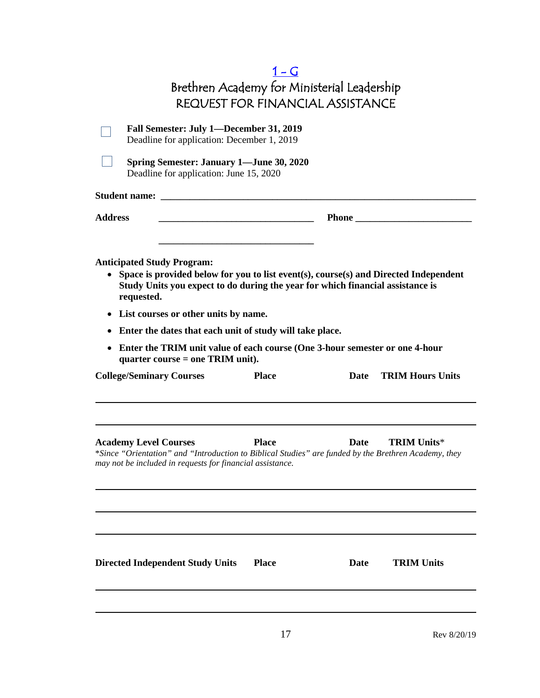<span id="page-16-0"></span>

|                                                                                                                                                                                                                                                                                                                | $1-G$<br>Brethren Academy for Ministerial Leadership |             |                         |
|----------------------------------------------------------------------------------------------------------------------------------------------------------------------------------------------------------------------------------------------------------------------------------------------------------------|------------------------------------------------------|-------------|-------------------------|
|                                                                                                                                                                                                                                                                                                                | <b>REQUEST FOR FINANCIAL ASSISTANCE</b>              |             |                         |
| Fall Semester: July 1—December 31, 2019<br>Deadline for application: December 1, 2019                                                                                                                                                                                                                          |                                                      |             |                         |
| <b>Spring Semester: January 1—June 30, 2020</b><br>Deadline for application: June 15, 2020                                                                                                                                                                                                                     |                                                      |             |                         |
|                                                                                                                                                                                                                                                                                                                |                                                      |             |                         |
| <b>Address</b>                                                                                                                                                                                                                                                                                                 |                                                      |             |                         |
| Study Units you expect to do during the year for which financial assistance is<br>requested.<br>List courses or other units by name.<br>$\bullet$<br>Enter the dates that each unit of study will take place.<br>٠<br>Enter the TRIM unit value of each course (One 3-hour semester or one 4-hour<br>$\bullet$ |                                                      |             |                         |
| quarter course $=$ one TRIM unit).<br><b>College/Seminary Courses</b>                                                                                                                                                                                                                                          | <b>Place</b>                                         | Date        | <b>TRIM Hours Units</b> |
| <b>Academy Level Courses</b><br>*Since "Orientation" and "Introduction to Biblical Studies" are funded by the Brethren Academy, they<br>may not be included in requests for financial assistance.                                                                                                              | <b>Place</b>                                         | <b>Date</b> | <b>TRIM Units*</b>      |
| <b>Directed Independent Study Units</b>                                                                                                                                                                                                                                                                        | <b>Place</b>                                         | Date        | <b>TRIM Units</b>       |
|                                                                                                                                                                                                                                                                                                                | 17                                                   |             | Rev 8/20/19             |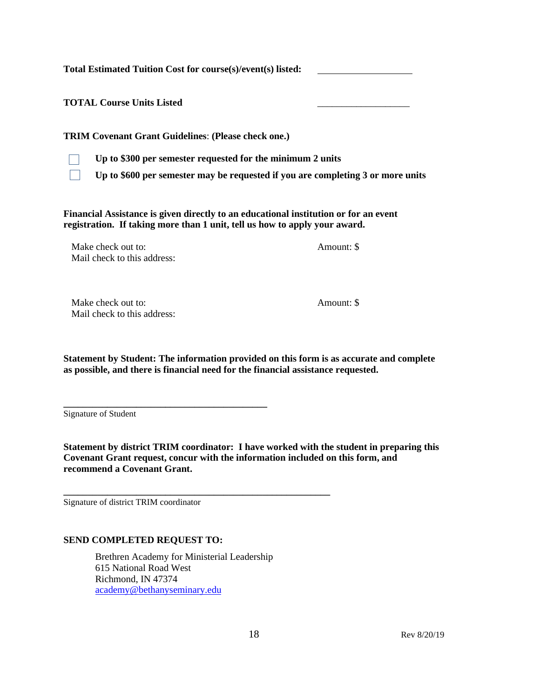**Total Estimated Tuition Cost for course(s)/event(s) listed:** 

**TOTAL Course Units Listed** \_\_\_\_\_\_\_\_\_\_\_\_\_\_\_\_\_\_\_

**TRIM Covenant Grant Guidelines**: **(Please check one.)**



**Up to \$300 per semester requested for the minimum 2 units**

**Up to \$600 per semester may be requested if you are completing 3 or more units**

**Financial Assistance is given directly to an educational institution or for an event registration. If taking more than 1 unit, tell us how to apply your award.**

Make check out to: Amount: \$ Mail check to this address:

Make check out to:  $\blacksquare$ Mail check to this address:

**Statement by Student: The information provided on this form is as accurate and complete as possible, and there is financial need for the financial assistance requested.**

Signature of Student

**Statement by district TRIM coordinator: I have worked with the student in preparing this Covenant Grant request, concur with the information included on this form, and recommend a Covenant Grant.**

Signature of district TRIM coordinator

## **SEND COMPLETED REQUEST TO:**

**\_\_\_\_\_\_\_\_\_\_\_\_\_\_\_\_\_\_\_\_\_\_\_\_\_\_\_\_\_\_\_\_\_\_\_\_\_\_\_\_\_\_**

Brethren Academy for Ministerial Leadership 615 National Road West Richmond, IN 47374 [academy@bethanyseminary.edu](mailto:academy@bethanyseminary.edu)

**\_\_\_\_\_\_\_\_\_\_\_\_\_\_\_\_\_\_\_\_\_\_\_\_\_\_\_\_\_\_\_\_\_\_\_\_\_\_\_\_\_\_\_\_\_\_\_\_\_\_\_\_\_\_\_**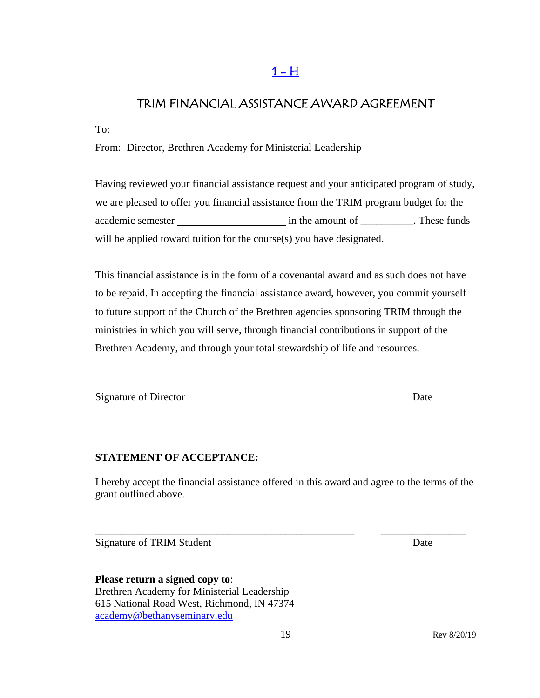## $1 - H$

## <span id="page-18-0"></span>TRIM FINANCIAL ASSISTANCE AWARD AGREEMENT

To:

From: Director, Brethren Academy for Ministerial Leadership

Having reviewed your financial assistance request and your anticipated program of study, we are pleased to offer you financial assistance from the TRIM program budget for the academic semester in the amount of \_\_\_\_\_\_\_\_\_\_. These funds will be applied toward tuition for the course(s) you have designated.

This financial assistance is in the form of a covenantal award and as such does not have to be repaid. In accepting the financial assistance award, however, you commit yourself to future support of the Church of the Brethren agencies sponsoring TRIM through the ministries in which you will serve, through financial contributions in support of the Brethren Academy, and through your total stewardship of life and resources.

\_\_\_\_\_\_\_\_\_\_\_\_\_\_\_\_\_\_\_\_\_\_\_\_\_\_\_\_\_\_\_\_\_\_\_\_\_\_\_\_\_\_\_\_\_\_\_\_ \_\_\_\_\_\_\_\_\_\_\_\_\_\_\_\_\_\_

Signature of Director Date

## **STATEMENT OF ACCEPTANCE:**

I hereby accept the financial assistance offered in this award and agree to the terms of the grant outlined above.

\_\_\_\_\_\_\_\_\_\_\_\_\_\_\_\_\_\_\_\_\_\_\_\_\_\_\_\_\_\_\_\_\_\_\_\_\_\_\_\_\_\_\_\_\_\_\_\_\_ \_\_\_\_\_\_\_\_\_\_\_\_\_\_\_\_

Signature of TRIM Student Date

**Please return a signed copy to**: Brethren Academy for Ministerial Leadership 615 National Road West, Richmond, IN 47374 [academy@bethanyseminary.edu](mailto:academy@bethanyseminary.edu)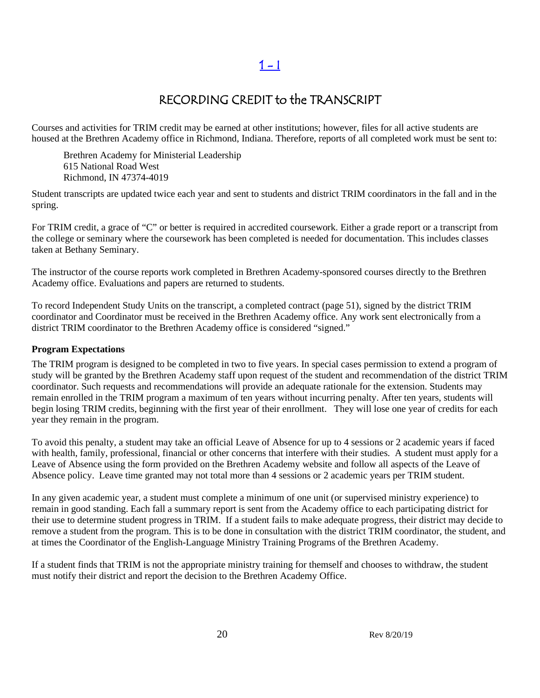## RECORDING CREDIT to the TRANSCRIPT

Courses and activities for TRIM credit may be earned at other institutions; however, files for all active students are housed at the Brethren Academy office in Richmond, Indiana. Therefore, reports of all completed work must be sent to:

Brethren Academy for Ministerial Leadership 615 National Road West Richmond, IN 47374-4019

Student transcripts are updated twice each year and sent to students and district TRIM coordinators in the fall and in the spring.

For TRIM credit, a grace of "C" or better is required in accredited coursework. Either a grade report or a transcript from the college or seminary where the coursework has been completed is needed for documentation. This includes classes taken at Bethany Seminary.

The instructor of the course reports work completed in Brethren Academy-sponsored courses directly to the Brethren Academy office. Evaluations and papers are returned to students.

To record Independent Study Units on the transcript, a completed contract (page 51), signed by the district TRIM coordinator and Coordinator must be received in the Brethren Academy office. Any work sent electronically from a district TRIM coordinator to the Brethren Academy office is considered "signed."

## **Program Expectations**

The TRIM program is designed to be completed in two to five years. In special cases permission to extend a program of study will be granted by the Brethren Academy staff upon request of the student and recommendation of the district TRIM coordinator. Such requests and recommendations will provide an adequate rationale for the extension. Students may remain enrolled in the TRIM program a maximum of ten years without incurring penalty. After ten years, students will begin losing TRIM credits, beginning with the first year of their enrollment. They will lose one year of credits for each year they remain in the program.

To avoid this penalty, a student may take an official Leave of Absence for up to 4 sessions or 2 academic years if faced with health, family, professional, financial or other concerns that interfere with their studies. A student must apply for a Leave of Absence using the form provided on the Brethren Academy website and follow all aspects of the Leave of Absence policy. Leave time granted may not total more than 4 sessions or 2 academic years per TRIM student.

In any given academic year, a student must complete a minimum of one unit (or supervised ministry experience) to remain in good standing. Each fall a summary report is sent from the Academy office to each participating district for their use to determine student progress in TRIM. If a student fails to make adequate progress, their district may decide to remove a student from the program. This is to be done in consultation with the district TRIM coordinator, the student, and at times the Coordinator of the English-Language Ministry Training Programs of the Brethren Academy.

If a student finds that TRIM is not the appropriate ministry training for themself and chooses to withdraw, the student must notify their district and report the decision to the Brethren Academy Office.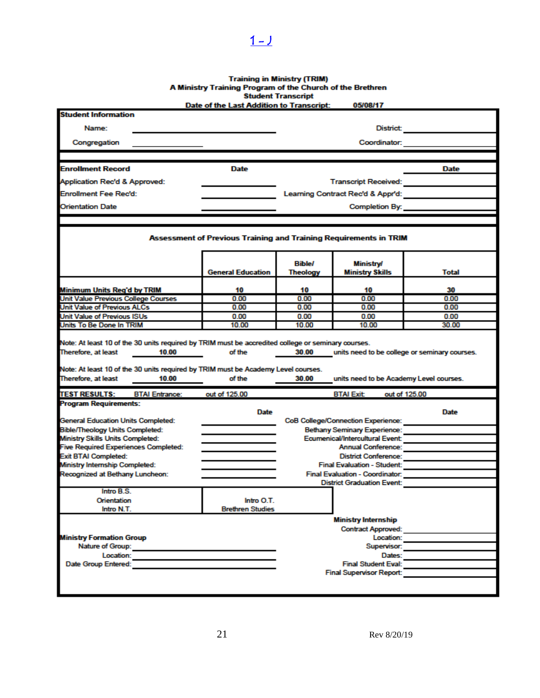# Training in Ministry (TRIM)<br>A Ministry Training Program of the Church of the Brethren<br>Student Transcript<br>Date of the Last Addition to Transcript: 05/08/17

<span id="page-20-0"></span> $1 - 1$ 

| <b>Student Information</b>                                                                                        | Dale of the Last Audition to Transcript.                          |                            | ,,,,,,,,,                                                  |                                               |
|-------------------------------------------------------------------------------------------------------------------|-------------------------------------------------------------------|----------------------------|------------------------------------------------------------|-----------------------------------------------|
|                                                                                                                   |                                                                   |                            |                                                            |                                               |
|                                                                                                                   | <b>District:</b><br>Name:                                         |                            |                                                            |                                               |
| Congregation                                                                                                      |                                                                   |                            | Coordinator:                                               |                                               |
|                                                                                                                   |                                                                   |                            |                                                            |                                               |
| <b>Enrollment Record</b>                                                                                          | Date                                                              |                            |                                                            | Date                                          |
| Application Rec'd & Approved:                                                                                     |                                                                   |                            | Transcript Received: <b>All Accepts</b>                    |                                               |
| <b>Enrollment Fee Rec'd:</b>                                                                                      |                                                                   |                            | Learning Contract Rec'd & Appr'd:                          |                                               |
| <b>Orientation Date</b>                                                                                           |                                                                   |                            | Completion By:                                             |                                               |
|                                                                                                                   |                                                                   |                            |                                                            |                                               |
|                                                                                                                   | Assessment of Previous Training and Training Requirements in TRIM |                            |                                                            |                                               |
|                                                                                                                   | <b>General Education</b>                                          | <b>Bible/</b><br>Theology  | <b>Ministry/</b><br><b>Ministry Skills</b>                 | Total                                         |
|                                                                                                                   |                                                                   |                            |                                                            |                                               |
| Minimum Units Reg'd by TRIM                                                                                       | 10                                                                | 10                         | 10                                                         | 30                                            |
| Unit Value Previous College Courses                                                                               | 0.00                                                              | 0.00                       | 0.00                                                       | 0.00                                          |
| Unit Value of Previous ALCs                                                                                       | 0.00                                                              | 0.00                       | 0.00                                                       | 0.00                                          |
| <b>Unit Value of Previous ISUs</b><br>Units To Be Done In TRIM                                                    | 0.00<br>10.00                                                     | 0.00<br>10.00              | 0.00<br>10.00                                              | 0.00<br>30.00                                 |
| Note: At least 10 of the 30 units required by TRIM must be Academy Level courses.<br>Therefore, at least<br>10.00 | of the                                                            | 30.00                      | units need to be Academy Level courses.                    |                                               |
| <b>TEST RESULTS:</b><br><b>BTAI Entrance:</b>                                                                     | out of 125.00                                                     |                            | <b>BTAI Exit</b>                                           | out of 125.00                                 |
| <b>Program Requirements:</b>                                                                                      |                                                                   |                            |                                                            |                                               |
|                                                                                                                   | Date                                                              |                            |                                                            | <b>Date</b>                                   |
| <b>General Education Units Completed:</b>                                                                         |                                                                   |                            | <b>CoB College/Connection Experience:</b>                  |                                               |
| <b>Bible/Theology Units Completed:</b>                                                                            |                                                                   |                            | <b>Bethany Seminary Experience:</b>                        |                                               |
| Ministry Skills Units Completed:                                                                                  |                                                                   |                            | Ecumenical/Intercultural Event:                            |                                               |
| <b>Five Required Experiences Completed:</b>                                                                       |                                                                   |                            | Annual Conference:                                         |                                               |
| <b>Exit BTAI Completed:</b><br>Ministry Internship Completed:                                                     |                                                                   |                            | District Conference:<br><b>Final Evaluation - Student:</b> |                                               |
| Recognized at Bethany Luncheon:                                                                                   |                                                                   |                            |                                                            | Final Evaluation - Coordinator: New York 1999 |
|                                                                                                                   |                                                                   |                            | <b>District Graduation Event:</b>                          |                                               |
| Intro B.S.                                                                                                        |                                                                   |                            |                                                            |                                               |
| Orientation                                                                                                       | Intro O T                                                         |                            |                                                            |                                               |
| Intro N.T.                                                                                                        | <b>Brethren Studies</b>                                           |                            |                                                            |                                               |
|                                                                                                                   |                                                                   |                            | <b>Ministry Internship</b>                                 |                                               |
| <b>Contract Approved:</b>                                                                                         |                                                                   |                            |                                                            |                                               |
| <b>Ministry Formation Group</b>                                                                                   |                                                                   | Location:                  |                                                            |                                               |
| Nature of Group: Nature of Group:                                                                                 |                                                                   | Supervisor:                |                                                            |                                               |
| Location:                                                                                                         |                                                                   | Dates:                     |                                                            |                                               |
| Date Group Entered:                                                                                               |                                                                   | <b>Final Student Eval:</b> |                                                            |                                               |
|                                                                                                                   |                                                                   |                            | <b>Final Supervisor Report:</b>                            |                                               |
|                                                                                                                   |                                                                   |                            |                                                            |                                               |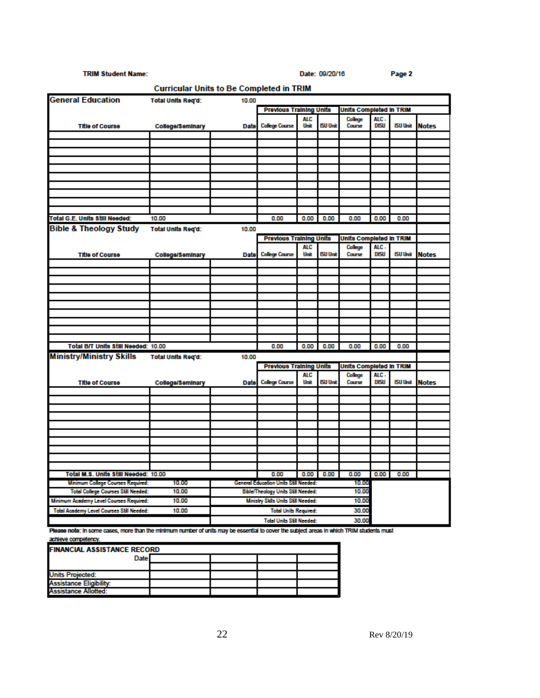### **TRIM Student Name:**

Date: 09/20/16

|                                            | <b>Curricular Units to Be Completed in TRIM</b> |                                             |                                       |             |                 |                         |                     |                 |              |
|--------------------------------------------|-------------------------------------------------|---------------------------------------------|---------------------------------------|-------------|-----------------|-------------------------|---------------------|-----------------|--------------|
| <b>General Education</b>                   | <b>Total Units Reg'd:</b>                       | 10.00                                       |                                       |             |                 |                         |                     |                 |              |
|                                            |                                                 |                                             | <b>Previous Training Units</b>        |             |                 | Units Completed in TRIM |                     |                 |              |
| <b>Title of Course</b>                     | College/Seminary                                | Date                                        | <b>College Course</b>                 | ALC<br>Unit | <b>ISU Unit</b> | College<br>Course       | ALC.<br><b>DISU</b> | <b>ISU Unit</b> | <b>Notes</b> |
|                                            |                                                 |                                             |                                       |             |                 |                         |                     |                 |              |
|                                            |                                                 |                                             |                                       |             |                 |                         |                     |                 |              |
|                                            |                                                 |                                             |                                       |             |                 |                         |                     |                 |              |
|                                            |                                                 |                                             |                                       |             |                 |                         |                     |                 |              |
|                                            |                                                 |                                             |                                       |             |                 |                         |                     |                 |              |
|                                            |                                                 |                                             |                                       |             |                 |                         |                     |                 |              |
|                                            |                                                 |                                             |                                       |             |                 |                         |                     |                 |              |
|                                            |                                                 |                                             |                                       |             |                 |                         |                     |                 |              |
|                                            |                                                 |                                             |                                       |             |                 |                         |                     |                 |              |
| Total G.E. Units Still Needed:             | 10.00                                           |                                             | 0.00                                  | 0.00        | 0.00            | 0.00                    | 0.00                | 0.00            |              |
| <b>Bible &amp; Theology Study</b>          | <b>Total Units Req'd:</b>                       | 10.00                                       |                                       |             |                 |                         |                     |                 |              |
|                                            |                                                 |                                             | <b>Previous Training Units</b>        |             |                 | Units Completed in TRIM |                     |                 |              |
| <b>Title of Course</b>                     | College/Seminary                                | Date                                        | <b>College Course</b>                 | ALC<br>Unit | <b>ISU Unit</b> | College<br>Course       | ALC.<br>DISU        | <b>ISU Unit</b> | <b>Notes</b> |
|                                            |                                                 |                                             |                                       |             |                 |                         |                     |                 |              |
|                                            |                                                 |                                             |                                       |             |                 |                         |                     |                 |              |
|                                            |                                                 |                                             |                                       |             |                 |                         |                     |                 |              |
|                                            |                                                 |                                             |                                       |             |                 |                         |                     |                 |              |
|                                            |                                                 |                                             |                                       |             |                 |                         |                     |                 |              |
|                                            |                                                 |                                             |                                       |             |                 |                         |                     |                 |              |
|                                            |                                                 |                                             |                                       |             |                 |                         |                     |                 |              |
|                                            |                                                 |                                             |                                       |             |                 |                         |                     |                 |              |
|                                            |                                                 |                                             |                                       |             |                 |                         |                     |                 |              |
| Total B/T Units Still Needed: 10.00        |                                                 |                                             | 0.00                                  | 0.00        | 0.00            | 0.00                    | 0.00                | 0.00            |              |
| <b>Ministry/Ministry Skills</b>            | <b>Total Units Reg'd:</b>                       | 10.00                                       |                                       |             |                 |                         |                     |                 |              |
|                                            |                                                 |                                             | <b>Previous Training Units</b>        |             |                 | Units Completed in TRIM |                     |                 |              |
| <b>Title of Course</b>                     | <b>College/Seminary</b>                         | Date                                        | <b>College Course</b>                 | ALC<br>Unit | <b>ISU Unit</b> | College<br>Course       | ALC.<br>DISU        | <b>ISU Unit</b> | <b>Notes</b> |
|                                            |                                                 |                                             |                                       |             |                 |                         |                     |                 |              |
|                                            |                                                 |                                             |                                       |             |                 |                         |                     |                 |              |
|                                            |                                                 |                                             |                                       |             |                 |                         |                     |                 |              |
|                                            |                                                 |                                             |                                       |             |                 |                         |                     |                 |              |
|                                            |                                                 |                                             |                                       |             |                 |                         |                     |                 |              |
|                                            |                                                 |                                             |                                       |             |                 |                         |                     |                 |              |
|                                            |                                                 |                                             |                                       |             |                 |                         |                     |                 |              |
|                                            |                                                 |                                             |                                       |             |                 |                         |                     |                 |              |
|                                            |                                                 |                                             |                                       |             |                 |                         |                     |                 |              |
| Total M.S. Units Still Needed: 10.00       |                                                 |                                             | 0.00                                  | 0.00        | 0.00            | 0.00                    | 0.00                | 0.00            |              |
| <b>Minimum College Courses Required:</b>   | 10.00                                           |                                             | General Education Units Still Needed: |             |                 | 10.00                   |                     |                 |              |
| <b>Total College Courses Still Needed:</b> | 10.00                                           |                                             | Bible/Theology Units Still Needed:    |             |                 | 10.00                   |                     |                 |              |
| Minimum Academy Level Courses Required:    | 10.00                                           | Ministry Sklls Units Still Needed:<br>10.00 |                                       |             |                 |                         |                     |                 |              |
| Total Academy Level Courses Still Needed:  | 10.00                                           | <b>Total Units Required:</b><br>30.00       |                                       |             |                 |                         |                     |                 |              |
|                                            |                                                 |                                             | <b>Total Units Still Needed:</b>      |             |                 | 30.00                   |                     |                 |              |

Please note: In some cases, more than the minimum number of units may be essential to cover the subject areas in which TRIM students must achieve competency.

| <b>FINANCIAL ASSISTANCE RECORD</b> |  |  |  |  |
|------------------------------------|--|--|--|--|
| Date                               |  |  |  |  |
|                                    |  |  |  |  |
| <b>Units Projected:</b>            |  |  |  |  |
| <b>Assistance Eligibility:</b>     |  |  |  |  |
| Assistance Allotted:               |  |  |  |  |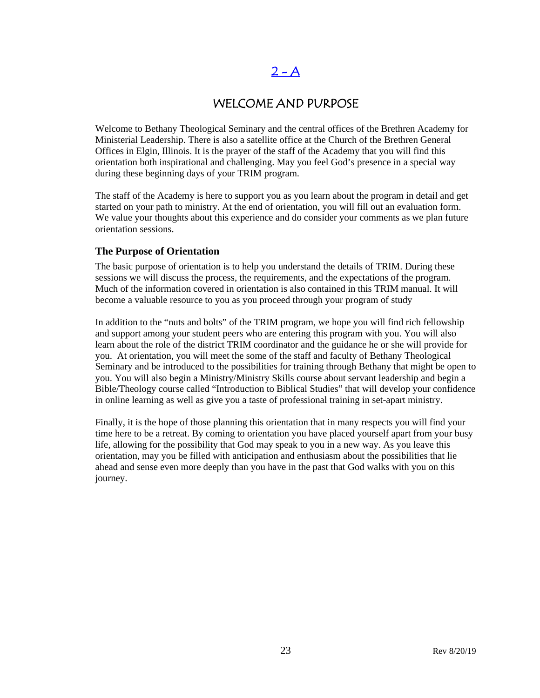## $2 - A$

## WELCOME AND PURPOSE

<span id="page-22-0"></span>Welcome to Bethany Theological Seminary and the central offices of the Brethren Academy for Ministerial Leadership. There is also a satellite office at the Church of the Brethren General Offices in Elgin, Illinois. It is the prayer of the staff of the Academy that you will find this orientation both inspirational and challenging. May you feel God's presence in a special way during these beginning days of your TRIM program.

The staff of the Academy is here to support you as you learn about the program in detail and get started on your path to ministry. At the end of orientation, you will fill out an evaluation form. We value your thoughts about this experience and do consider your comments as we plan future orientation sessions.

## **The Purpose of Orientation**

The basic purpose of orientation is to help you understand the details of TRIM. During these sessions we will discuss the process, the requirements, and the expectations of the program. Much of the information covered in orientation is also contained in this TRIM manual. It will become a valuable resource to you as you proceed through your program of study

In addition to the "nuts and bolts" of the TRIM program, we hope you will find rich fellowship and support among your student peers who are entering this program with you. You will also learn about the role of the district TRIM coordinator and the guidance he or she will provide for you. At orientation, you will meet the some of the staff and faculty of Bethany Theological Seminary and be introduced to the possibilities for training through Bethany that might be open to you. You will also begin a Ministry/Ministry Skills course about servant leadership and begin a Bible/Theology course called "Introduction to Biblical Studies" that will develop your confidence in online learning as well as give you a taste of professional training in set-apart ministry.

Finally, it is the hope of those planning this orientation that in many respects you will find your time here to be a retreat. By coming to orientation you have placed yourself apart from your busy life, allowing for the possibility that God may speak to you in a new way. As you leave this orientation, may you be filled with anticipation and enthusiasm about the possibilities that lie ahead and sense even more deeply than you have in the past that God walks with you on this journey.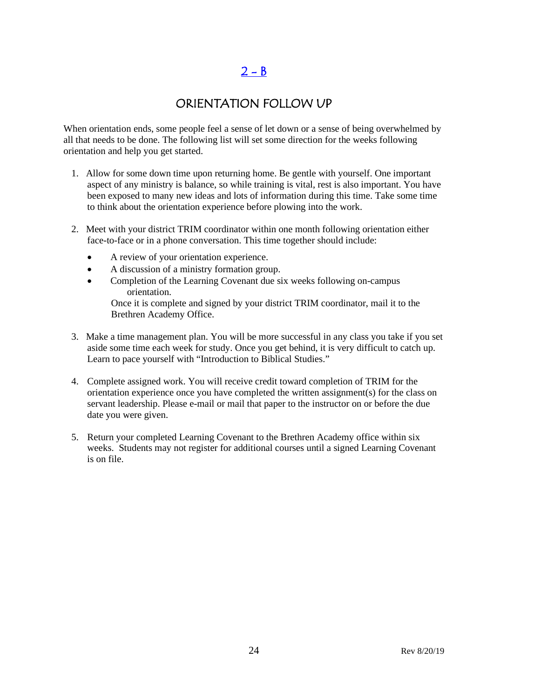# $2 - B$

## ORIENTATION FOLLOW UP

<span id="page-23-0"></span>When orientation ends, some people feel a sense of let down or a sense of being overwhelmed by all that needs to be done. The following list will set some direction for the weeks following orientation and help you get started.

- 1. Allow for some down time upon returning home. Be gentle with yourself. One important aspect of any ministry is balance, so while training is vital, rest is also important. You have been exposed to many new ideas and lots of information during this time. Take some time to think about the orientation experience before plowing into the work.
- 2. Meet with your district TRIM coordinator within one month following orientation either face-to-face or in a phone conversation. This time together should include:
	- A review of your orientation experience.
	- A discussion of a ministry formation group.
	- Completion of the Learning Covenant due six weeks following on-campus orientation.

Once it is complete and signed by your district TRIM coordinator, mail it to the Brethren Academy Office.

- 3. Make a time management plan. You will be more successful in any class you take if you set aside some time each week for study. Once you get behind, it is very difficult to catch up. Learn to pace yourself with "Introduction to Biblical Studies."
- 4. Complete assigned work. You will receive credit toward completion of TRIM for the orientation experience once you have completed the written assignment(s) for the class on servant leadership. Please e-mail or mail that paper to the instructor on or before the due date you were given.
- 5. Return your completed Learning Covenant to the Brethren Academy office within six weeks. Students may not register for additional courses until a signed Learning Covenant is on file.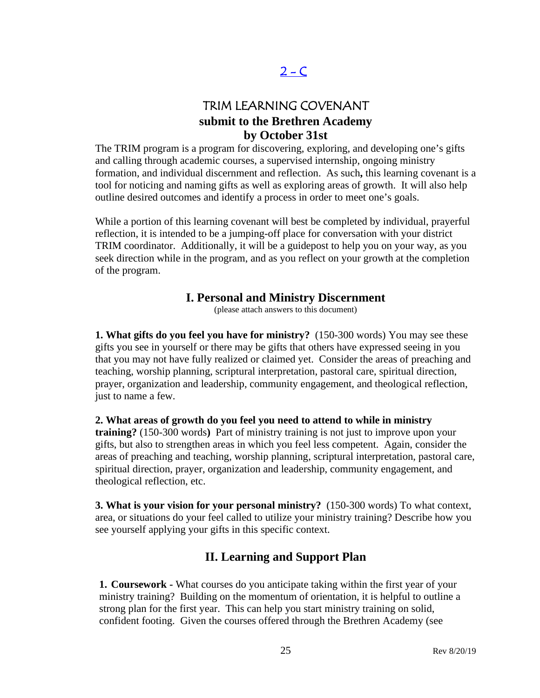# $2 - C$

## TRIM LEARNING COVENANT **submit to the Brethren Academy by October 31st**

<span id="page-24-0"></span>The TRIM program is a program for discovering, exploring, and developing one's gifts and calling through academic courses, a supervised internship, ongoing ministry formation, and individual discernment and reflection. As such**,** this learning covenant is a tool for noticing and naming gifts as well as exploring areas of growth. It will also help outline desired outcomes and identify a process in order to meet one's goals.

While a portion of this learning covenant will best be completed by individual, prayerful reflection, it is intended to be a jumping-off place for conversation with your district TRIM coordinator. Additionally, it will be a guidepost to help you on your way, as you seek direction while in the program, and as you reflect on your growth at the completion of the program.

## **I. Personal and Ministry Discernment**

(please attach answers to this document)

**1. What gifts do you feel you have for ministry?** (150-300 words) You may see these gifts you see in yourself or there may be gifts that others have expressed seeing in you that you may not have fully realized or claimed yet. Consider the areas of preaching and teaching, worship planning, scriptural interpretation, pastoral care, spiritual direction, prayer, organization and leadership, community engagement, and theological reflection, just to name a few.

**2. What areas of growth do you feel you need to attend to while in ministry training?** (150-300 words**)** Part of ministry training is not just to improve upon your gifts, but also to strengthen areas in which you feel less competent. Again, consider the areas of preaching and teaching, worship planning, scriptural interpretation, pastoral care, spiritual direction, prayer, organization and leadership, community engagement, and theological reflection, etc.

**3. What is your vision for your personal ministry?** (150-300 words) To what context, area, or situations do your feel called to utilize your ministry training? Describe how you see yourself applying your gifts in this specific context.

## **II. Learning and Support Plan**

**1. Coursework -** What courses do you anticipate taking within the first year of your ministry training? Building on the momentum of orientation, it is helpful to outline a strong plan for the first year. This can help you start ministry training on solid, confident footing. Given the courses offered through the Brethren Academy (see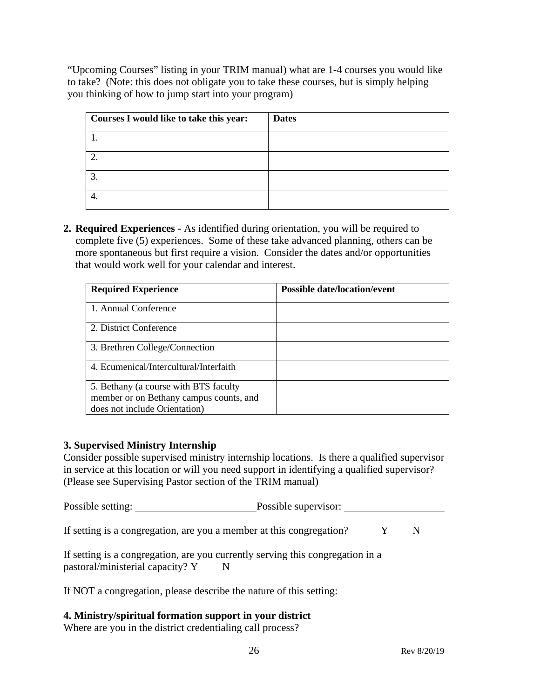"Upcoming Courses" listing in your TRIM manual) what are 1-4 courses you would like to take? (Note: this does not obligate you to take these courses, but is simply helping you thinking of how to jump start into your program)

| Courses I would like to take this year: | <b>Dates</b> |
|-----------------------------------------|--------------|
|                                         |              |
|                                         |              |
|                                         |              |
|                                         |              |

**2. Required Experiences -** As identified during orientation, you will be required to complete five (5) experiences. Some of these take advanced planning, others can be more spontaneous but first require a vision. Consider the dates and/or opportunities that would work well for your calendar and interest.

| <b>Required Experience</b>              | <b>Possible date/location/event</b> |
|-----------------------------------------|-------------------------------------|
| 1. Annual Conference                    |                                     |
| 2. District Conference                  |                                     |
| 3. Brethren College/Connection          |                                     |
| 4. Ecumenical/Intercultural/Interfaith  |                                     |
| 5. Bethany (a course with BTS faculty   |                                     |
| member or on Bethany campus counts, and |                                     |
| does not include Orientation)           |                                     |

## **3. Supervised Ministry Internship**

Consider possible supervised ministry internship locations. Is there a qualified supervisor in service at this location or will you need support in identifying a qualified supervisor? (Please see Supervising Pastor section of the TRIM manual)

Possible setting: Possible supervisor:

If setting is a congregation, are you a member at this congregation?  $Y$  N

If setting is a congregation, are you currently serving this congregation in a pastoral/ministerial capacity? Y N

If NOT a congregation, please describe the nature of this setting:

## **4. Ministry/spiritual formation support in your district**

Where are you in the district credentialing call process?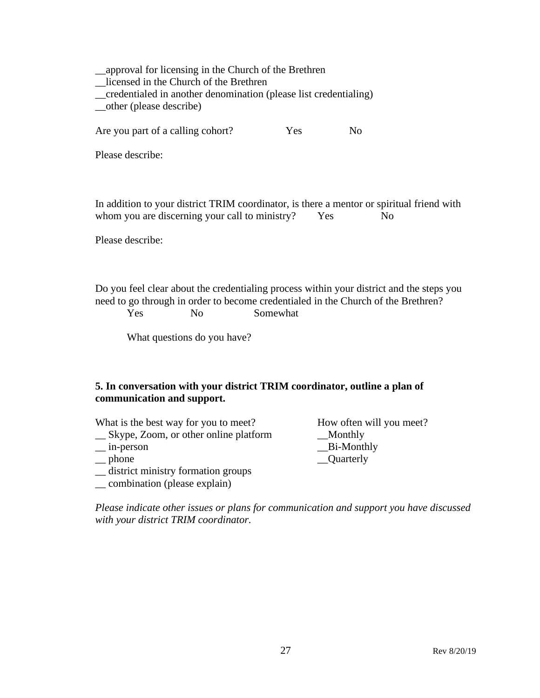\_\_approval for licensing in the Church of the Brethren \_\_licensed in the Church of the Brethren \_\_credentialed in another denomination (please list credentialing) \_\_other (please describe) Are you part of a calling cohort? Yes No Please describe: In addition to your district TRIM coordinator, is there a mentor or spiritual friend with whom you are discerning your call to ministry? Yes No Please describe:

Do you feel clear about the credentialing process within your district and the steps you need to go through in order to become credentialed in the Church of the Brethren? Yes No Somewhat

What questions do you have?

## **5. In conversation with your district TRIM coordinator, outline a plan of communication and support.**

| What is the best way for you to meet?   | How often will you meet? |
|-----------------------------------------|--------------------------|
| _ Skype, Zoom, or other online platform | Monthly                  |
| $\equiv$ in-person                      | $B$ i-Monthly            |
| $\equiv$ phone                          | _Quarterly               |
| _ district ministry formation groups    |                          |
| __ combination (please explain)         |                          |

*Please indicate other issues or plans for communication and support you have discussed with your district TRIM coordinator.*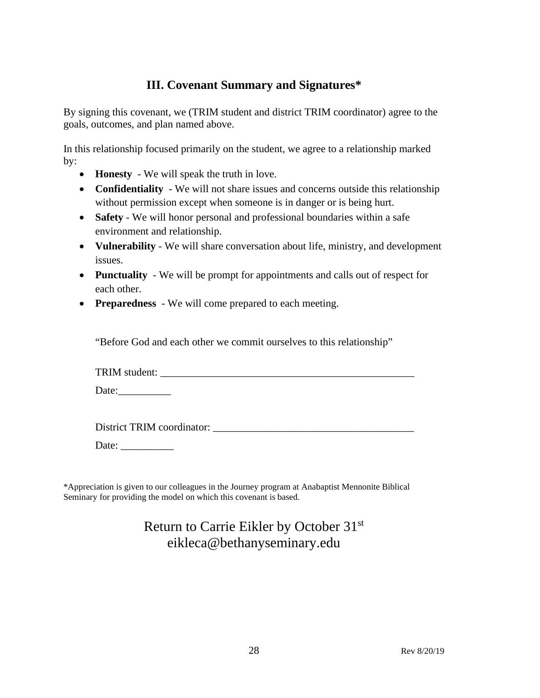## **III. Covenant Summary and Signatures\***

By signing this covenant, we (TRIM student and district TRIM coordinator) agree to the goals, outcomes, and plan named above.

In this relationship focused primarily on the student, we agree to a relationship marked by:

- **Honesty** We will speak the truth in love.
- **Confidentiality** We will not share issues and concerns outside this relationship without permission except when someone is in danger or is being hurt.
- **Safety** We will honor personal and professional boundaries within a safe environment and relationship.
- **Vulnerability** We will share conversation about life, ministry, and development issues.
- **Punctuality** We will be prompt for appointments and calls out of respect for each other.
- **Preparedness** We will come prepared to each meeting.

"Before God and each other we commit ourselves to this relationship"

| TRIM student: |  |
|---------------|--|
|---------------|--|

Date:\_\_\_\_\_\_\_\_\_\_

District TRIM coordinator:

Date: \_\_\_\_\_\_\_\_\_\_

\*Appreciation is given to our colleagues in the Journey program at Anabaptist Mennonite Biblical Seminary for providing the model on which this covenant is based.

# Return to Carrie Eikler by October 31st eikleca@bethanyseminary.edu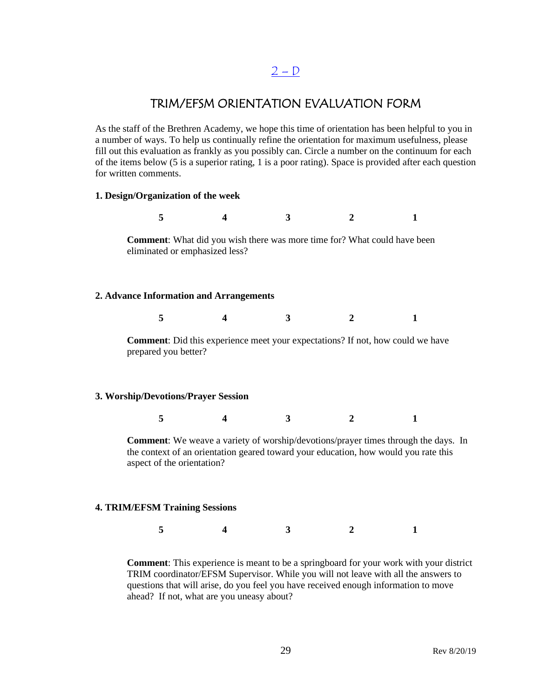## $2 - D$

## TRIM/EFSM ORIENTATION EVALUATION FORM

<span id="page-28-0"></span>As the staff of the Brethren Academy, we hope this time of orientation has been helpful to you in a number of ways. To help us continually refine the orientation for maximum usefulness, please fill out this evaluation as frankly as you possibly can. Circle a number on the continuum for each of the items below (5 is a superior rating, 1 is a poor rating). Space is provided after each question for written comments.

### **1. Design/Organization of the week**

**5 4 3 2 1 Comment**: What did you wish there was more time for? What could have been eliminated or emphasized less? **2. Advance Information and Arrangements 5 4 3 2 1 Comment**: Did this experience meet your expectations? If not, how could we have prepared you better?

### **3. Worship/Devotions/Prayer Session**

**5 4 3 2 1**

**Comment**: We weave a variety of worship/devotions/prayer times through the days. In the context of an orientation geared toward your education, how would you rate this aspect of the orientation?

### **4. TRIM/EFSM Training Sessions**

**5 4 3 2 1**

**Comment**: This experience is meant to be a springboard for your work with your district TRIM coordinator/EFSM Supervisor. While you will not leave with all the answers to questions that will arise, do you feel you have received enough information to move ahead? If not, what are you uneasy about?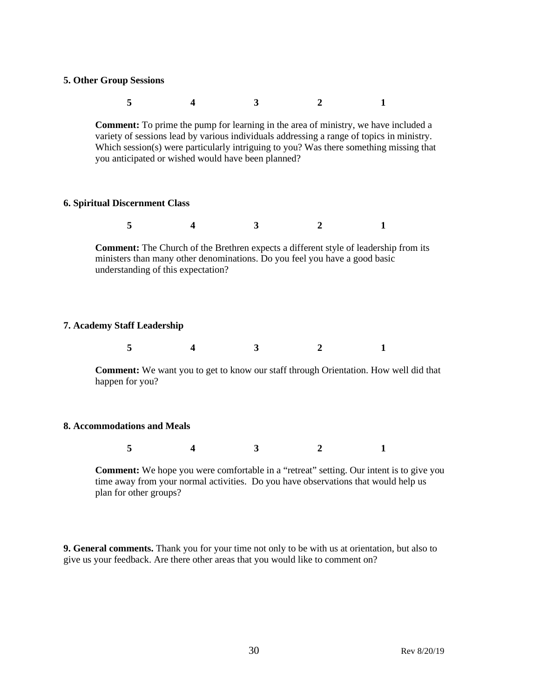### **5. Other Group Sessions**

| $\sim$ 5 |  |  |
|----------|--|--|
|          |  |  |

**Comment:** To prime the pump for learning in the area of ministry, we have included a variety of sessions lead by various individuals addressing a range of topics in ministry. Which session(s) were particularly intriguing to you? Was there something missing that you anticipated or wished would have been planned?

### **6. Spiritual Discernment Class**

|--|--|--|--|--|--|

**Comment:** The Church of the Brethren expects a different style of leadership from its ministers than many other denominations. Do you feel you have a good basic understanding of this expectation?

### **7. Academy Staff Leadership**

|--|

**Comment:** We want you to get to know our staff through Orientation. How well did that happen for you?

#### **8. Accommodations and Meals**

|--|--|--|

**Comment:** We hope you were comfortable in a "retreat" setting. Our intent is to give you time away from your normal activities. Do you have observations that would help us plan for other groups?

**9. General comments.** Thank you for your time not only to be with us at orientation, but also to give us your feedback. Are there other areas that you would like to comment on?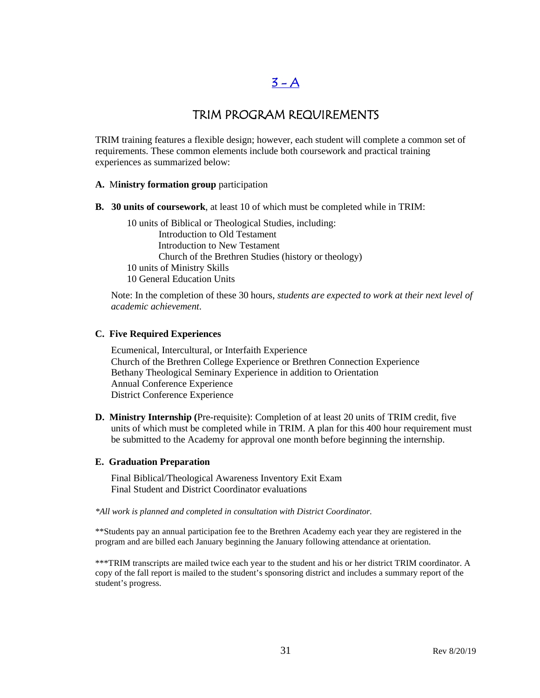# $3 - A$

## TRIM PROGRAM REQUIREMENTS

<span id="page-30-0"></span>TRIM training features a flexible design; however, each student will complete a common set of requirements. These common elements include both coursework and practical training experiences as summarized below:

## **A.** M**inistry formation group** participation

**B. 30 units of coursework**, at least 10 of which must be completed while in TRIM:

10 units of Biblical or Theological Studies, including: Introduction to Old Testament Introduction to New Testament Church of the Brethren Studies (history or theology) 10 units of Ministry Skills 10 General Education Units

Note: In the completion of these 30 hours, *students are expected to work at their next level of academic achievement*.

### **C. Five Required Experiences**

Ecumenical, Intercultural, or Interfaith Experience Church of the Brethren College Experience or Brethren Connection Experience Bethany Theological Seminary Experience in addition to Orientation Annual Conference Experience District Conference Experience

**D. Ministry Internship (**Pre-requisite): Completion of at least 20 units of TRIM credit, five units of which must be completed while in TRIM. A plan for this 400 hour requirement must be submitted to the Academy for approval one month before beginning the internship.

### **E. Graduation Preparation**

Final Biblical/Theological Awareness Inventory Exit Exam Final Student and District Coordinator evaluations

*\*All work is planned and completed in consultation with District Coordinator.*

\*\*Students pay an annual participation fee to the Brethren Academy each year they are registered in the program and are billed each January beginning the January following attendance at orientation.

\*\*\*TRIM transcripts are mailed twice each year to the student and his or her district TRIM coordinator. A copy of the fall report is mailed to the student's sponsoring district and includes a summary report of the student's progress.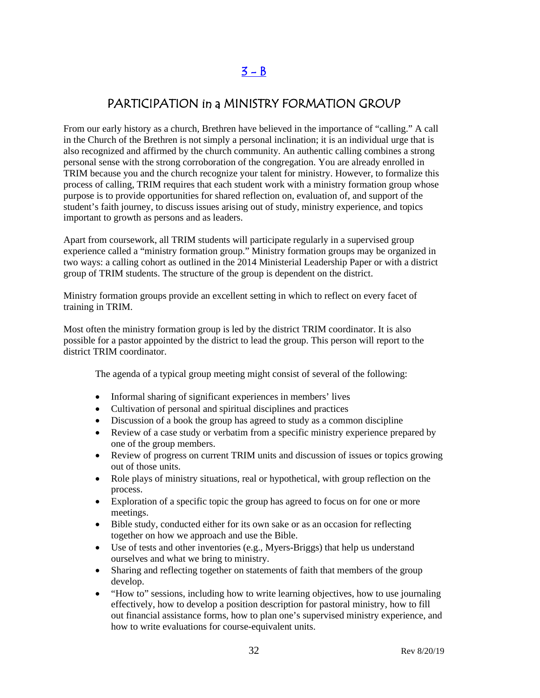# $3 - B$

## <span id="page-31-0"></span>PARTICIPATION in a MINISTRY FORMATION GROUP

From our early history as a church, Brethren have believed in the importance of "calling." A call in the Church of the Brethren is not simply a personal inclination; it is an individual urge that is also recognized and affirmed by the church community. An authentic calling combines a strong personal sense with the strong corroboration of the congregation. You are already enrolled in TRIM because you and the church recognize your talent for ministry. However, to formalize this process of calling, TRIM requires that each student work with a ministry formation group whose purpose is to provide opportunities for shared reflection on, evaluation of, and support of the student's faith journey, to discuss issues arising out of study, ministry experience, and topics important to growth as persons and as leaders.

Apart from coursework, all TRIM students will participate regularly in a supervised group experience called a "ministry formation group." Ministry formation groups may be organized in two ways: a calling cohort as outlined in the 2014 Ministerial Leadership Paper or with a district group of TRIM students. The structure of the group is dependent on the district.

Ministry formation groups provide an excellent setting in which to reflect on every facet of training in TRIM.

Most often the ministry formation group is led by the district TRIM coordinator. It is also possible for a pastor appointed by the district to lead the group. This person will report to the district TRIM coordinator.

The agenda of a typical group meeting might consist of several of the following:

- Informal sharing of significant experiences in members' lives
- Cultivation of personal and spiritual disciplines and practices
- Discussion of a book the group has agreed to study as a common discipline
- Review of a case study or verbatim from a specific ministry experience prepared by one of the group members.
- Review of progress on current TRIM units and discussion of issues or topics growing out of those units.
- Role plays of ministry situations, real or hypothetical, with group reflection on the process.
- Exploration of a specific topic the group has agreed to focus on for one or more meetings.
- Bible study, conducted either for its own sake or as an occasion for reflecting together on how we approach and use the Bible.
- Use of tests and other inventories (e.g., Myers-Briggs) that help us understand ourselves and what we bring to ministry.
- Sharing and reflecting together on statements of faith that members of the group develop.
- "How to" sessions, including how to write learning objectives, how to use journaling effectively, how to develop a position description for pastoral ministry, how to fill out financial assistance forms, how to plan one's supervised ministry experience, and how to write evaluations for course-equivalent units.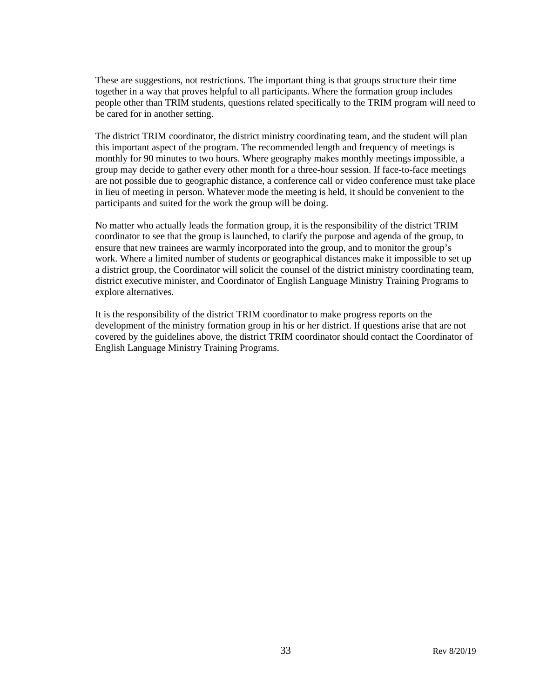These are suggestions, not restrictions. The important thing is that groups structure their time together in a way that proves helpful to all participants. Where the formation group includes people other than TRIM students, questions related specifically to the TRIM program will need to be cared for in another setting.

The district TRIM coordinator, the district ministry coordinating team, and the student will plan this important aspect of the program. The recommended length and frequency of meetings is monthly for 90 minutes to two hours. Where geography makes monthly meetings impossible, a group may decide to gather every other month for a three-hour session. If face-to-face meetings are not possible due to geographic distance, a conference call or video conference must take place in lieu of meeting in person. Whatever mode the meeting is held, it should be convenient to the participants and suited for the work the group will be doing.

No matter who actually leads the formation group, it is the responsibility of the district TRIM coordinator to see that the group is launched, to clarify the purpose and agenda of the group, to ensure that new trainees are warmly incorporated into the group, and to monitor the group's work. Where a limited number of students or geographical distances make it impossible to set up a district group, the Coordinator will solicit the counsel of the district ministry coordinating team, district executive minister, and Coordinator of English Language Ministry Training Programs to explore alternatives.

It is the responsibility of the district TRIM coordinator to make progress reports on the development of the ministry formation group in his or her district. If questions arise that are not covered by the guidelines above, the district TRIM coordinator should contact the Coordinator of English Language Ministry Training Programs.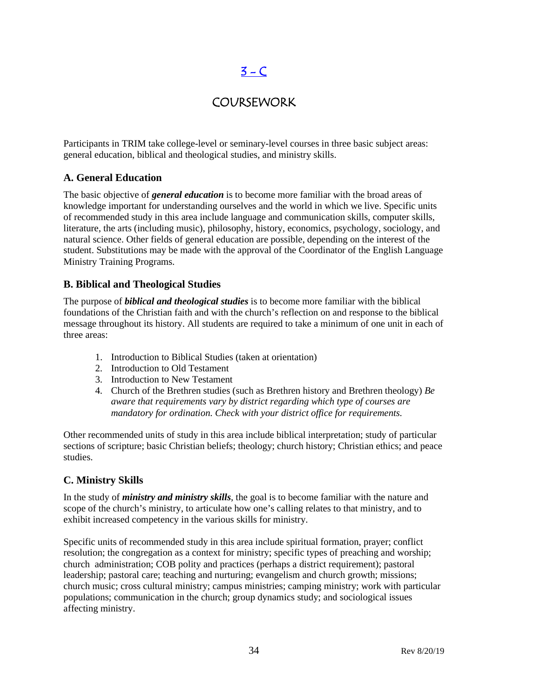# $3 - C$

## COURSEWORK

<span id="page-33-0"></span>Participants in TRIM take college-level or seminary-level courses in three basic subject areas: general education, biblical and theological studies, and ministry skills.

## **A. General Education**

The basic objective of *general education* is to become more familiar with the broad areas of knowledge important for understanding ourselves and the world in which we live. Specific units of recommended study in this area include language and communication skills, computer skills, literature, the arts (including music), philosophy, history, economics, psychology, sociology, and natural science. Other fields of general education are possible, depending on the interest of the student. Substitutions may be made with the approval of the Coordinator of the English Language Ministry Training Programs.

## **B. Biblical and Theological Studies**

The purpose of *biblical and theological studies* is to become more familiar with the biblical foundations of the Christian faith and with the church's reflection on and response to the biblical message throughout its history. All students are required to take a minimum of one unit in each of three areas:

- 1. Introduction to Biblical Studies (taken at orientation)
- 2. Introduction to Old Testament
- 3. Introduction to New Testament
- 4. Church of the Brethren studies (such as Brethren history and Brethren theology) *Be aware that requirements vary by district regarding which type of courses are mandatory for ordination. Check with your district office for requirements.*

Other recommended units of study in this area include biblical interpretation; study of particular sections of scripture; basic Christian beliefs; theology; church history; Christian ethics; and peace studies.

## **C. Ministry Skills**

In the study of *ministry and ministry skills*, the goal is to become familiar with the nature and scope of the church's ministry, to articulate how one's calling relates to that ministry, and to exhibit increased competency in the various skills for ministry.

Specific units of recommended study in this area include spiritual formation, prayer; conflict resolution; the congregation as a context for ministry; specific types of preaching and worship; church administration; COB polity and practices (perhaps a district requirement); pastoral leadership; pastoral care; teaching and nurturing; evangelism and church growth; missions; church music; cross cultural ministry; campus ministries; camping ministry; work with particular populations; communication in the church; group dynamics study; and sociological issues affecting ministry.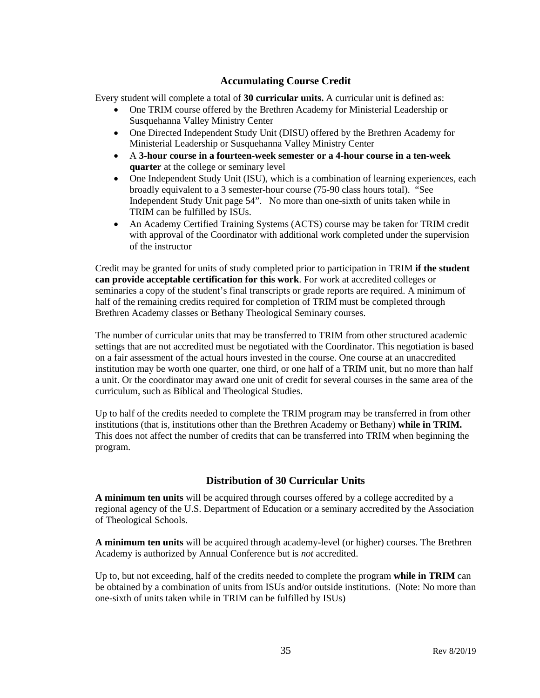## **Accumulating Course Credit**

Every student will complete a total of **30 curricular units.** A curricular unit is defined as:

- One TRIM course offered by the Brethren Academy for Ministerial Leadership or Susquehanna Valley Ministry Center
- One Directed Independent Study Unit (DISU) offered by the Brethren Academy for Ministerial Leadership or Susquehanna Valley Ministry Center
- A **3-hour course in a fourteen-week semester or a 4-hour course in a ten-week quarter** at the college or seminary level
- One Independent Study Unit (ISU), which is a combination of learning experiences, each broadly equivalent to a 3 semester-hour course (75-90 class hours total). "See Independent Study Unit page 54". No more than one-sixth of units taken while in TRIM can be fulfilled by ISUs.
- An Academy Certified Training Systems (ACTS) course may be taken for TRIM credit with approval of the Coordinator with additional work completed under the supervision of the instructor

Credit may be granted for units of study completed prior to participation in TRIM **if the student can provide acceptable certification for this work**. For work at accredited colleges or seminaries a copy of the student's final transcripts or grade reports are required. A minimum of half of the remaining credits required for completion of TRIM must be completed through Brethren Academy classes or Bethany Theological Seminary courses.

The number of curricular units that may be transferred to TRIM from other structured academic settings that are not accredited must be negotiated with the Coordinator. This negotiation is based on a fair assessment of the actual hours invested in the course. One course at an unaccredited institution may be worth one quarter, one third, or one half of a TRIM unit, but no more than half a unit. Or the coordinator may award one unit of credit for several courses in the same area of the curriculum, such as Biblical and Theological Studies.

Up to half of the credits needed to complete the TRIM program may be transferred in from other institutions (that is, institutions other than the Brethren Academy or Bethany) **while in TRIM.**  This does not affect the number of credits that can be transferred into TRIM when beginning the program.

## **Distribution of 30 Curricular Units**

**A minimum ten units** will be acquired through courses offered by a college accredited by a regional agency of the U.S. Department of Education or a seminary accredited by the Association of Theological Schools.

**A minimum ten units** will be acquired through academy-level (or higher) courses. The Brethren Academy is authorized by Annual Conference but is *not* accredited.

Up to, but not exceeding, half of the credits needed to complete the program **while in TRIM** can be obtained by a combination of units from ISUs and/or outside institutions. (Note: No more than one-sixth of units taken while in TRIM can be fulfilled by ISUs)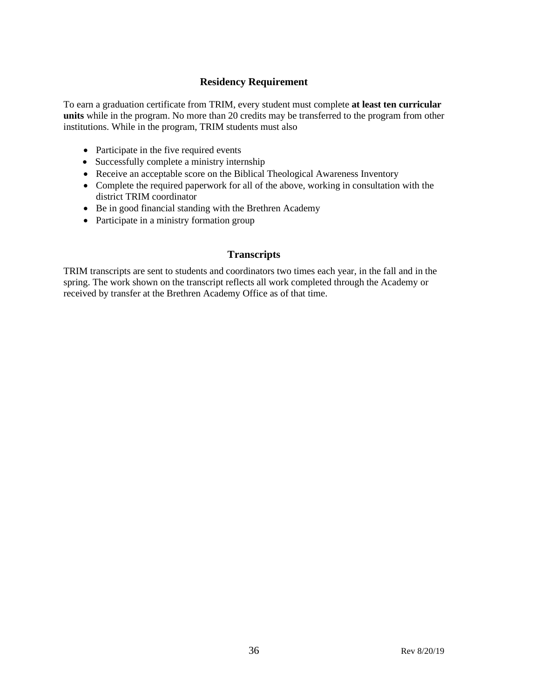## **Residency Requirement**

To earn a graduation certificate from TRIM, every student must complete **at least ten curricular units** while in the program. No more than 20 credits may be transferred to the program from other institutions. While in the program, TRIM students must also

- Participate in the five required events
- Successfully complete a ministry internship
- Receive an acceptable score on the Biblical Theological Awareness Inventory
- Complete the required paperwork for all of the above, working in consultation with the district TRIM coordinator
- Be in good financial standing with the Brethren Academy
- Participate in a ministry formation group

## **Transcripts**

TRIM transcripts are sent to students and coordinators two times each year, in the fall and in the spring. The work shown on the transcript reflects all work completed through the Academy or received by transfer at the Brethren Academy Office as of that time.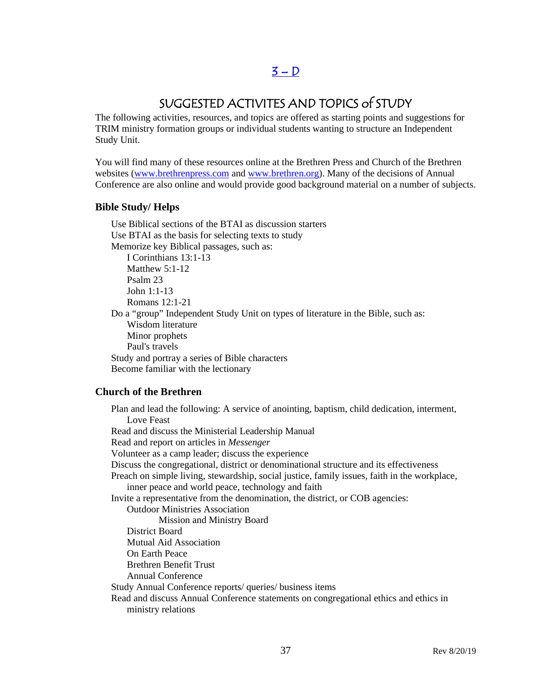### $3 - D$

### SUGGESTED ACTIVITES AND TOPICS of STUDY

The following activities, resources, and topics are offered as starting points and suggestions for TRIM ministry formation groups or individual students wanting to structure an Independent Study Unit.

You will find many of these resources online at the Brethren Press and Church of the Brethren websites [\(www.brethrenpress.com](http://www.brethrenpress.com/) and [www.brethren.org\)](http://www.brethren.org/). Many of the decisions of Annual Conference are also online and would provide good background material on a number of subjects.

#### **Bible Study/ Helps**

Use Biblical sections of the BTAI as discussion starters Use BTAI as the basis for selecting texts to study Memorize key Biblical passages, such as: I Corinthians 13:1-13 Matthew 5:1-12 Psalm 23 John 1:1-13 Romans 12:1-21 Do a "group" Independent Study Unit on types of literature in the Bible, such as: Wisdom literature Minor prophets Paul's travels Study and portray a series of Bible characters Become familiar with the lectionary

#### **Church of the Brethren**

Plan and lead the following: A service of anointing, baptism, child dedication, interment, Love Feast Read and discuss the Ministerial Leadership Manual Read and report on articles in *Messenger* Volunteer as a camp leader; discuss the experience Discuss the congregational, district or denominational structure and its effectiveness Preach on simple living, stewardship, social justice, family issues, faith in the workplace, inner peace and world peace, technology and faith Invite a representative from the denomination, the district, or COB agencies: Outdoor Ministries Association Mission and Ministry Board District Board Mutual Aid Association On Earth Peace Brethren Benefit Trust Annual Conference Study Annual Conference reports/ queries/ business items Read and discuss Annual Conference statements on congregational ethics and ethics in ministry relations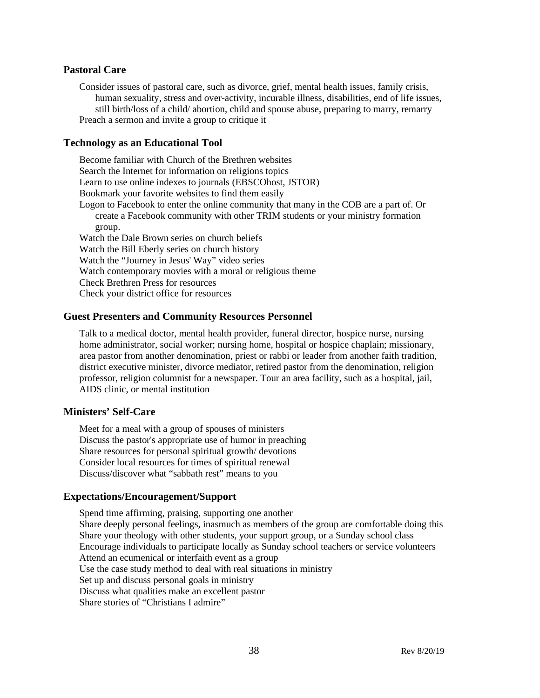#### **Pastoral Care**

Consider issues of pastoral care, such as divorce, grief, mental health issues, family crisis, human sexuality, stress and over-activity, incurable illness, disabilities, end of life issues, still birth/loss of a child/ abortion, child and spouse abuse, preparing to marry, remarry Preach a sermon and invite a group to critique it

#### **Technology as an Educational Tool**

Become familiar with Church of the Brethren websites Search the Internet for information on religions topics Learn to use online indexes to journals (EBSCOhost, JSTOR) Bookmark your favorite websites to find them easily Logon to Facebook to enter the online community that many in the COB are a part of. Or create a Facebook community with other TRIM students or your ministry formation group. Watch the Dale Brown series on church beliefs Watch the Bill Eberly series on church history Watch the "Journey in Jesus' Way" video series Watch contemporary movies with a moral or religious theme Check Brethren Press for resources Check your district office for resources

#### **Guest Presenters and Community Resources Personnel**

Talk to a medical doctor, mental health provider, funeral director, hospice nurse, nursing home administrator, social worker; nursing home, hospital or hospice chaplain; missionary, area pastor from another denomination, priest or rabbi or leader from another faith tradition, district executive minister, divorce mediator, retired pastor from the denomination, religion professor, religion columnist for a newspaper. Tour an area facility, such as a hospital, jail, AIDS clinic, or mental institution

#### **Ministers' Self-Care**

Meet for a meal with a group of spouses of ministers Discuss the pastor's appropriate use of humor in preaching Share resources for personal spiritual growth/ devotions Consider local resources for times of spiritual renewal Discuss/discover what "sabbath rest" means to you

#### **Expectations/Encouragement/Support**

Spend time affirming, praising, supporting one another Share deeply personal feelings, inasmuch as members of the group are comfortable doing this Share your theology with other students, your support group, or a Sunday school class Encourage individuals to participate locally as Sunday school teachers or service volunteers Attend an ecumenical or interfaith event as a group Use the case study method to deal with real situations in ministry Set up and discuss personal goals in ministry Discuss what qualities make an excellent pastor Share stories of "Christians I admire"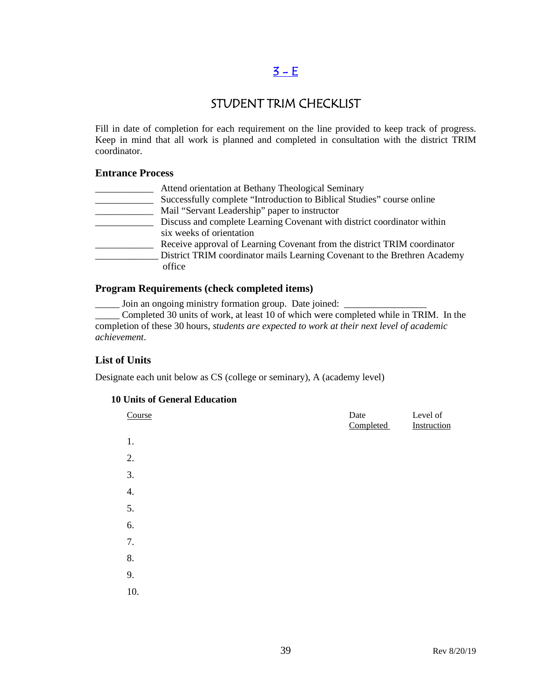### $3 - E$

### STUDENT TRIM CHECKLIST

Fill in date of completion for each requirement on the line provided to keep track of progress. Keep in mind that all work is planned and completed in consultation with the district TRIM coordinator.

#### **Entrance Process**

| Attend orientation at Bethany Theological Seminary                        |
|---------------------------------------------------------------------------|
| Successfully complete "Introduction to Biblical Studies" course online    |
| Mail "Servant Leadership" paper to instructor                             |
| Discuss and complete Learning Covenant with district coordinator within   |
| six weeks of orientation                                                  |
| Receive approval of Learning Covenant from the district TRIM coordinator  |
| District TRIM coordinator mails Learning Covenant to the Brethren Academy |
| office                                                                    |
|                                                                           |

#### **Program Requirements (check completed items)**

\_\_\_\_\_ Join an ongoing ministry formation group. Date joined: \_\_\_\_\_\_\_\_\_\_\_\_\_\_\_\_\_

\_\_\_\_\_ Completed 30 units of work, at least 10 of which were completed while in TRIM. In the completion of these 30 hours, *students are expected to work at their next level of academic achievement*.

#### **List of Units**

Designate each unit below as CS (college or seminary), A (academy level)

#### **10 Units of General Education**

| Course | Date<br>Completed | Level of<br>Instruction |
|--------|-------------------|-------------------------|
| 1.     |                   |                         |
| 2.     |                   |                         |
| 3.     |                   |                         |
| 4.     |                   |                         |
| 5.     |                   |                         |
| 6.     |                   |                         |
| 7.     |                   |                         |
| 8.     |                   |                         |
| 9.     |                   |                         |
| 10.    |                   |                         |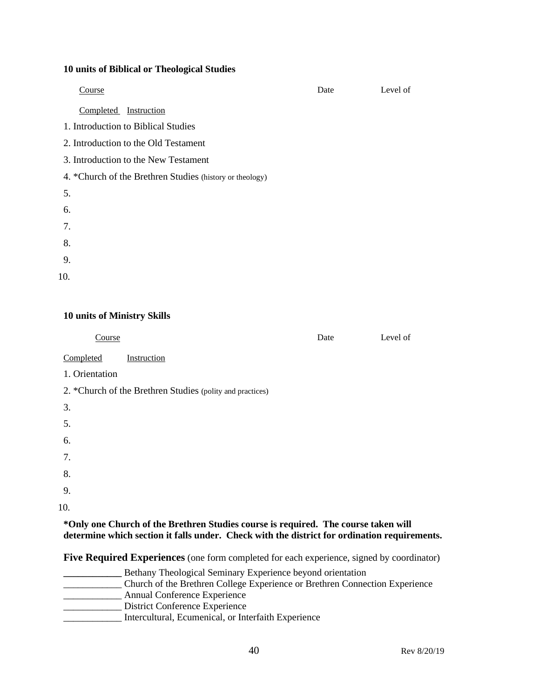#### **10 units of Biblical or Theological Studies**

| Course                                                   | Date | Level of |
|----------------------------------------------------------|------|----------|
| Completed Instruction                                    |      |          |
| 1. Introduction to Biblical Studies                      |      |          |
| 2. Introduction to the Old Testament                     |      |          |
| 3. Introduction to the New Testament                     |      |          |
| 4. *Church of the Brethren Studies (history or theology) |      |          |
| 5.                                                       |      |          |
| 6.                                                       |      |          |
| 7.                                                       |      |          |
| 8.                                                       |      |          |
| 9.                                                       |      |          |
| 10.                                                      |      |          |
|                                                          |      |          |

#### **10 units of Ministry Skills**

| Course                                                                               | Date | Level of |
|--------------------------------------------------------------------------------------|------|----------|
| Completed<br>Instruction                                                             |      |          |
| 1. Orientation                                                                       |      |          |
| 2. *Church of the Brethren Studies (polity and practices)                            |      |          |
| 3.                                                                                   |      |          |
| 5.                                                                                   |      |          |
| 6.                                                                                   |      |          |
| 7.                                                                                   |      |          |
| 8.                                                                                   |      |          |
| 9.                                                                                   |      |          |
| 10.                                                                                  |      |          |
| *Only and Church of the Drothron Studies course is required. The course to zero will |      |          |

**\*Only one Church of the Brethren Studies course is required. The course taken will determine which section it falls under. Check with the district for ordination requirements.**

**Five Required Experiences** (one form completed for each experience, signed by coordinator)

**\_\_\_\_\_\_\_\_\_\_\_\_** Bethany Theological Seminary Experience beyond orientation \_\_\_\_\_\_\_\_\_\_\_\_ Church of the Brethren College Experience or Brethren Connection Experience \_\_\_\_\_\_\_\_\_\_\_\_ Annual Conference Experience \_\_\_\_\_\_\_\_\_\_\_\_ District Conference Experience \_\_\_\_\_\_\_\_\_\_\_\_ Intercultural, Ecumenical, or Interfaith Experience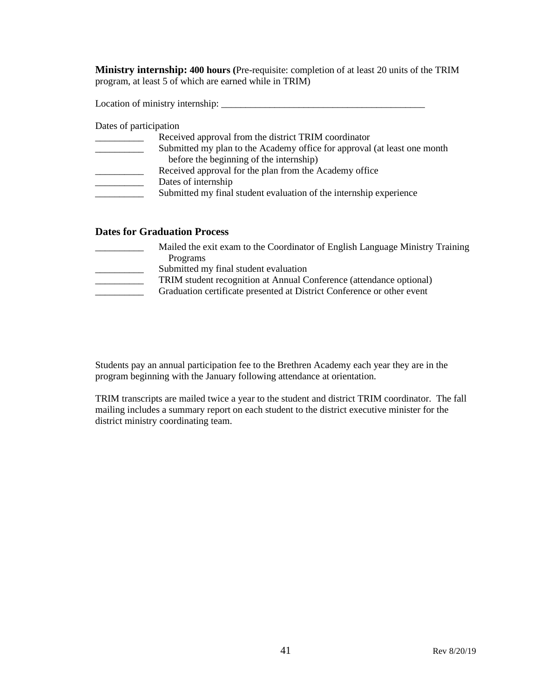**Ministry internship: 400 hours (**Pre-requisite: completion of at least 20 units of the TRIM program, at least 5 of which are earned while in TRIM)

Location of ministry internship: \_\_\_\_\_\_\_\_\_\_\_\_\_\_\_\_\_\_\_\_\_\_\_\_\_\_\_\_\_\_\_\_\_\_\_\_\_\_\_\_\_\_

Dates of participation

| Received approval from the district TRIM coordinator                     |
|--------------------------------------------------------------------------|
| Submitted my plan to the Academy office for approval (at least one month |
| before the beginning of the internship)                                  |
| Received approval for the plan from the Academy office                   |
| Dates of internship                                                      |
| Submitted my final student evaluation of the internship experience       |
|                                                                          |

#### **Dates for Graduation Process**

| Mailed the exit exam to the Coordinator of English Language Ministry Training |
|-------------------------------------------------------------------------------|
| Programs                                                                      |
| Submitted my final student evaluation                                         |
| TRIM student recognition at Annual Conference (attendance optional)           |
| Graduation certificate presented at District Conference or other event        |
|                                                                               |

Students pay an annual participation fee to the Brethren Academy each year they are in the program beginning with the January following attendance at orientation.

TRIM transcripts are mailed twice a year to the student and district TRIM coordinator. The fall mailing includes a summary report on each student to the district executive minister for the district ministry coordinating team.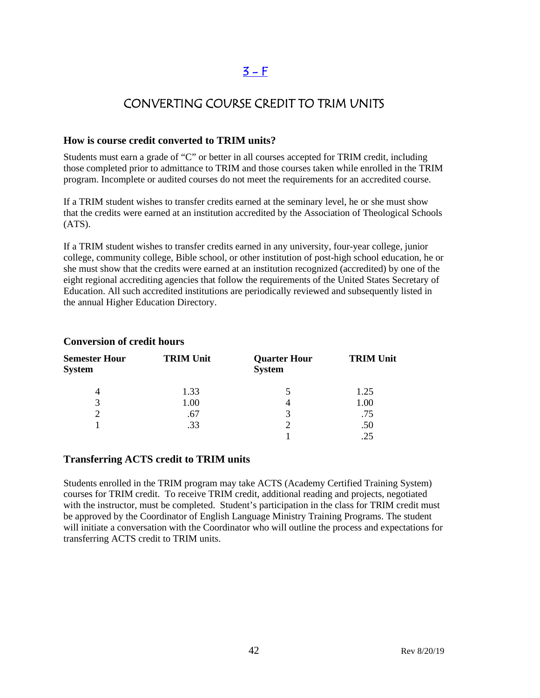# $3 - F$

### CONVERTING COURSE CREDIT TO TRIM UNITS

#### **How is course credit converted to TRIM units?**

Students must earn a grade of "C" or better in all courses accepted for TRIM credit, including those completed prior to admittance to TRIM and those courses taken while enrolled in the TRIM program. Incomplete or audited courses do not meet the requirements for an accredited course.

If a TRIM student wishes to transfer credits earned at the seminary level, he or she must show that the credits were earned at an institution accredited by the Association of Theological Schools  $(ATS)$ .

If a TRIM student wishes to transfer credits earned in any university, four-year college, junior college, community college, Bible school, or other institution of post-high school education, he or she must show that the credits were earned at an institution recognized (accredited) by one of the eight regional accrediting agencies that follow the requirements of the United States Secretary of Education. All such accredited institutions are periodically reviewed and subsequently listed in the annual Higher Education Directory.

| <b>Semester Hour</b><br><b>System</b> | <b>TRIM Unit</b> | <b>Quarter Hour</b><br><b>System</b> | <b>TRIM Unit</b> |
|---------------------------------------|------------------|--------------------------------------|------------------|
| 4                                     | 1.33             |                                      | 1.25             |
| 3                                     | 1.00             | 4                                    | 1.00             |
|                                       | .67              | 3                                    | .75              |
|                                       | .33              |                                      | .50              |
|                                       |                  |                                      |                  |

#### **Conversion of credit hours**

#### **Transferring ACTS credit to TRIM units**

Students enrolled in the TRIM program may take ACTS (Academy Certified Training System) courses for TRIM credit. To receive TRIM credit, additional reading and projects, negotiated with the instructor, must be completed. Student's participation in the class for TRIM credit must be approved by the Coordinator of English Language Ministry Training Programs. The student will initiate a conversation with the Coordinator who will outline the process and expectations for transferring ACTS credit to TRIM units.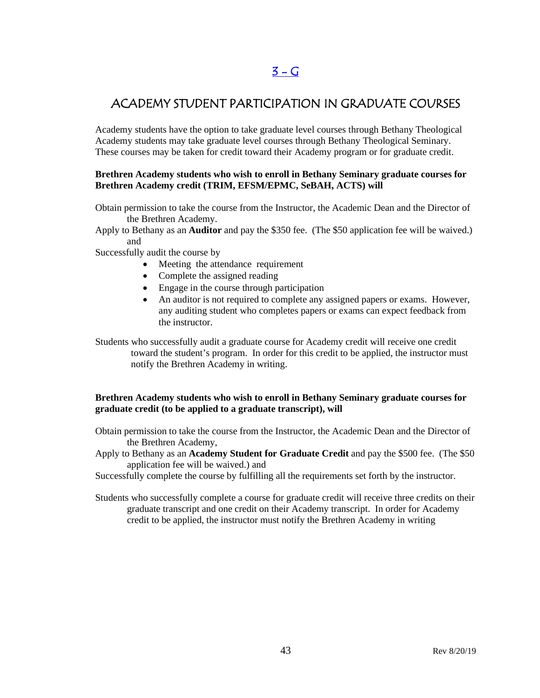### $3 - G$

### ACADEMY STUDENT PARTICIPATION IN GRADUATE COURSES

Academy students have the option to take graduate level courses through Bethany Theological Academy students may take graduate level courses through Bethany Theological Seminary. These courses may be taken for credit toward their Academy program or for graduate credit.

#### **Brethren Academy students who wish to enroll in Bethany Seminary graduate courses for Brethren Academy credit (TRIM, EFSM/EPMC, SeBAH, ACTS) will**

- Obtain permission to take the course from the Instructor, the Academic Dean and the Director of the Brethren Academy.
- Apply to Bethany as an **Auditor** and pay the \$350 fee. (The \$50 application fee will be waived.) and
- Successfully audit the course by
	- Meeting the attendance requirement
	- Complete the assigned reading
	- Engage in the course through participation
	- An auditor is not required to complete any assigned papers or exams. However, any auditing student who completes papers or exams can expect feedback from the instructor.
- Students who successfully audit a graduate course for Academy credit will receive one credit toward the student's program. In order for this credit to be applied, the instructor must notify the Brethren Academy in writing.

#### **Brethren Academy students who wish to enroll in Bethany Seminary graduate courses for graduate credit (to be applied to a graduate transcript), will**

- Obtain permission to take the course from the Instructor, the Academic Dean and the Director of the Brethren Academy,
- Apply to Bethany as an **Academy Student for Graduate Credit** and pay the \$500 fee. (The \$50 application fee will be waived.) and
- Successfully complete the course by fulfilling all the requirements set forth by the instructor.
- Students who successfully complete a course for graduate credit will receive three credits on their graduate transcript and one credit on their Academy transcript. In order for Academy credit to be applied, the instructor must notify the Brethren Academy in writing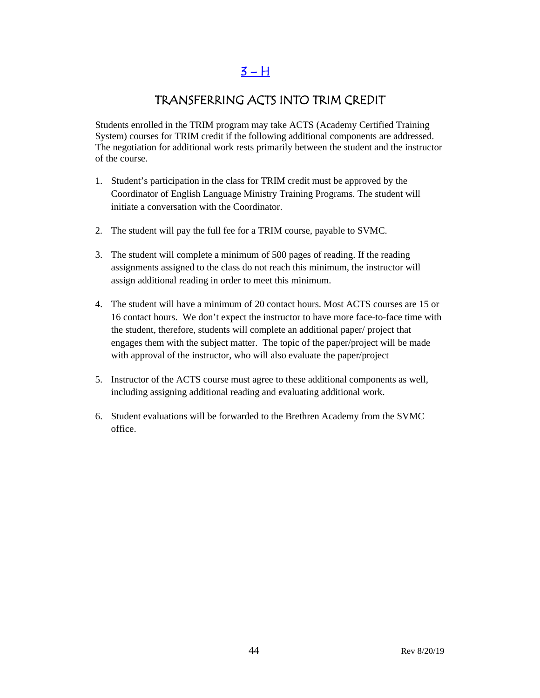$3 - H$ 

### TRANSFERRING ACTS INTO TRIM CREDIT

Students enrolled in the TRIM program may take ACTS (Academy Certified Training System) courses for TRIM credit if the following additional components are addressed. The negotiation for additional work rests primarily between the student and the instructor of the course.

- 1. Student's participation in the class for TRIM credit must be approved by the Coordinator of English Language Ministry Training Programs. The student will initiate a conversation with the Coordinator.
- 2. The student will pay the full fee for a TRIM course, payable to SVMC.
- 3. The student will complete a minimum of 500 pages of reading. If the reading assignments assigned to the class do not reach this minimum, the instructor will assign additional reading in order to meet this minimum.
- 4. The student will have a minimum of 20 contact hours. Most ACTS courses are 15 or 16 contact hours. We don't expect the instructor to have more face-to-face time with the student, therefore, students will complete an additional paper/ project that engages them with the subject matter. The topic of the paper/project will be made with approval of the instructor, who will also evaluate the paper/project
- 5. Instructor of the ACTS course must agree to these additional components as well, including assigning additional reading and evaluating additional work.
- 6. Student evaluations will be forwarded to the Brethren Academy from the SVMC office.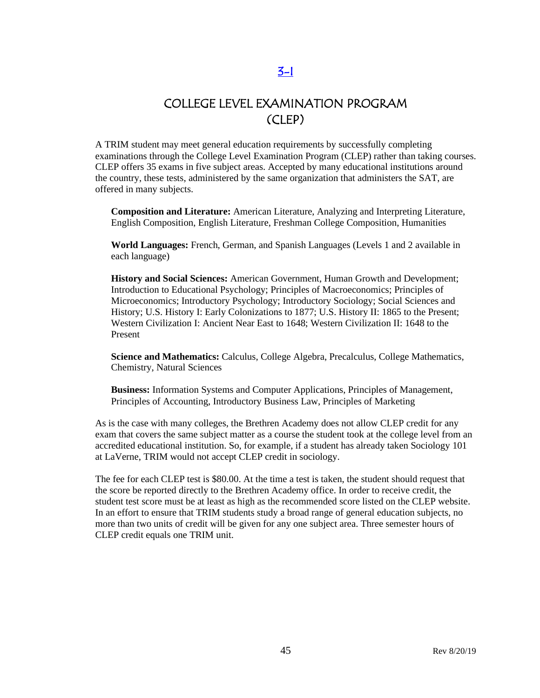### COLLEGE LEVEL EXAMINATION PROGRAM (CLEP)

A TRIM student may meet general education requirements by successfully completing examinations through the College Level Examination Program (CLEP) rather than taking courses. CLEP offers 35 exams in five subject areas. Accepted by many educational institutions around the country, these tests, administered by the same organization that administers the SAT, are offered in many subjects.

**Composition and Literature:** [American Literature,](http://www.collegeboard.com/student/testing/clep/ex_al.html) [Analyzing and Interpreting Literature,](http://www.collegeboard.com/student/testing/clep/ex_ail.html) [English Composition,](http://www.collegeboard.com/student/testing/clep/ex_ec.html) [English Literature,](http://www.collegeboard.com/student/testing/clep/ex_el.html) [Freshman College Composition,](http://www.collegeboard.com/student/testing/clep/ex_fcc.html) [Humanities](http://www.collegeboard.com/student/testing/clep/ex_hum.html)

**World Languages:** [French, German, and Spanish Languages \(Levels 1 and 2 available in](http://www.collegeboard.com/student/testing/clep/ex_clf.html)  [each language\)](http://www.collegeboard.com/student/testing/clep/ex_clf.html)

**History and Social Sciences:** [American Government,](http://www.collegeboard.com/student/testing/clep/ex_ag.html) [Human Growth and Development;](http://www.collegeboard.com/student/testing/clep/ex_hgd.html) [Introduction to Educational Psychology;](http://www.collegeboard.com/student/testing/clep/ex_iep.html) [Principles of Macroeconomics;](http://www.collegeboard.com/student/testing/clep/ex_pmac.html) [Principles of](http://www.collegeboard.com/student/testing/clep/ex_pmic.html)  [Microeconomics;](http://www.collegeboard.com/student/testing/clep/ex_pmic.html) [Introductory Psychology;](http://www.collegeboard.com/student/testing/clep/ex_ip.html) [Introductory Sociology;](http://www.collegeboard.com/student/testing/clep/ex_is.html) [Social Sciences and](http://www.collegeboard.com/student/testing/clep/ex_ssh.html)  [History;](http://www.collegeboard.com/student/testing/clep/ex_ssh.html) [U.S. History I: Early Colonizations to 1877;](http://www.collegeboard.com/student/testing/clep/ex_us1.html) [U.S. History II: 1865 to the Present;](http://www.collegeboard.com/student/testing/clep/ex_us2.html) [Western Civilization I: Ancient Near East to 1648;](http://www.collegeboard.com/student/testing/clep/ex_wc1.html) [Western Civilization II: 1648 to the](http://www.collegeboard.com/student/testing/clep/ex_wc2.html)  [Present](http://www.collegeboard.com/student/testing/clep/ex_wc2.html)

**Science and Mathematics:** [Calculus,](http://www.collegeboard.com/student/testing/clep/ex_calc.html) [College Algebra,](http://www.collegeboard.com/student/testing/clep/ex_ca.html) [Precalculus,](http://www.collegeboard.com/student/testing/clep/ex_pcal.html) [College Mathematics,](http://www.collegeboard.com/student/testing/clep/ex_cm.html) [Chemistry,](http://www.collegeboard.com/student/testing/clep/ex_chem.html) [Natural Sciences](http://www.collegeboard.com/student/testing/clep/ex_ns.html)

**Business:** [Information Systems and Computer Applications,](http://www.collegeboard.com/student/testing/clep/ex_isca.html) [Principles of Management,](http://www.collegeboard.com/student/testing/clep/ex_pman.html) [Principles of Accounting,](http://www.collegeboard.com/student/testing/clep/ex_pa.html) [Introductory Business Law,](http://www.collegeboard.com/student/testing/clep/ex_ibl.html) [Principles of Marketing](http://www.collegeboard.com/student/testing/clep/ex_pmark.html) 

As is the case with many colleges, the Brethren Academy does not allow CLEP credit for any exam that covers the same subject matter as a course the student took at the college level from an accredited educational institution. So, for example, if a student has already taken Sociology 101 at LaVerne, TRIM would not accept CLEP credit in sociology.

The fee for each CLEP test is \$80.00. At the time a test is taken, the student should request that the score be reported directly to the Brethren Academy office. In order to receive credit, the student test score must be at least as high as the recommended score listed on the CLEP website. In an effort to ensure that TRIM students study a broad range of general education subjects, no more than two units of credit will be given for any one subject area. Three semester hours of CLEP credit equals one TRIM unit.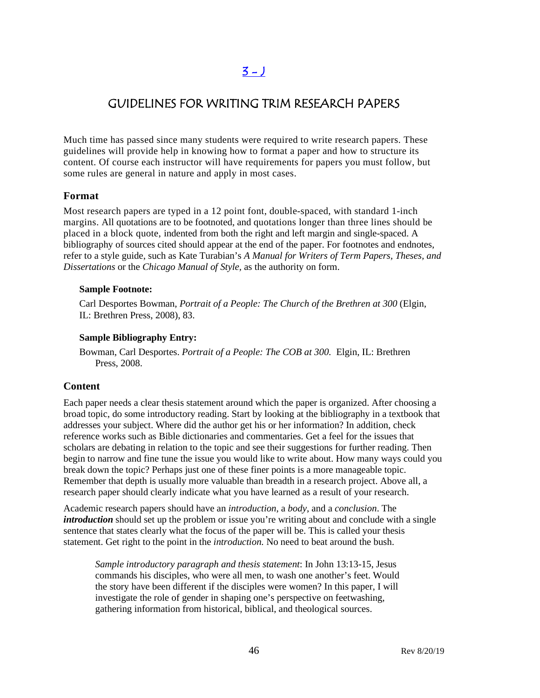# $3 - 1$

### GUIDELINES FOR WRITING TRIM RESEARCH PAPERS

Much time has passed since many students were required to write research papers. These guidelines will provide help in knowing how to format a paper and how to structure its content. Of course each instructor will have requirements for papers you must follow, but some rules are general in nature and apply in most cases.

#### **Format**

Most research papers are typed in a 12 point font, double-spaced, with standard 1-inch margins. All quotations are to be footnoted, and quotations longer than three lines should be placed in a block quote, indented from both the right and left margin and single-spaced. A bibliography of sources cited should appear at the end of the paper. For footnotes and endnotes, refer to a style guide, such as Kate Turabian's *A Manual for Writers of Term Papers, Theses, and Dissertations* or the *Chicago Manual of Style,* as the authority on form.

#### **Sample Footnote:**

Carl Desportes Bowman, *Portrait of a People: The Church of the Brethren at 300* (Elgin, IL: Brethren Press, 2008), 83.

#### **Sample Bibliography Entry:**

Bowman, Carl Desportes. *Portrait of a People: The COB at 300.* Elgin, IL: Brethren Press, 2008.

#### **Content**

Each paper needs a clear thesis statement around which the paper is organized. After choosing a broad topic, do some introductory reading. Start by looking at the bibliography in a textbook that addresses your subject. Where did the author get his or her information? In addition, check reference works such as Bible dictionaries and commentaries. Get a feel for the issues that scholars are debating in relation to the topic and see their suggestions for further reading. Then begin to narrow and fine tune the issue you would like to write about. How many ways could you break down the topic? Perhaps just one of these finer points is a more manageable topic. Remember that depth is usually more valuable than breadth in a research project. Above all, a research paper should clearly indicate what you have learned as a result of your research.

Academic research papers should have an *introduction*, a *body*, and a *conclusion*. The *introduction* should set up the problem or issue you're writing about and conclude with a single sentence that states clearly what the focus of the paper will be. This is called your thesis statement. Get right to the point in the *introduction.* No need to beat around the bush.

*Sample introductory paragraph and thesis statement*: In John 13:13-15, Jesus commands his disciples, who were all men, to wash one another's feet. Would the story have been different if the disciples were women? In this paper, I will investigate the role of gender in shaping one's perspective on feetwashing, gathering information from historical, biblical, and theological sources.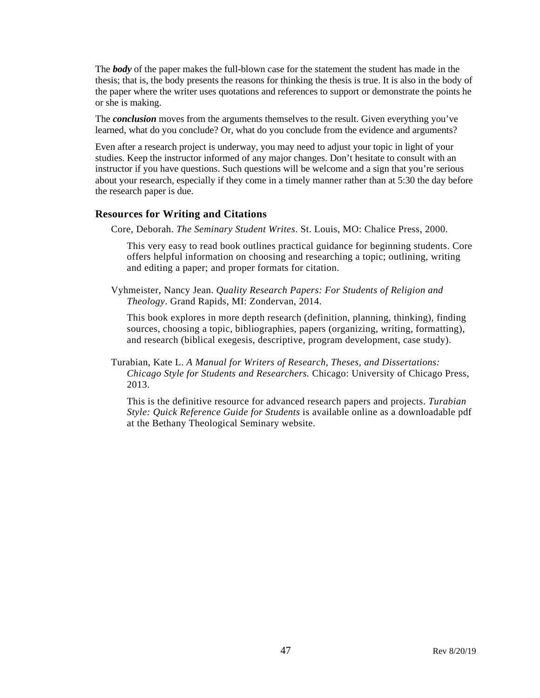The *body* of the paper makes the full-blown case for the statement the student has made in the thesis; that is, the body presents the reasons for thinking the thesis is true. It is also in the body of the paper where the writer uses quotations and references to support or demonstrate the points he or she is making.

The *conclusion* moves from the arguments themselves to the result. Given everything you've learned, what do you conclude? Or, what do you conclude from the evidence and arguments?

Even after a research project is underway, you may need to adjust your topic in light of your studies. Keep the instructor informed of any major changes. Don't hesitate to consult with an instructor if you have questions. Such questions will be welcome and a sign that you're serious about your research, especially if they come in a timely manner rather than at 5:30 the day before the research paper is due.

#### **Resources for Writing and Citations**

Core, Deborah. *The Seminary Student Writes*. St. Louis, MO: Chalice Press, 2000.

This very easy to read book outlines practical guidance for beginning students. Core offers helpful information on choosing and researching a topic; outlining, writing and editing a paper; and proper formats for citation.

Vyhmeister, Nancy Jean. *Quality Research Papers: For Students of Religion and Theology*. Grand Rapids, MI: Zondervan, 2014.

This book explores in more depth research (definition, planning, thinking), finding sources, choosing a topic, bibliographies, papers (organizing, writing, formatting), and research (biblical exegesis, descriptive, program development, case study).

Turabian, Kate L. *A Manual for Writers of Research, Theses, and Dissertations: Chicago Style for Students and Researchers.* Chicago: University of Chicago Press, 2013.

This is the definitive resource for advanced research papers and projects. *Turabian Style: Quick Reference Guide for Students* is available online as a downloadable pdf at the Bethany Theological Seminary website.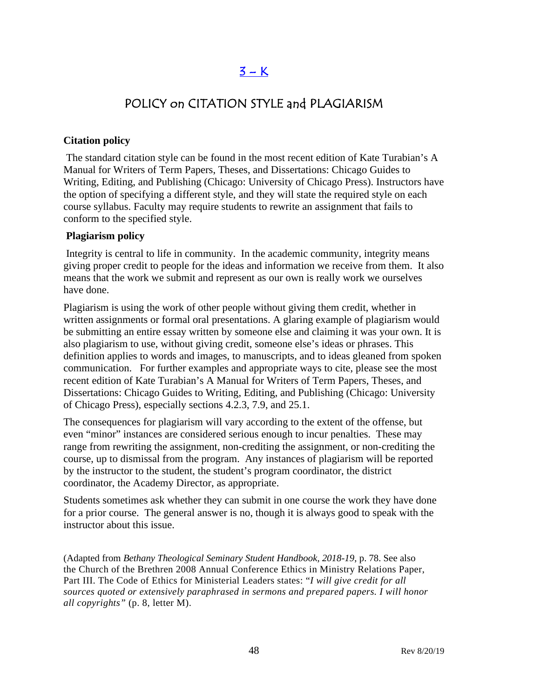# $3 - K$

### POLICY on CITATION STYLE and PLAGIARISM

#### **Citation policy**

The standard citation style can be found in the most recent edition of Kate Turabian's A Manual for Writers of Term Papers, Theses, and Dissertations: Chicago Guides to Writing, Editing, and Publishing (Chicago: University of Chicago Press). Instructors have the option of specifying a different style, and they will state the required style on each course syllabus. Faculty may require students to rewrite an assignment that fails to conform to the specified style.

#### **Plagiarism policy**

Integrity is central to life in community. In the academic community, integrity means giving proper credit to people for the ideas and information we receive from them. It also means that the work we submit and represent as our own is really work we ourselves have done.

Plagiarism is using the work of other people without giving them credit, whether in written assignments or formal oral presentations. A glaring example of plagiarism would be submitting an entire essay written by someone else and claiming it was your own. It is also plagiarism to use, without giving credit, someone else's ideas or phrases. This definition applies to words and images, to manuscripts, and to ideas gleaned from spoken communication. For further examples and appropriate ways to cite, please see the most recent edition of Kate Turabian's A Manual for Writers of Term Papers, Theses, and Dissertations: Chicago Guides to Writing, Editing, and Publishing (Chicago: University of Chicago Press), especially sections 4.2.3, 7.9, and 25.1.

The consequences for plagiarism will vary according to the extent of the offense, but even "minor" instances are considered serious enough to incur penalties. These may range from rewriting the assignment, non-crediting the assignment, or non-crediting the course, up to dismissal from the program. Any instances of plagiarism will be reported by the instructor to the student, the student's program coordinator, the district coordinator, the Academy Director, as appropriate.

Students sometimes ask whether they can submit in one course the work they have done for a prior course. The general answer is no, though it is always good to speak with the instructor about this issue.

(Adapted from *Bethany Theological Seminary Student Handbook, 2018-19*, p. 78. See also the Church of the Brethren 2008 Annual Conference Ethics in Ministry Relations Paper, Part III. The Code of Ethics for Ministerial Leaders states: "*I will give credit for all sources quoted or extensively paraphrased in sermons and prepared papers. I will honor all copyrights"* (p. 8, letter M).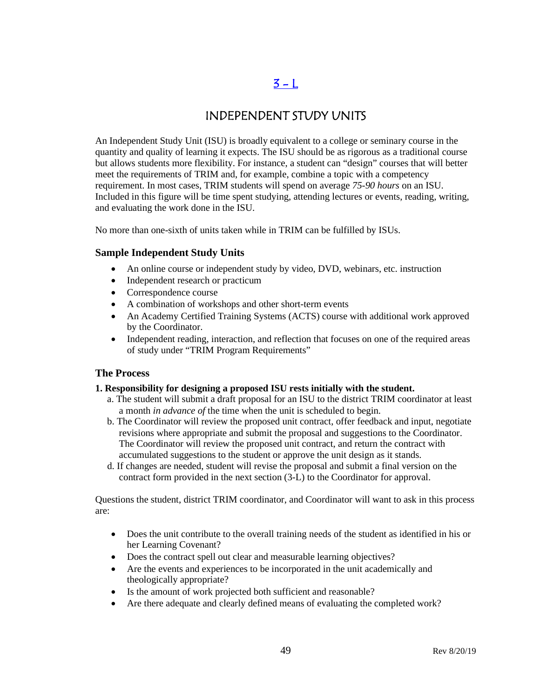# $3 - L$

### INDEPENDENT STUDY UNITS

An Independent Study Unit (ISU) is broadly equivalent to a college or seminary course in the quantity and quality of learning it expects. The ISU should be as rigorous as a traditional course but allows students more flexibility. For instance, a student can "design" courses that will better meet the requirements of TRIM and, for example, combine a topic with a competency requirement. In most cases, TRIM students will spend on average *75-90 hours* on an ISU. Included in this figure will be time spent studying, attending lectures or events, reading, writing, and evaluating the work done in the ISU.

No more than one-sixth of units taken while in TRIM can be fulfilled by ISUs.

#### **Sample Independent Study Units**

- An online course or independent study by video, DVD, webinars, etc. instruction
- Independent research or practicum
- Correspondence course
- A combination of workshops and other short-term events
- An Academy Certified Training Systems (ACTS) course with additional work approved by the Coordinator.
- Independent reading, interaction, and reflection that focuses on one of the required areas of study under "TRIM Program Requirements"

#### **The Process**

#### **1. Responsibility for designing a proposed ISU rests initially with the student.**

- a. The student will submit a draft proposal for an ISU to the district TRIM coordinator at least a month *in advance of* the time when the unit is scheduled to begin.
- b. The Coordinator will review the proposed unit contract, offer feedback and input, negotiate revisions where appropriate and submit the proposal and suggestions to the Coordinator. The Coordinator will review the proposed unit contract, and return the contract with accumulated suggestions to the student or approve the unit design as it stands.
- d. If changes are needed, student will revise the proposal and submit a final version on the contract form provided in the next section (3-L) to the Coordinator for approval.

Questions the student, district TRIM coordinator, and Coordinator will want to ask in this process are:

- Does the unit contribute to the overall training needs of the student as identified in his or her Learning Covenant?
- Does the contract spell out clear and measurable learning objectives?
- Are the events and experiences to be incorporated in the unit academically and theologically appropriate?
- Is the amount of work projected both sufficient and reasonable?
- Are there adequate and clearly defined means of evaluating the completed work?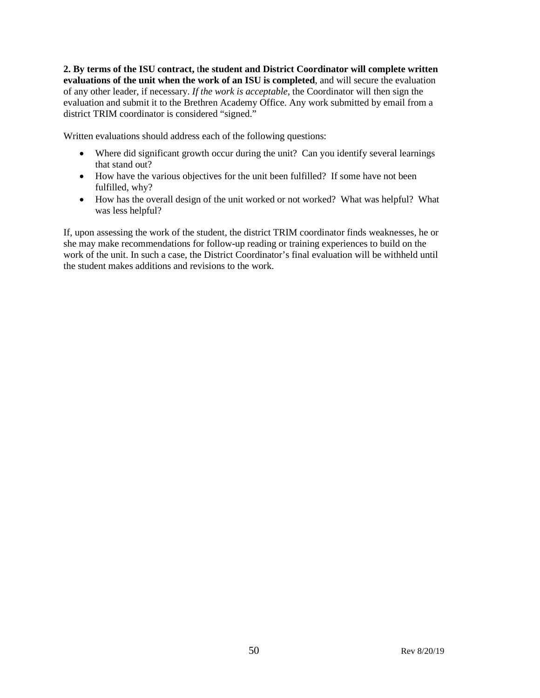**2. By terms of the ISU contract,** t**he student and District Coordinator will complete written evaluations of the unit when the work of an ISU is completed**, and will secure the evaluation of any other leader, if necessary. *If the work is acceptable,* the Coordinator will then sign the evaluation and submit it to the Brethren Academy Office. Any work submitted by email from a district TRIM coordinator is considered "signed."

Written evaluations should address each of the following questions:

- Where did significant growth occur during the unit? Can you identify several learnings that stand out?
- How have the various objectives for the unit been fulfilled? If some have not been fulfilled, why?
- How has the overall design of the unit worked or not worked? What was helpful? What was less helpful?

If, upon assessing the work of the student, the district TRIM coordinator finds weaknesses, he or she may make recommendations for follow-up reading or training experiences to build on the work of the unit. In such a case, the District Coordinator's final evaluation will be withheld until the student makes additions and revisions to the work.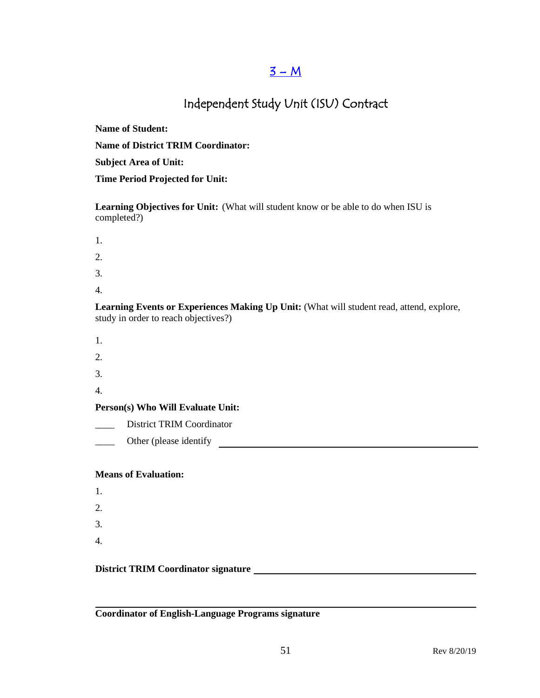### $3 - M$

# Independent Study Unit (ISU) Contract

**Name of Student:**

**Name of District TRIM Coordinator:**

**Subject Area of Unit:**

**Time Period Projected for Unit:**

**Learning Objectives for Unit:** (What will student know or be able to do when ISU is completed?)

- 1.
- 2.
- 3.
- 
- 4.

**Learning Events or Experiences Making Up Unit:** (What will student read, attend, explore, study in order to reach objectives?)

- 1.
- 2.
- 3.
- 4.

**Person(s) Who Will Evaluate Unit:**

\_\_\_\_ District TRIM Coordinator

\_\_\_\_ Other (please identify

#### **Means of Evaluation:**

1. 2. 3. 4.

#### **District TRIM Coordinator signature**

**Coordinator of English-Language Programs signature**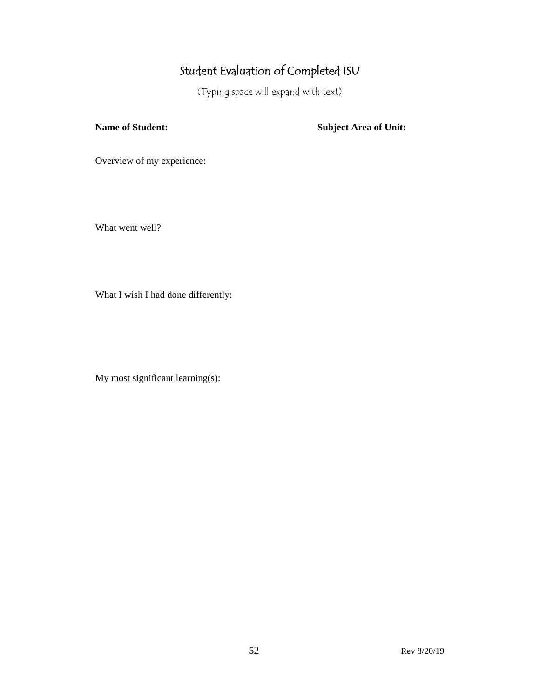# Student Evaluation of Completed ISU

(Typing space will expand with text)

**Name of Student: Subject Area of Unit:**

Overview of my experience:

What went well?

What I wish I had done differently:

My most significant learning(s):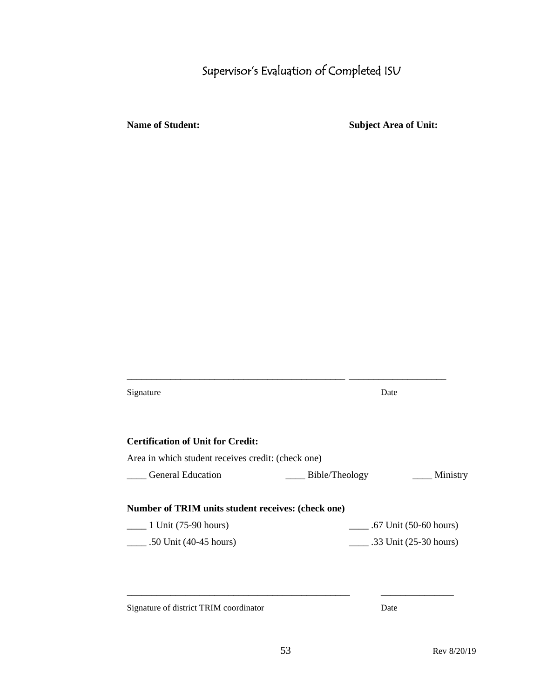# Supervisor's Evaluation of Completed ISU

**Name of Student: Subject Area of Unit:**

| Signature                                          | Date                                 |  |
|----------------------------------------------------|--------------------------------------|--|
| <b>Certification of Unit for Credit:</b>           |                                      |  |
| Area in which student receives credit: (check one) |                                      |  |
| <b>General Education</b>                           | Bible/Theology<br><u>__</u> Ministry |  |
| Number of TRIM units student receives: (check one) |                                      |  |
| $\frac{1 \text{ Unit}}{(75-90 \text{ hours})}$     | $\frac{1}{2}$ .67 Unit (50-60 hours) |  |
| $\_ .50$ Unit (40-45 hours)                        | .33 Unit $(25-30$ hours)             |  |
|                                                    |                                      |  |
|                                                    |                                      |  |
|                                                    |                                      |  |

**\_\_\_\_\_\_\_\_\_\_\_\_\_\_\_\_\_\_\_\_\_\_\_\_\_\_\_\_\_\_\_\_\_\_\_\_\_\_\_\_\_\_\_\_\_ \_\_\_\_\_\_\_\_\_\_\_\_\_\_\_\_\_\_\_\_**

Signature of district TRIM coordinator Date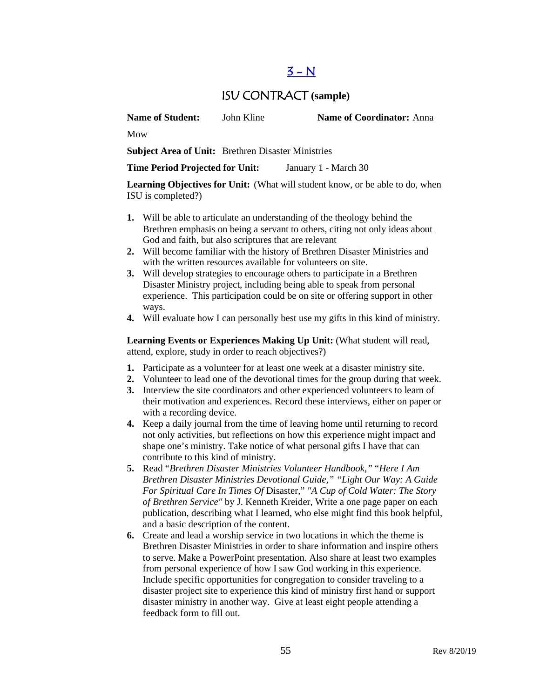### $3 - N$

### ISU CONTRACT **(sample)**

**Name of Student:** John Kline **Name of Coordinator:** Anna

Mow

**Subject Area of Unit:** Brethren Disaster Ministries

**Time Period Projected for Unit:** January 1 - March 30

**Learning Objectives for Unit:** (What will student know, or be able to do, when ISU is completed?)

- **1.** Will be able to articulate an understanding of the theology behind the Brethren emphasis on being a servant to others, citing not only ideas about God and faith, but also scriptures that are relevant
- **2.** Will become familiar with the history of Brethren Disaster Ministries and with the written resources available for volunteers on site.
- **3.** Will develop strategies to encourage others to participate in a Brethren Disaster Ministry project, including being able to speak from personal experience. This participation could be on site or offering support in other ways.
- **4.** Will evaluate how I can personally best use my gifts in this kind of ministry.

Learning Events or Experiences Making Up Unit: (What student will read, attend, explore, study in order to reach objectives?)

- **1.** Participate as a volunteer for at least one week at a disaster ministry site.
- **2.** Volunteer to lead one of the devotional times for the group during that week.
- **3.** Interview the site coordinators and other experienced volunteers to learn of their motivation and experiences. Record these interviews, either on paper or with a recording device.
- **4.** Keep a daily journal from the time of leaving home until returning to record not only activities, but reflections on how this experience might impact and shape one's ministry. Take notice of what personal gifts I have that can contribute to this kind of ministry.
- **5.** Read "*Brethren Disaster Ministries Volunteer Handbook,"* "*Here I Am Brethren Disaster Ministries Devotional Guide," "Light Our Way: A Guide For Spiritual Care In Times Of* Disaster," *"A Cup of Cold Water: The Story of Brethren Service"* by J. Kenneth Kreider, Write a one page paper on each publication, describing what I learned, who else might find this book helpful, and a basic description of the content.
- **6.** Create and lead a worship service in two locations in which the theme is Brethren Disaster Ministries in order to share information and inspire others to serve. Make a PowerPoint presentation. Also share at least two examples from personal experience of how I saw God working in this experience. Include specific opportunities for congregation to consider traveling to a disaster project site to experience this kind of ministry first hand or support disaster ministry in another way. Give at least eight people attending a feedback form to fill out.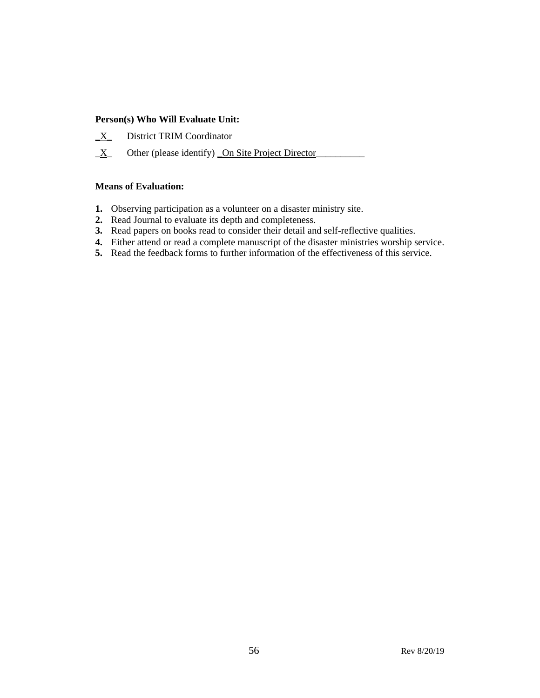#### **Person(s) Who Will Evaluate Unit:**

- **\_**X\_ District TRIM Coordinator
- $\underline{X}$  Other (please identify) On Site Project Director

#### **Means of Evaluation:**

- **1.** Observing participation as a volunteer on a disaster ministry site.
- **2.** Read Journal to evaluate its depth and completeness.
- **3.** Read papers on books read to consider their detail and self-reflective qualities.
- **4.** Either attend or read a complete manuscript of the disaster ministries worship service.
- **5.** Read the feedback forms to further information of the effectiveness of this service.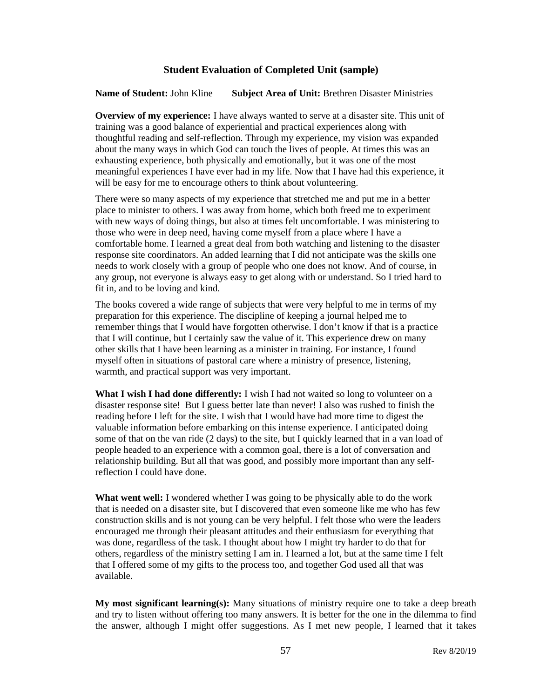#### **Student Evaluation of Completed Unit (sample)**

**Name of Student:** John Kline **Subject Area of Unit:** Brethren Disaster Ministries

**Overview of my experience:** I have always wanted to serve at a disaster site. This unit of training was a good balance of experiential and practical experiences along with thoughtful reading and self-reflection. Through my experience, my vision was expanded about the many ways in which God can touch the lives of people. At times this was an exhausting experience, both physically and emotionally, but it was one of the most meaningful experiences I have ever had in my life. Now that I have had this experience, it will be easy for me to encourage others to think about volunteering.

There were so many aspects of my experience that stretched me and put me in a better place to minister to others. I was away from home, which both freed me to experiment with new ways of doing things, but also at times felt uncomfortable. I was ministering to those who were in deep need, having come myself from a place where I have a comfortable home. I learned a great deal from both watching and listening to the disaster response site coordinators. An added learning that I did not anticipate was the skills one needs to work closely with a group of people who one does not know. And of course, in any group, not everyone is always easy to get along with or understand. So I tried hard to fit in, and to be loving and kind.

The books covered a wide range of subjects that were very helpful to me in terms of my preparation for this experience. The discipline of keeping a journal helped me to remember things that I would have forgotten otherwise. I don't know if that is a practice that I will continue, but I certainly saw the value of it. This experience drew on many other skills that I have been learning as a minister in training. For instance, I found myself often in situations of pastoral care where a ministry of presence, listening, warmth, and practical support was very important.

**What I wish I had done differently:** I wish I had not waited so long to volunteer on a disaster response site! But I guess better late than never! I also was rushed to finish the reading before I left for the site. I wish that I would have had more time to digest the valuable information before embarking on this intense experience. I anticipated doing some of that on the van ride (2 days) to the site, but I quickly learned that in a van load of people headed to an experience with a common goal, there is a lot of conversation and relationship building. But all that was good, and possibly more important than any selfreflection I could have done.

**What went well:** I wondered whether I was going to be physically able to do the work that is needed on a disaster site, but I discovered that even someone like me who has few construction skills and is not young can be very helpful. I felt those who were the leaders encouraged me through their pleasant attitudes and their enthusiasm for everything that was done, regardless of the task. I thought about how I might try harder to do that for others, regardless of the ministry setting I am in. I learned a lot, but at the same time I felt that I offered some of my gifts to the process too, and together God used all that was available.

**My most significant learning(s):** Many situations of ministry require one to take a deep breath and try to listen without offering too many answers. It is better for the one in the dilemma to find the answer, although I might offer suggestions. As I met new people, I learned that it takes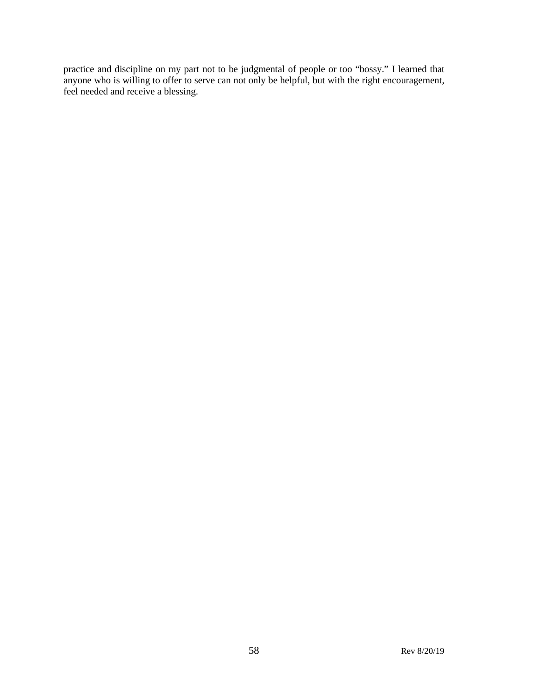practice and discipline on my part not to be judgmental of people or too "bossy." I learned that anyone who is willing to offer to serve can not only be helpful, but with the right encouragement, feel needed and receive a blessing.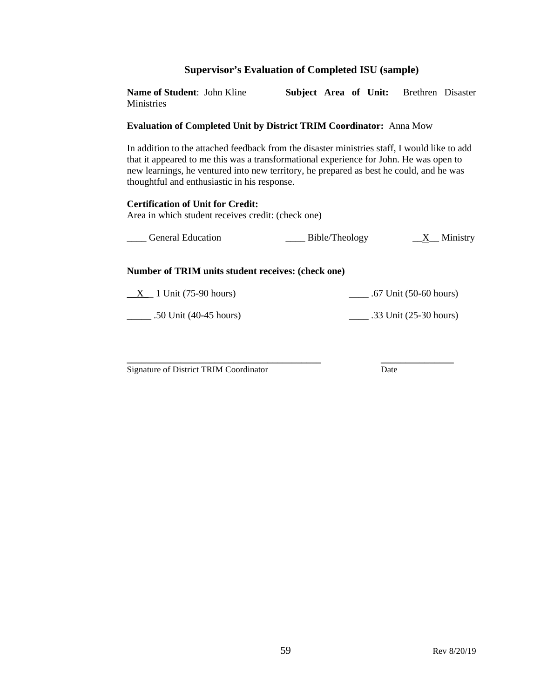#### **Supervisor's Evaluation of Completed ISU (sample)**

**Name of Student**: John Kline **Subject Area of Unit:** Brethren Disaster **Ministries** 

#### **Evaluation of Completed Unit by District TRIM Coordinator:** Anna Mow

In addition to the attached feedback from the disaster ministries staff, I would like to add that it appeared to me this was a transformational experience for John. He was open to new learnings, he ventured into new territory, he prepared as best he could, and he was thoughtful and enthusiastic in his response.

#### **Certification of Unit for Credit:**

Area in which student receives credit: (check one)

| <b>General Education</b> | Bible/Theology | Ministry |
|--------------------------|----------------|----------|
|                          |                |          |

#### **Number of TRIM units student receives: (check one)**

 $\_X\_$  1 Unit (75-90 hours)  $\_$  .67 Unit (50-60 hours)

\_\_\_\_\_ .50 Unit (40-45 hours) \_\_\_\_ .33 Unit (25-30 hours)

**\_\_\_\_\_\_\_\_\_\_\_\_\_\_\_\_\_\_\_\_\_\_\_\_\_\_\_\_\_\_\_\_\_\_\_\_\_\_\_\_ \_\_\_\_\_\_\_\_\_\_\_\_\_\_\_** Signature of District TRIM Coordinator Date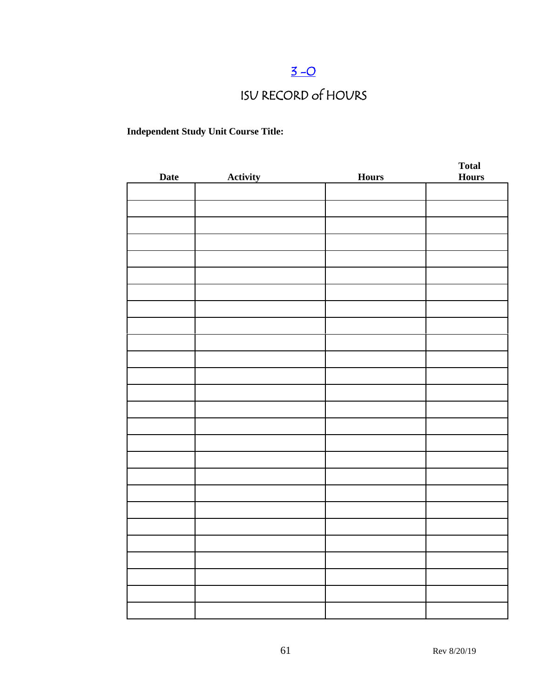# $3 - 0$

# ISU RECORD of HOURS

### **Independent Study Unit Course Title:**

| <b>Date</b> | Activity | <b>Hours</b> | <b>Total</b><br><b>Hours</b> |
|-------------|----------|--------------|------------------------------|
|             |          |              |                              |
|             |          |              |                              |
|             |          |              |                              |
|             |          |              |                              |
|             |          |              |                              |
|             |          |              |                              |
|             |          |              |                              |
|             |          |              |                              |
|             |          |              |                              |
|             |          |              |                              |
|             |          |              |                              |
|             |          |              |                              |
|             |          |              |                              |
|             |          |              |                              |
|             |          |              |                              |
|             |          |              |                              |
|             |          |              |                              |
|             |          |              |                              |
|             |          |              |                              |
|             |          |              |                              |
|             |          |              |                              |
|             |          |              |                              |
|             |          |              |                              |
|             |          |              |                              |
|             |          |              |                              |
|             |          |              |                              |
|             |          |              |                              |
|             |          |              |                              |
|             |          |              |                              |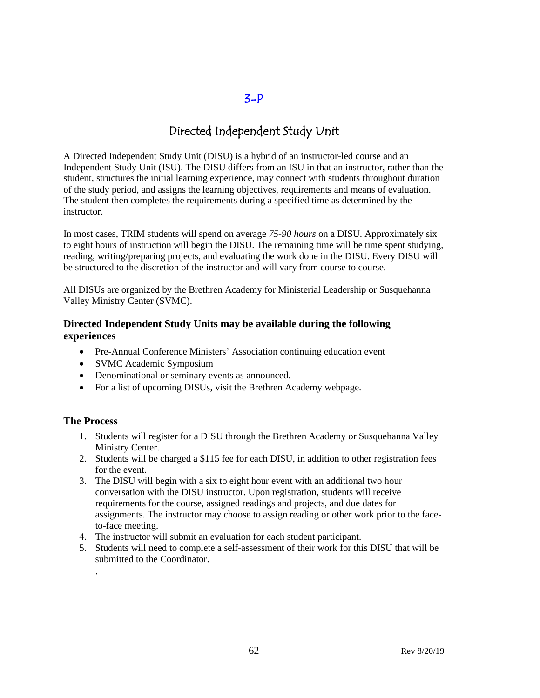### [3-P](#page-2-0)

### Directed Independent Study Unit

A Directed Independent Study Unit (DISU) is a hybrid of an instructor-led course and an Independent Study Unit (ISU). The DISU differs from an ISU in that an instructor, rather than the student, structures the initial learning experience, may connect with students throughout duration of the study period, and assigns the learning objectives, requirements and means of evaluation. The student then completes the requirements during a specified time as determined by the instructor.

In most cases, TRIM students will spend on average *75-90 hours* on a DISU. Approximately six to eight hours of instruction will begin the DISU. The remaining time will be time spent studying, reading, writing/preparing projects, and evaluating the work done in the DISU. Every DISU will be structured to the discretion of the instructor and will vary from course to course.

All DISUs are organized by the Brethren Academy for Ministerial Leadership or Susquehanna Valley Ministry Center (SVMC).

#### **Directed Independent Study Units may be available during the following experiences**

- Pre-Annual Conference Ministers' Association continuing education event
- SVMC Academic Symposium
- Denominational or seminary events as announced.
- For a list of upcoming DISUs, visit the Brethren Academy webpage.

#### **The Process**

.

- 1. Students will register for a DISU through the Brethren Academy or Susquehanna Valley Ministry Center.
- 2. Students will be charged a \$115 fee for each DISU, in addition to other registration fees for the event.
- 3. The DISU will begin with a six to eight hour event with an additional two hour conversation with the DISU instructor. Upon registration, students will receive requirements for the course, assigned readings and projects, and due dates for assignments. The instructor may choose to assign reading or other work prior to the faceto-face meeting.
- 4. The instructor will submit an evaluation for each student participant.
- 5. Students will need to complete a self-assessment of their work for this DISU that will be submitted to the Coordinator.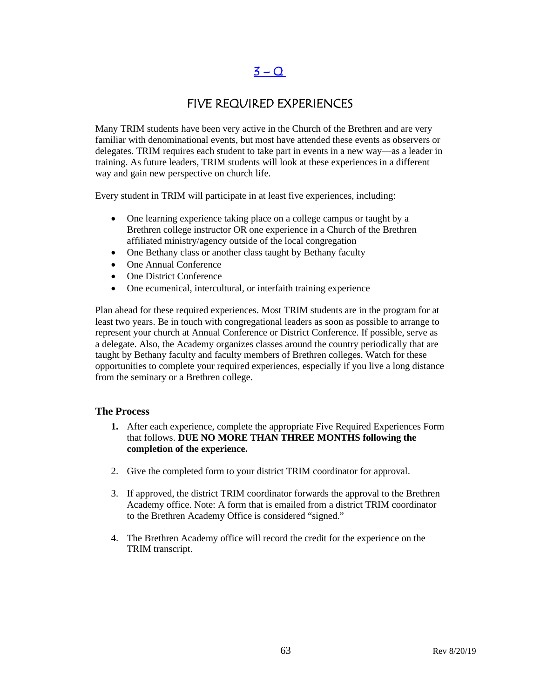### $3 - Q$

### FIVE REQUIRED EXPERIENCES

Many TRIM students have been very active in the Church of the Brethren and are very familiar with denominational events, but most have attended these events as observers or delegates. TRIM requires each student to take part in events in a new way—as a leader in training. As future leaders, TRIM students will look at these experiences in a different way and gain new perspective on church life.

Every student in TRIM will participate in at least five experiences, including:

- One learning experience taking place on a college campus or taught by a Brethren college instructor OR one experience in a Church of the Brethren affiliated ministry/agency outside of the local congregation
- One Bethany class or another class taught by Bethany faculty
- One Annual Conference
- One District Conference
- One ecumenical, intercultural, or interfaith training experience

Plan ahead for these required experiences. Most TRIM students are in the program for at least two years. Be in touch with congregational leaders as soon as possible to arrange to represent your church at Annual Conference or District Conference. If possible, serve as a delegate. Also, the Academy organizes classes around the country periodically that are taught by Bethany faculty and faculty members of Brethren colleges. Watch for these opportunities to complete your required experiences, especially if you live a long distance from the seminary or a Brethren college.

#### **The Process**

- **1.** After each experience, complete the appropriate Five Required Experiences Form that follows. **DUE NO MORE THAN THREE MONTHS following the completion of the experience.**
- 2. Give the completed form to your district TRIM coordinator for approval.
- 3. If approved, the district TRIM coordinator forwards the approval to the Brethren Academy office. Note: A form that is emailed from a district TRIM coordinator to the Brethren Academy Office is considered "signed."
- 4. The Brethren Academy office will record the credit for the experience on the TRIM transcript.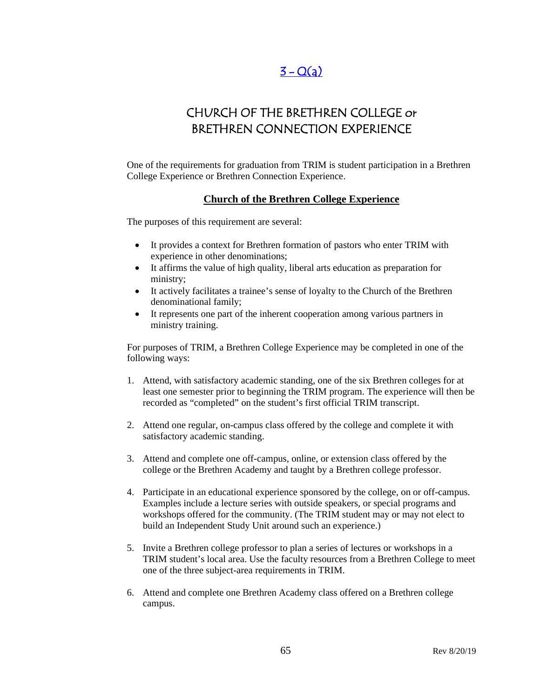### $3 - Q(a)$

## CHURCH OF THE BRETHREN COLLEGE or BRETHREN CONNECTION EXPERIENCE

One of the requirements for graduation from TRIM is student participation in a Brethren College Experience or Brethren Connection Experience.

#### **Church of the Brethren College Experience**

The purposes of this requirement are several:

- It provides a context for Brethren formation of pastors who enter TRIM with experience in other denominations;
- It affirms the value of high quality, liberal arts education as preparation for ministry;
- It actively facilitates a trainee's sense of loyalty to the Church of the Brethren denominational family;
- It represents one part of the inherent cooperation among various partners in ministry training.

For purposes of TRIM, a Brethren College Experience may be completed in one of the following ways:

- 1. Attend, with satisfactory academic standing, one of the six Brethren colleges for at least one semester prior to beginning the TRIM program. The experience will then be recorded as "completed" on the student's first official TRIM transcript.
- 2. Attend one regular, on-campus class offered by the college and complete it with satisfactory academic standing.
- 3. Attend and complete one off-campus, online, or extension class offered by the college or the Brethren Academy and taught by a Brethren college professor.
- 4. Participate in an educational experience sponsored by the college, on or off-campus. Examples include a lecture series with outside speakers, or special programs and workshops offered for the community. (The TRIM student may or may not elect to build an Independent Study Unit around such an experience.)
- 5. Invite a Brethren college professor to plan a series of lectures or workshops in a TRIM student's local area. Use the faculty resources from a Brethren College to meet one of the three subject-area requirements in TRIM.
- 6. Attend and complete one Brethren Academy class offered on a Brethren college campus.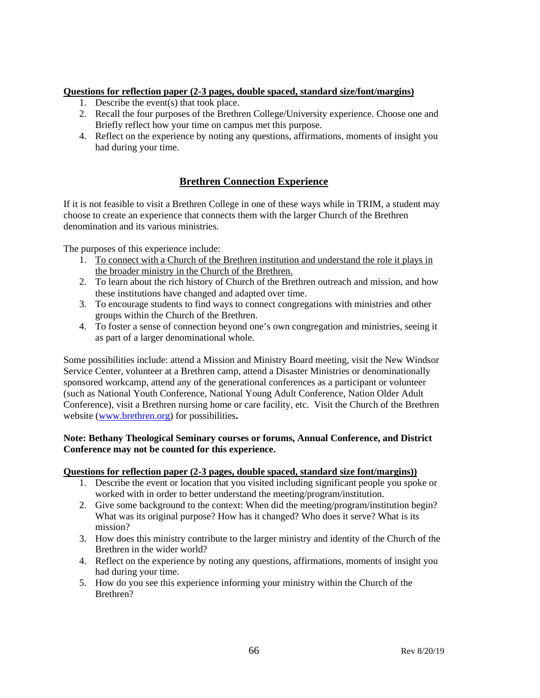#### **Questions for reflection paper (2-3 pages, double spaced, standard size/font/margins)**

- 1. Describe the event(s) that took place.
- 2. Recall the four purposes of the Brethren College/University experience. Choose one and Briefly reflect how your time on campus met this purpose.
- 4. Reflect on the experience by noting any questions, affirmations, moments of insight you had during your time.

### **Brethren Connection Experience**

If it is not feasible to visit a Brethren College in one of these ways while in TRIM, a student may choose to create an experience that connects them with the larger Church of the Brethren denomination and its various ministries.

The purposes of this experience include:

- 1. To connect with a Church of the Brethren institution and understand the role it plays in the broader ministry in the Church of the Brethren.
- 2. To learn about the rich history of Church of the Brethren outreach and mission, and how these institutions have changed and adapted over time.
- 3. To encourage students to find ways to connect congregations with ministries and other groups within the Church of the Brethren.
- 4. To foster a sense of connection beyond one's own congregation and ministries, seeing it as part of a larger denominational whole.

Some possibilities include: attend a Mission and Ministry Board meeting, visit the New Windsor Service Center, volunteer at a Brethren camp, attend a Disaster Ministries or denominationally sponsored workcamp, attend any of the generational conferences as a participant or volunteer (such as National Youth Conference, National Young Adult Conference, Nation Older Adult Conference), visit a Brethren nursing home or care facility, etc. Visit the Church of the Brethren website [\(www.brethren.org\)](http://www.brethren.org/) for possibilities**.** 

#### **Note: Bethany Theological Seminary courses or forums, Annual Conference, and District Conference may not be counted for this experience.**

#### **Questions for reflection paper (2-3 pages, double spaced, standard size font/margins))**

- 1. Describe the event or location that you visited including significant people you spoke or worked with in order to better understand the meeting/program/institution.
- 2. Give some background to the context: When did the meeting/program/institution begin? What was its original purpose? How has it changed? Who does it serve? What is its mission?
- 3. How does this ministry contribute to the larger ministry and identity of the Church of the Brethren in the wider world?
- 4. Reflect on the experience by noting any questions, affirmations, moments of insight you had during your time.
- 5. How do you see this experience informing your ministry within the Church of the Brethren?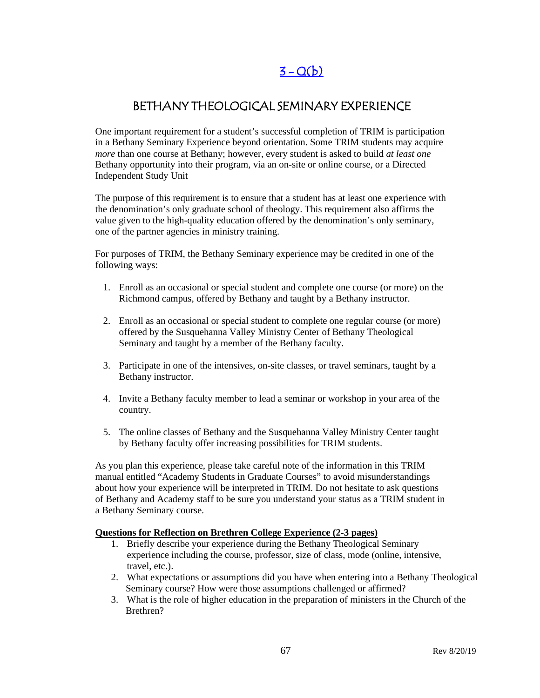# $3 - Q(b)$

### BETHANY THEOLOGICAL SEMINARY EXPERIENCE

One important requirement for a student's successful completion of TRIM is participation in a Bethany Seminary Experience beyond orientation. Some TRIM students may acquire *more* than one course at Bethany; however, every student is asked to build *at least one* Bethany opportunity into their program, via an on-site or online course, or a Directed Independent Study Unit

The purpose of this requirement is to ensure that a student has at least one experience with the denomination's only graduate school of theology. This requirement also affirms the value given to the high-quality education offered by the denomination's only seminary, one of the partner agencies in ministry training.

For purposes of TRIM, the Bethany Seminary experience may be credited in one of the following ways:

- 1. Enroll as an occasional or special student and complete one course (or more) on the Richmond campus, offered by Bethany and taught by a Bethany instructor.
- 2. Enroll as an occasional or special student to complete one regular course (or more) offered by the Susquehanna Valley Ministry Center of Bethany Theological Seminary and taught by a member of the Bethany faculty.
- 3. Participate in one of the intensives, on-site classes, or travel seminars, taught by a Bethany instructor.
- 4. Invite a Bethany faculty member to lead a seminar or workshop in your area of the country.
- 5. The online classes of Bethany and the Susquehanna Valley Ministry Center taught by Bethany faculty offer increasing possibilities for TRIM students.

As you plan this experience, please take careful note of the information in this TRIM manual entitled "Academy Students in Graduate Courses" to avoid misunderstandings about how your experience will be interpreted in TRIM. Do not hesitate to ask questions of Bethany and Academy staff to be sure you understand your status as a TRIM student in a Bethany Seminary course.

#### **Questions for Reflection on Brethren College Experience (2-3 pages)**

- 1. Briefly describe your experience during the Bethany Theological Seminary experience including the course, professor, size of class, mode (online, intensive, travel, etc.).
- 2. What expectations or assumptions did you have when entering into a Bethany Theological Seminary course? How were those assumptions challenged or affirmed?
- 3. What is the role of higher education in the preparation of ministers in the Church of the Brethren?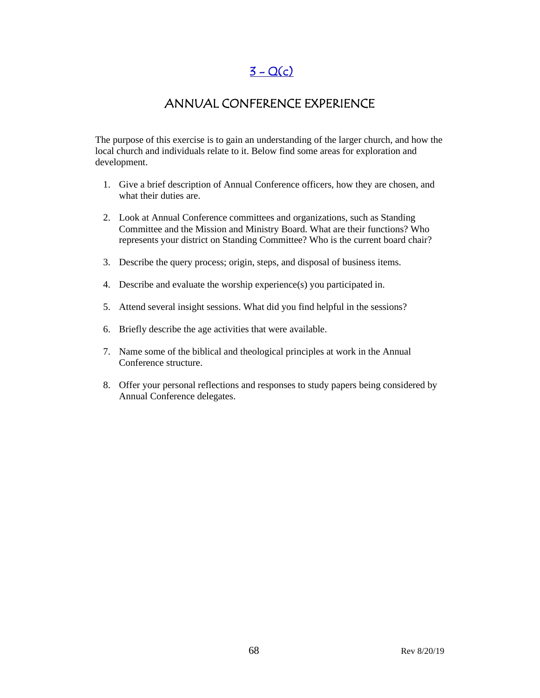$3 - Q(c)$ 

### ANNUAL CONFERENCE EXPERIENCE

The purpose of this exercise is to gain an understanding of the larger church, and how the local church and individuals relate to it. Below find some areas for exploration and development.

- 1. Give a brief description of Annual Conference officers, how they are chosen, and what their duties are.
- 2. Look at Annual Conference committees and organizations, such as Standing Committee and the Mission and Ministry Board. What are their functions? Who represents your district on Standing Committee? Who is the current board chair?
- 3. Describe the query process; origin, steps, and disposal of business items.
- 4. Describe and evaluate the worship experience(s) you participated in.
- 5. Attend several insight sessions. What did you find helpful in the sessions?
- 6. Briefly describe the age activities that were available.
- 7. Name some of the biblical and theological principles at work in the Annual Conference structure.
- 8. Offer your personal reflections and responses to study papers being considered by Annual Conference delegates.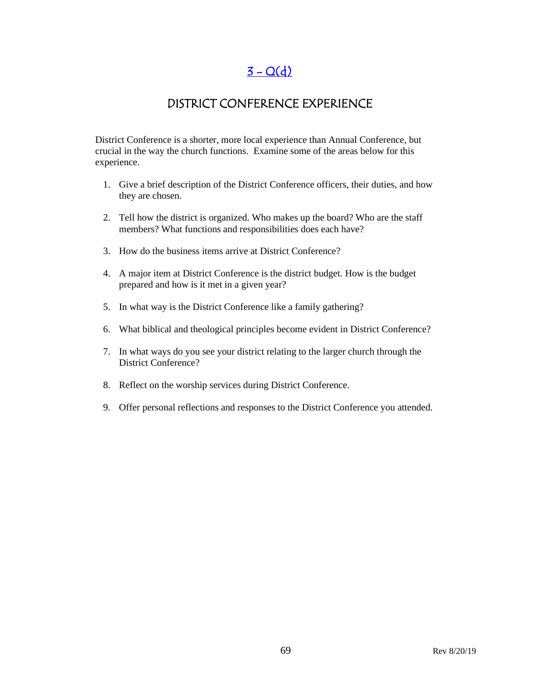## $3 - Q(d)$

### DISTRICT CONFERENCE EXPERIENCE

District Conference is a shorter, more local experience than Annual Conference, but crucial in the way the church functions. Examine some of the areas below for this experience.

- 1. Give a brief description of the District Conference officers, their duties, and how they are chosen.
- 2. Tell how the district is organized. Who makes up the board? Who are the staff members? What functions and responsibilities does each have?
- 3. How do the business items arrive at District Conference?
- 4. A major item at District Conference is the district budget. How is the budget prepared and how is it met in a given year?
- 5. In what way is the District Conference like a family gathering?
- 6. What biblical and theological principles become evident in District Conference?
- 7. In what ways do you see your district relating to the larger church through the District Conference?
- 8. Reflect on the worship services during District Conference.
- 9. Offer personal reflections and responses to the District Conference you attended.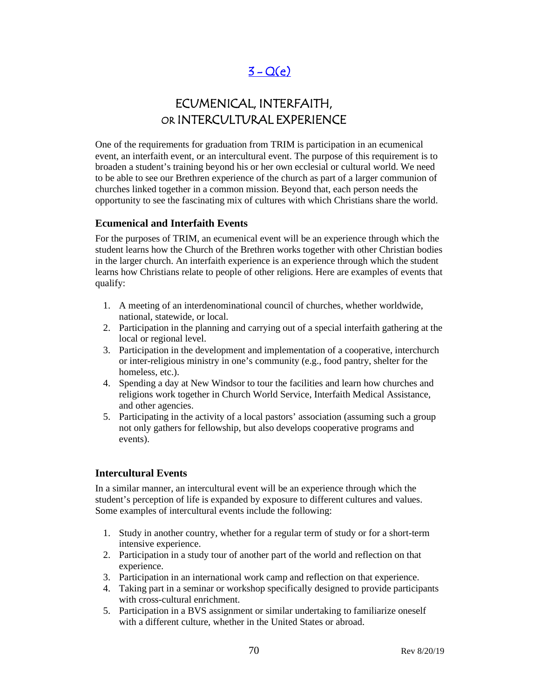# $3 - Q(e)$

# ECUMENICAL, INTERFAITH, OR INTERCULTURAL EXPERIENCE

One of the requirements for graduation from TRIM is participation in an ecumenical event, an interfaith event, or an intercultural event. The purpose of this requirement is to broaden a student's training beyond his or her own ecclesial or cultural world. We need to be able to see our Brethren experience of the church as part of a larger communion of churches linked together in a common mission. Beyond that, each person needs the opportunity to see the fascinating mix of cultures with which Christians share the world.

#### **Ecumenical and Interfaith Events**

For the purposes of TRIM, an ecumenical event will be an experience through which the student learns how the Church of the Brethren works together with other Christian bodies in the larger church. An interfaith experience is an experience through which the student learns how Christians relate to people of other religions. Here are examples of events that qualify:

- 1. A meeting of an interdenominational council of churches, whether worldwide, national, statewide, or local.
- 2. Participation in the planning and carrying out of a special interfaith gathering at the local or regional level.
- 3. Participation in the development and implementation of a cooperative, interchurch or inter-religious ministry in one's community (e.g., food pantry, shelter for the homeless, etc.).
- 4. Spending a day at New Windsor to tour the facilities and learn how churches and religions work together in Church World Service, Interfaith Medical Assistance, and other agencies.
- 5. Participating in the activity of a local pastors' association (assuming such a group not only gathers for fellowship, but also develops cooperative programs and events).

#### **Intercultural Events**

In a similar manner, an intercultural event will be an experience through which the student's perception of life is expanded by exposure to different cultures and values. Some examples of intercultural events include the following:

- 1. Study in another country, whether for a regular term of study or for a short-term intensive experience.
- 2. Participation in a study tour of another part of the world and reflection on that experience.
- 3. Participation in an international work camp and reflection on that experience.
- 4. Taking part in a seminar or workshop specifically designed to provide participants with cross-cultural enrichment.
- 5. Participation in a BVS assignment or similar undertaking to familiarize oneself with a different culture, whether in the United States or abroad.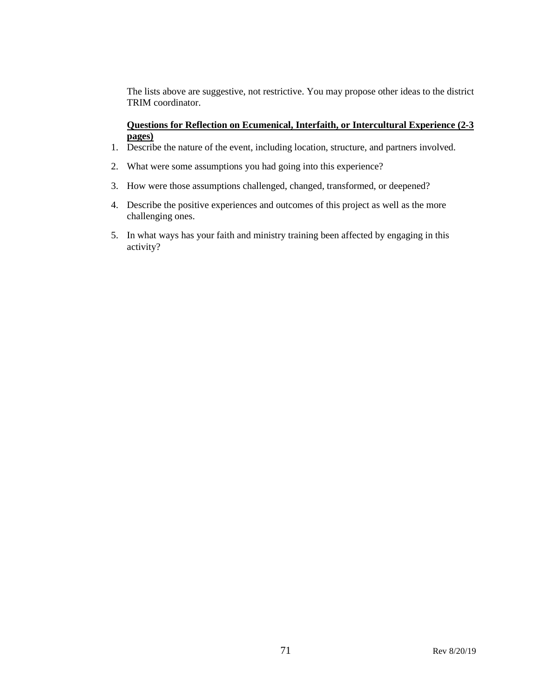The lists above are suggestive, not restrictive. You may propose other ideas to the district TRIM coordinator.

#### **Questions for Reflection on Ecumenical, Interfaith, or Intercultural Experience (2-3 pages)**

- 1. Describe the nature of the event, including location, structure, and partners involved.
- 2. What were some assumptions you had going into this experience?
- 3. How were those assumptions challenged, changed, transformed, or deepened?
- 4. Describe the positive experiences and outcomes of this project as well as the more challenging ones.
- 5. In what ways has your faith and ministry training been affected by engaging in this activity?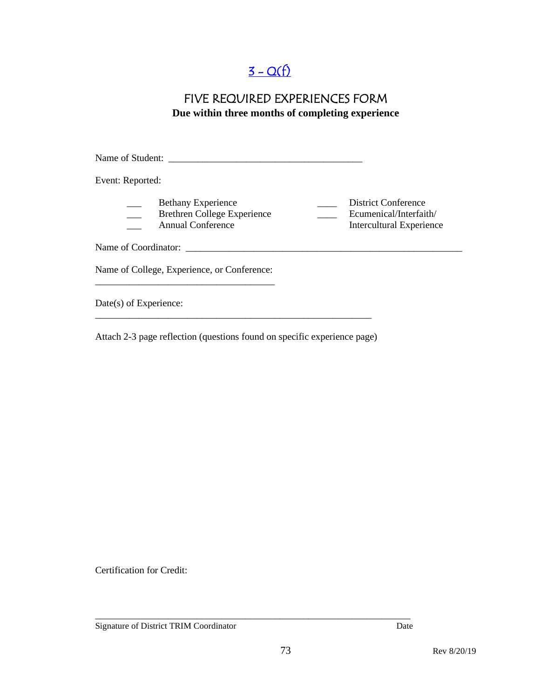# $3 - Q(f)$

### FIVE REQUIRED EXPERIENCES FORM **Due within three months of completing experience**

Name of Student: \_\_\_\_\_\_\_\_\_\_\_\_\_\_\_\_\_\_\_\_\_\_\_\_\_\_\_\_\_\_\_\_\_\_\_\_\_\_\_\_ Event: Reported: Bethany Experience<br>Brethren College Experience<br>Ecumenical/Interfaith/ \_\_\_ Brethren College Experience \_\_\_\_ Ecumenical/Interfaith/ \_\_\_ Annual Conference Intercultural Experience Name of Coordinator: \_\_\_\_\_\_\_\_\_\_\_\_\_\_\_\_\_\_\_\_\_\_\_\_\_\_\_\_\_\_\_\_\_\_\_\_\_\_\_\_\_\_\_\_\_\_\_\_\_\_\_\_\_\_\_\_\_ Name of College, Experience, or Conference: \_\_\_\_\_\_\_\_\_\_\_\_\_\_\_\_\_\_\_\_\_\_\_\_\_\_\_\_\_\_\_\_\_\_\_\_\_ Date(s) of Experience: \_\_\_\_\_\_\_\_\_\_\_\_\_\_\_\_\_\_\_\_\_\_\_\_\_\_\_\_\_\_\_\_\_\_\_\_\_\_\_\_\_\_\_\_\_\_\_\_\_\_\_\_\_\_\_\_\_

Attach 2-3 page reflection (questions found on specific experience page)

Certification for Credit:

Signature of District TRIM Coordinator Date

\_\_\_\_\_\_\_\_\_\_\_\_\_\_\_\_\_\_\_\_\_\_\_\_\_\_\_\_\_\_\_\_\_\_\_\_\_\_\_\_\_\_\_\_\_\_\_\_\_\_\_\_\_\_\_\_\_\_\_\_\_\_\_\_\_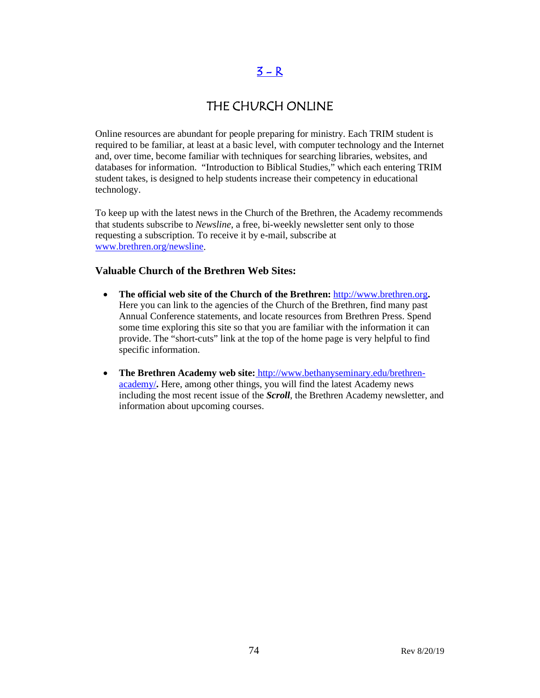### $3 - R$

### THE CHURCH ONLINE

Online resources are abundant for people preparing for ministry. Each TRIM student is required to be familiar, at least at a basic level, with computer technology and the Internet and, over time, become familiar with techniques for searching libraries, websites, and databases for information. "Introduction to Biblical Studies," which each entering TRIM student takes, is designed to help students increase their competency in educational technology.

To keep up with the latest news in the Church of the Brethren, the Academy recommends that students subscribe to *Newsline*, a free, bi-weekly newsletter sent only to those requesting a subscription. To receive it by e-mail, subscribe at [www.brethren.org/newsline.](http://www.brethren.org/newsline)

#### **Valuable Church of the Brethren Web Sites:**

- **The official web site of the Church of the Brethren:** [http://www.brethren.org](http://www.brethren.org/)**.** Here you can link to the agencies of the Church of the Brethren, find many past Annual Conference statements, and locate resources from Brethren Press. Spend some time exploring this site so that you are familiar with the information it can provide. The "short-cuts" link at the top of the home page is very helpful to find specific information.
- **The Brethren Academy web site:** [http://www.bethanyseminary.edu/brethren](http://www.bethanyseminary.edu/brethren-academy/)[academy/](http://www.bethanyseminary.edu/brethren-academy/)**.** Here, among other things, you will find the latest Academy news including the most recent issue of the *Scroll*, the Brethren Academy newsletter, and information about upcoming courses.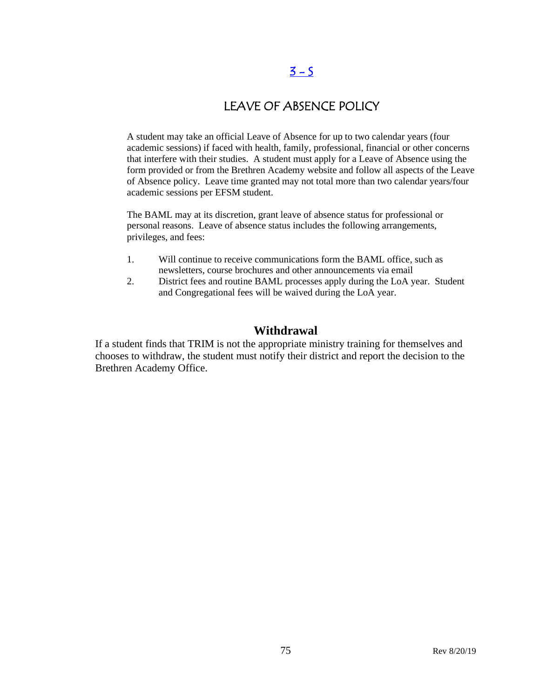## $3 - 5$

## LEAVE OF ABSENCE POLICY

A student may take an official Leave of Absence for up to two calendar years (four academic sessions) if faced with health, family, professional, financial or other concerns that interfere with their studies. A student must apply for a Leave of Absence using the form provided or from the Brethren Academy website and follow all aspects of the Leave of Absence policy. Leave time granted may not total more than two calendar years/four academic sessions per EFSM student.

The BAML may at its discretion, grant leave of absence status for professional or personal reasons. Leave of absence status includes the following arrangements, privileges, and fees:

- 1. Will continue to receive communications form the BAML office, such as newsletters, course brochures and other announcements via email
- 2. District fees and routine BAML processes apply during the LoA year. Student and Congregational fees will be waived during the LoA year.

### **Withdrawal**

If a student finds that TRIM is not the appropriate ministry training for themselves and chooses to withdraw, the student must notify their district and report the decision to the Brethren Academy Office.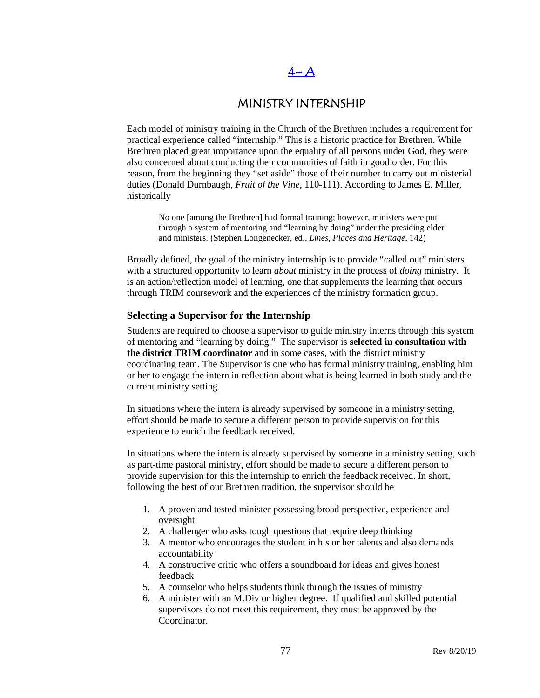# $4-A$

### MINISTRY INTERNSHIP

Each model of ministry training in the Church of the Brethren includes a requirement for practical experience called "internship." This is a historic practice for Brethren. While Brethren placed great importance upon the equality of all persons under God, they were also concerned about conducting their communities of faith in good order. For this reason, from the beginning they "set aside" those of their number to carry out ministerial duties (Donald Durnbaugh, *Fruit of the Vine*, 110-111). According to James E. Miller, historically

No one [among the Brethren] had formal training; however, ministers were put through a system of mentoring and "learning by doing" under the presiding elder and ministers. (Stephen Longenecker, ed., *Lines, Places and Heritage*, 142)

Broadly defined, the goal of the ministry internship is to provide "called out" ministers with a structured opportunity to learn *about* ministry in the process of *doing* ministry. It is an action/reflection model of learning, one that supplements the learning that occurs through TRIM coursework and the experiences of the ministry formation group.

#### **Selecting a Supervisor for the Internship**

Students are required to choose a supervisor to guide ministry interns through this system of mentoring and "learning by doing." The supervisor is **selected in consultation with the district TRIM coordinator** and in some cases, with the district ministry coordinating team. The Supervisor is one who has formal ministry training, enabling him or her to engage the intern in reflection about what is being learned in both study and the current ministry setting.

In situations where the intern is already supervised by someone in a ministry setting, effort should be made to secure a different person to provide supervision for this experience to enrich the feedback received.

In situations where the intern is already supervised by someone in a ministry setting, such as part-time pastoral ministry, effort should be made to secure a different person to provide supervision for this the internship to enrich the feedback received. In short, following the best of our Brethren tradition, the supervisor should be

- 1. A proven and tested minister possessing broad perspective, experience and oversight
- 2. A challenger who asks tough questions that require deep thinking
- 3. A mentor who encourages the student in his or her talents and also demands accountability
- 4. A constructive critic who offers a soundboard for ideas and gives honest feedback
- 5. A counselor who helps students think through the issues of ministry
- 6. A minister with an M.Div or higher degree. If qualified and skilled potential supervisors do not meet this requirement, they must be approved by the Coordinator.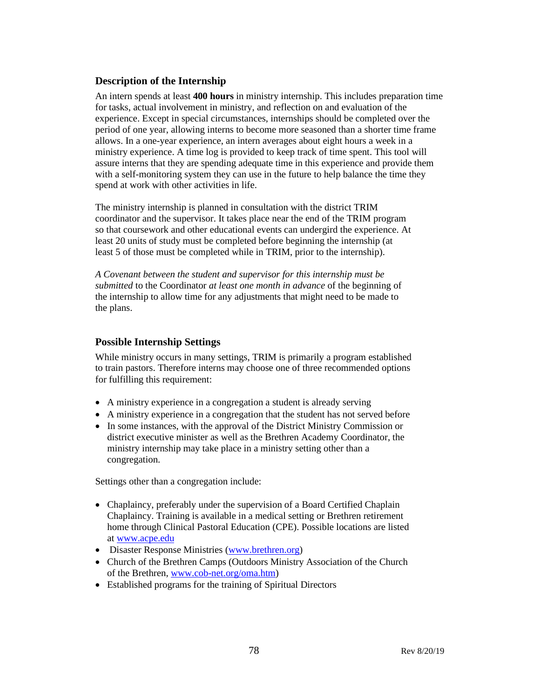#### **Description of the Internship**

An intern spends at least **400 hours** in ministry internship. This includes preparation time for tasks, actual involvement in ministry, and reflection on and evaluation of the experience. Except in special circumstances, internships should be completed over the period of one year, allowing interns to become more seasoned than a shorter time frame allows. In a one-year experience, an intern averages about eight hours a week in a ministry experience. A time log is provided to keep track of time spent. This tool will assure interns that they are spending adequate time in this experience and provide them with a self-monitoring system they can use in the future to help balance the time they spend at work with other activities in life.

The ministry internship is planned in consultation with the district TRIM coordinator and the supervisor. It takes place near the end of the TRIM program so that coursework and other educational events can undergird the experience. At least 20 units of study must be completed before beginning the internship (at least 5 of those must be completed while in TRIM, prior to the internship).

*A Covenant between the student and supervisor for this internship must be submitted* to the Coordinator *at least one month in advance* of the beginning of the internship to allow time for any adjustments that might need to be made to the plans.

#### **Possible Internship Settings**

While ministry occurs in many settings, TRIM is primarily a program established to train pastors. Therefore interns may choose one of three recommended options for fulfilling this requirement:

- A ministry experience in a congregation a student is already serving
- A ministry experience in a congregation that the student has not served before
- In some instances, with the approval of the District Ministry Commission or district executive minister as well as the Brethren Academy Coordinator, the ministry internship may take place in a ministry setting other than a congregation.

Settings other than a congregation include:

- Chaplaincy, preferably under the supervision of a Board Certified Chaplain Chaplaincy. Training is available in a medical setting or Brethren retirement home through Clinical Pastoral Education (CPE). Possible locations are listed at [www.acpe.edu](http://www.acpe.edu/)
- Disaster Response Ministries [\(www.brethren.org\)](http://www.brethren.org/)
- Church of the Brethren Camps (Outdoors Ministry Association of the Church of the Brethren[, www.cob-net.org/oma.htm\)](http://www.cob-net.org/oma.htm)
- Established programs for the training of Spiritual Directors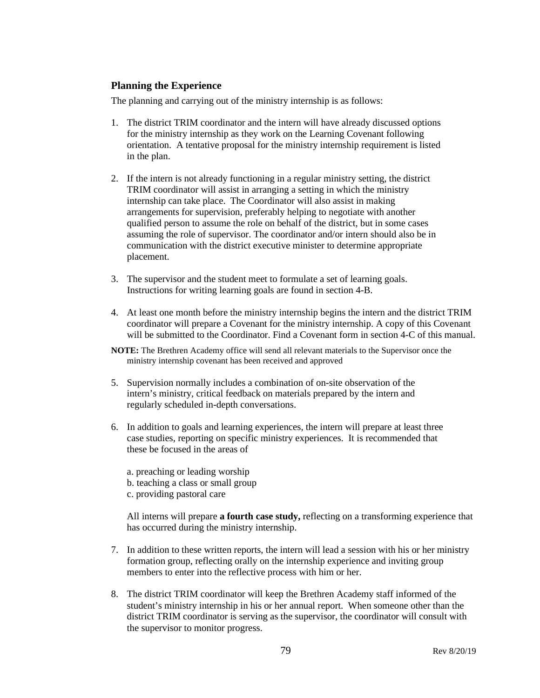#### **Planning the Experience**

The planning and carrying out of the ministry internship is as follows:

- 1. The district TRIM coordinator and the intern will have already discussed options for the ministry internship as they work on the Learning Covenant following orientation. A tentative proposal for the ministry internship requirement is listed in the plan.
- 2. If the intern is not already functioning in a regular ministry setting, the district TRIM coordinator will assist in arranging a setting in which the ministry internship can take place. The Coordinator will also assist in making arrangements for supervision, preferably helping to negotiate with another qualified person to assume the role on behalf of the district, but in some cases assuming the role of supervisor. The coordinator and/or intern should also be in communication with the district executive minister to determine appropriate placement.
- 3. The supervisor and the student meet to formulate a set of learning goals. Instructions for writing learning goals are found in section 4-B.
- 4. At least one month before the ministry internship begins the intern and the district TRIM coordinator will prepare a Covenant for the ministry internship. A copy of this Covenant will be submitted to the Coordinator. Find a Covenant form in section 4-C of this manual.
- **NOTE:** The Brethren Academy office will send all relevant materials to the Supervisor once the ministry internship covenant has been received and approved
- 5. Supervision normally includes a combination of on-site observation of the intern's ministry, critical feedback on materials prepared by the intern and regularly scheduled in-depth conversations.
- 6. In addition to goals and learning experiences, the intern will prepare at least three case studies, reporting on specific ministry experiences. It is recommended that these be focused in the areas of
	- a. preaching or leading worship b. teaching a class or small group
	- c. providing pastoral care

All interns will prepare **a fourth case study,** reflecting on a transforming experience that has occurred during the ministry internship.

- 7. In addition to these written reports, the intern will lead a session with his or her ministry formation group, reflecting orally on the internship experience and inviting group members to enter into the reflective process with him or her.
- 8. The district TRIM coordinator will keep the Brethren Academy staff informed of the student's ministry internship in his or her annual report. When someone other than the district TRIM coordinator is serving as the supervisor, the coordinator will consult with the supervisor to monitor progress.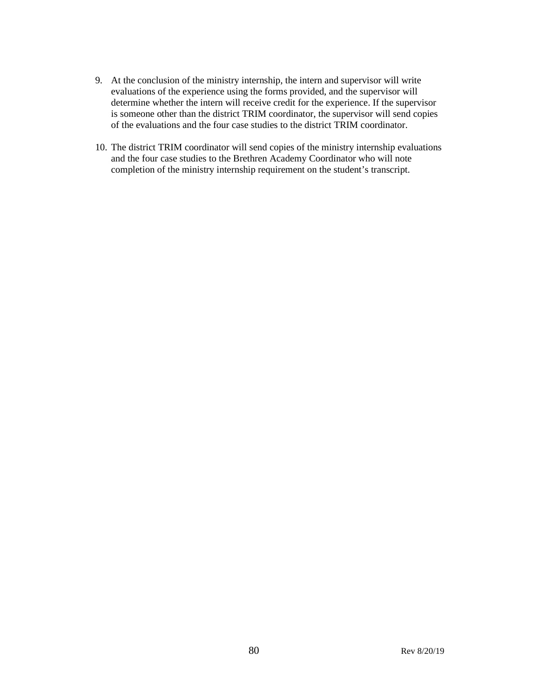- 9. At the conclusion of the ministry internship, the intern and supervisor will write evaluations of the experience using the forms provided, and the supervisor will determine whether the intern will receive credit for the experience. If the supervisor is someone other than the district TRIM coordinator, the supervisor will send copies of the evaluations and the four case studies to the district TRIM coordinator.
- 10. The district TRIM coordinator will send copies of the ministry internship evaluations and the four case studies to the Brethren Academy Coordinator who will note completion of the ministry internship requirement on the student's transcript.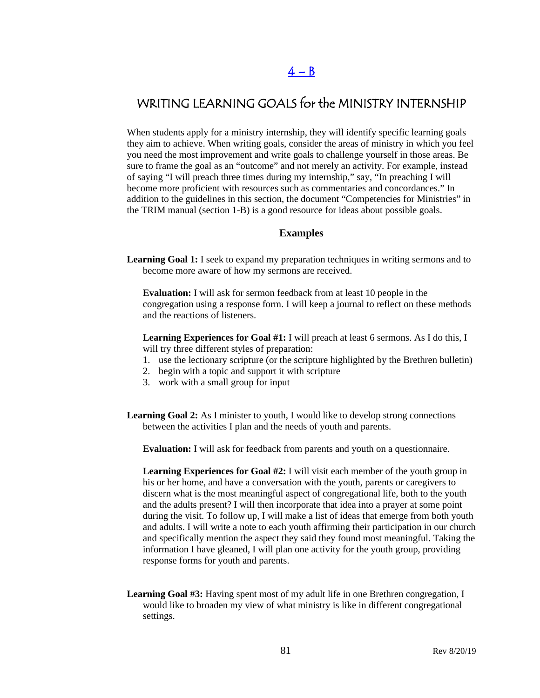## WRITING LEARNING GOALS for the MINISTRY INTERNSHIP

When students apply for a ministry internship, they will identify specific learning goals they aim to achieve. When writing goals, consider the areas of ministry in which you feel you need the most improvement and write goals to challenge yourself in those areas. Be sure to frame the goal as an "outcome" and not merely an activity. For example, instead of saying "I will preach three times during my internship," say, "In preaching I will become more proficient with resources such as commentaries and concordances." In addition to the guidelines in this section, the document "Competencies for Ministries" in the TRIM manual (section 1-B) is a good resource for ideas about possible goals.

#### **Examples**

**Learning Goal 1:** I seek to expand my preparation techniques in writing sermons and to become more aware of how my sermons are received.

**Evaluation:** I will ask for sermon feedback from at least 10 people in the congregation using a response form. I will keep a journal to reflect on these methods and the reactions of listeners.

**Learning Experiences for Goal #1:** I will preach at least 6 sermons. As I do this, I will try three different styles of preparation:

- 1. use the lectionary scripture (or the scripture highlighted by the Brethren bulletin)
- 2. begin with a topic and support it with scripture
- 3. work with a small group for input
- **Learning Goal 2:** As I minister to youth, I would like to develop strong connections between the activities I plan and the needs of youth and parents.

**Evaluation:** I will ask for feedback from parents and youth on a questionnaire.

**Learning Experiences for Goal #2:** I will visit each member of the youth group in his or her home, and have a conversation with the youth, parents or caregivers to discern what is the most meaningful aspect of congregational life, both to the youth and the adults present? I will then incorporate that idea into a prayer at some point during the visit. To follow up, I will make a list of ideas that emerge from both youth and adults. I will write a note to each youth affirming their participation in our church and specifically mention the aspect they said they found most meaningful. Taking the information I have gleaned, I will plan one activity for the youth group, providing response forms for youth and parents.

**Learning Goal #3:** Having spent most of my adult life in one Brethren congregation, I would like to broaden my view of what ministry is like in different congregational settings.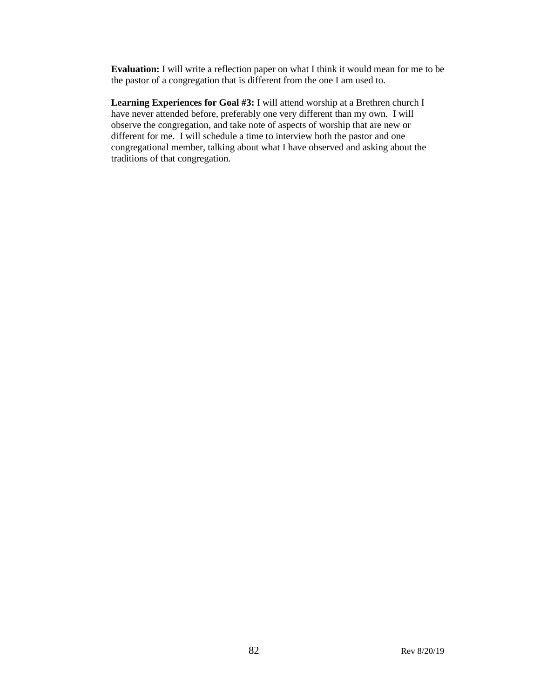**Evaluation:** I will write a reflection paper on what I think it would mean for me to be the pastor of a congregation that is different from the one I am used to.

**Learning Experiences for Goal #3:** I will attend worship at a Brethren church I have never attended before, preferably one very different than my own. I will observe the congregation, and take note of aspects of worship that are new or different for me. I will schedule a time to interview both the pastor and one congregational member, talking about what I have observed and asking about the traditions of that congregation.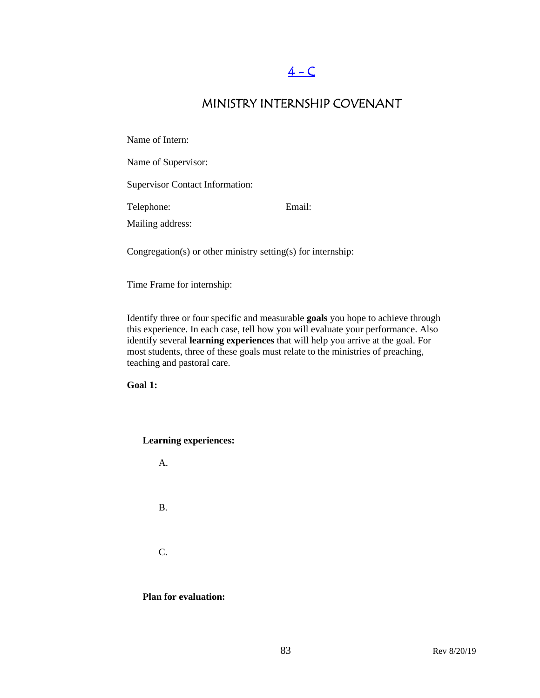# $4 - C$

## MINISTRY INTERNSHIP COVENANT

Name of Intern:

Name of Supervisor:

Supervisor Contact Information:

Telephone: Email:

Mailing address:

Congregation(s) or other ministry setting(s) for internship:

Time Frame for internship:

Identify three or four specific and measurable **goals** you hope to achieve through this experience. In each case, tell how you will evaluate your performance. Also identify several **learning experiences** that will help you arrive at the goal. For most students, three of these goals must relate to the ministries of preaching, teaching and pastoral care.

**Goal 1:**

**Learning experiences:** 

A.

B.

C.

**Plan for evaluation:**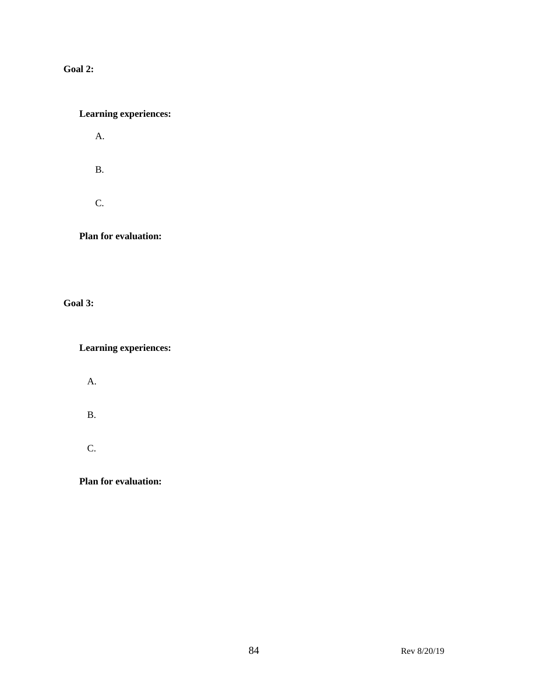**Goal 2:**

### **Learning experiences:**

A.

B.

C.

**Plan for evaluation:**

**Goal 3:**

**Learning experiences:**

A.

B.

C.

**Plan for evaluation:**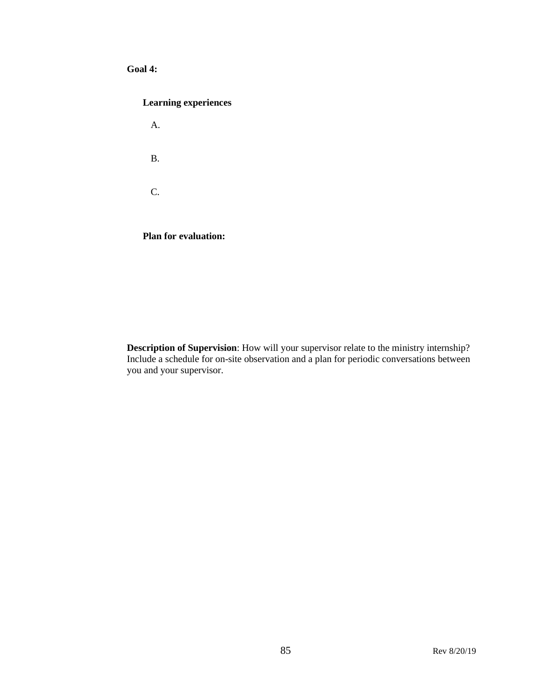#### **Goal 4:**

#### **Learning experiences**

A. B. C.

**Plan for evaluation:** 

**Description of Supervision**: How will your supervisor relate to the ministry internship? Include a schedule for on-site observation and a plan for periodic conversations between you and your supervisor.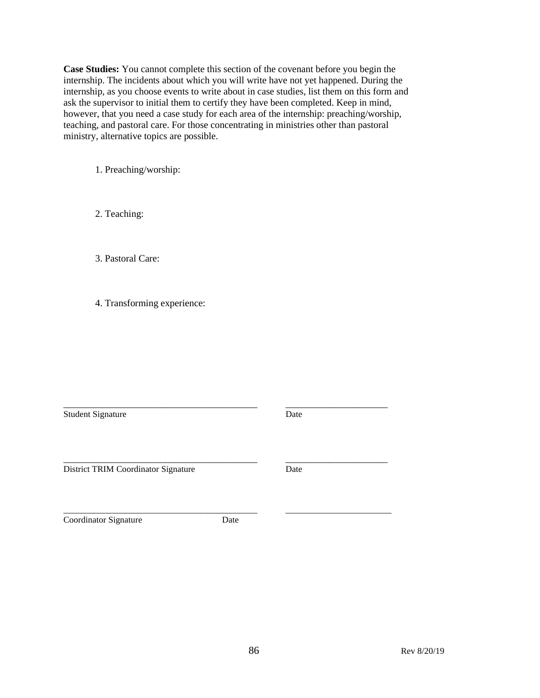**Case Studies:** You cannot complete this section of the covenant before you begin the internship. The incidents about which you will write have not yet happened. During the internship, as you choose events to write about in case studies, list them on this form and ask the supervisor to initial them to certify they have been completed. Keep in mind, however, that you need a case study for each area of the internship: preaching/worship, teaching, and pastoral care. For those concentrating in ministries other than pastoral ministry, alternative topics are possible.

1. Preaching/worship:

2. Teaching:

3. Pastoral Care:

4. Transforming experience:

\_\_\_\_\_\_\_\_\_\_\_\_\_\_\_\_\_\_\_\_\_\_\_\_\_\_\_\_\_\_\_\_\_\_\_\_\_\_\_\_ \_\_\_\_\_\_\_\_\_\_\_\_\_\_\_\_\_\_\_\_\_ Student Signature Date

District TRIM Coordinator Signature Date

Coordinator Signature Date

\_\_\_\_\_\_\_\_\_\_\_\_\_\_\_\_\_\_\_\_\_\_\_\_\_\_\_\_\_\_\_\_\_\_\_\_\_\_\_\_\_\_\_\_ \_\_\_\_\_\_\_\_\_\_\_\_\_\_\_\_\_\_\_\_\_\_\_\_

\_\_\_\_\_\_\_\_\_\_\_\_\_\_\_\_\_\_\_\_\_\_\_\_\_\_\_\_\_\_\_\_\_\_\_\_\_\_\_\_ \_\_\_\_\_\_\_\_\_\_\_\_\_\_\_\_\_\_\_\_\_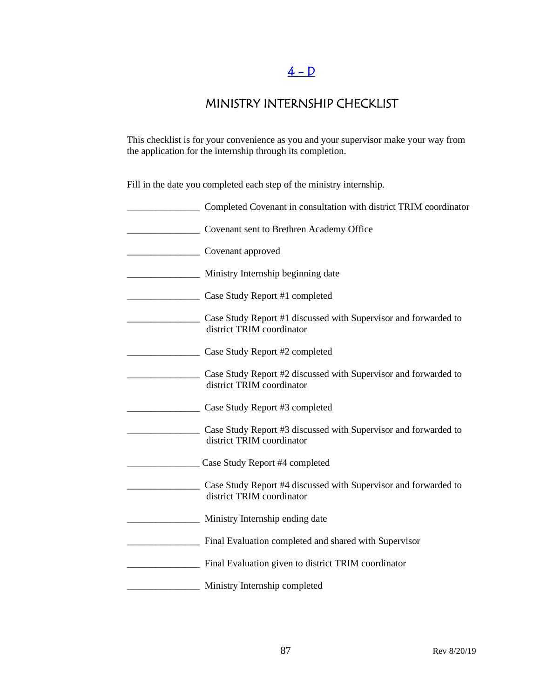# $4 - D$

## MINISTRY INTERNSHIP CHECKLIST

This checklist is for your convenience as you and your supervisor make your way from the application for the internship through its completion.

Fill in the date you completed each step of the ministry internship.

| Completed Covenant in consultation with district TRIM coordinator                            |
|----------------------------------------------------------------------------------------------|
| Covenant sent to Brethren Academy Office                                                     |
| Covenant approved                                                                            |
| Ministry Internship beginning date                                                           |
| Case Study Report #1 completed                                                               |
| Case Study Report #1 discussed with Supervisor and forwarded to<br>district TRIM coordinator |
| Case Study Report #2 completed                                                               |
| Case Study Report #2 discussed with Supervisor and forwarded to<br>district TRIM coordinator |
| Case Study Report #3 completed                                                               |
| Case Study Report #3 discussed with Supervisor and forwarded to<br>district TRIM coordinator |
| Case Study Report #4 completed                                                               |
| Case Study Report #4 discussed with Supervisor and forwarded to<br>district TRIM coordinator |
| Ministry Internship ending date                                                              |
| Final Evaluation completed and shared with Supervisor                                        |
| Final Evaluation given to district TRIM coordinator                                          |
| Ministry Internship completed                                                                |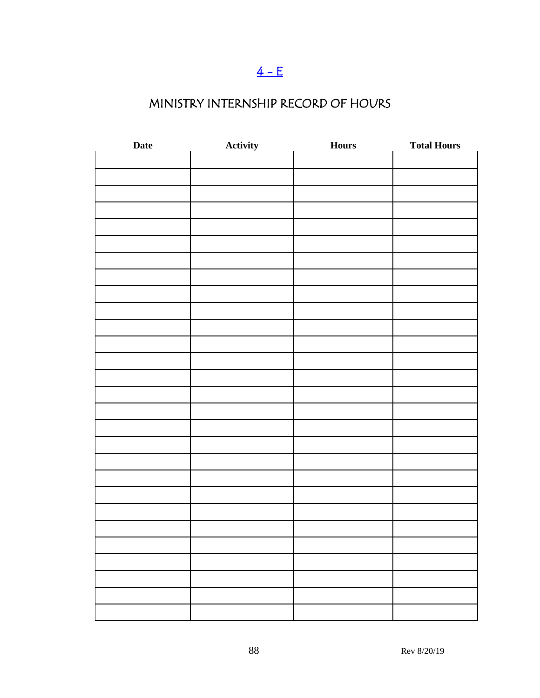# $4 - E$

# MINISTRY INTERNSHIP RECORD OF HOURS

| Date | <b>Activity</b> | <b>Hours</b> | <b>Total Hours</b> |
|------|-----------------|--------------|--------------------|
|      |                 |              |                    |
|      |                 |              |                    |
|      |                 |              |                    |
|      |                 |              |                    |
|      |                 |              |                    |
|      |                 |              |                    |
|      |                 |              |                    |
|      |                 |              |                    |
|      |                 |              |                    |
|      |                 |              |                    |
|      |                 |              |                    |
|      |                 |              |                    |
|      |                 |              |                    |
|      |                 |              |                    |
|      |                 |              |                    |
|      |                 |              |                    |
|      |                 |              |                    |
|      |                 |              |                    |
|      |                 |              |                    |
|      |                 |              |                    |
|      |                 |              |                    |
|      |                 |              |                    |
|      |                 |              |                    |
|      |                 |              |                    |
|      |                 |              |                    |
|      |                 |              |                    |
|      |                 |              |                    |
|      |                 |              |                    |
|      |                 |              |                    |
|      |                 |              |                    |
|      |                 |              |                    |
|      |                 |              |                    |
|      |                 |              |                    |
|      |                 |              |                    |
|      |                 |              |                    |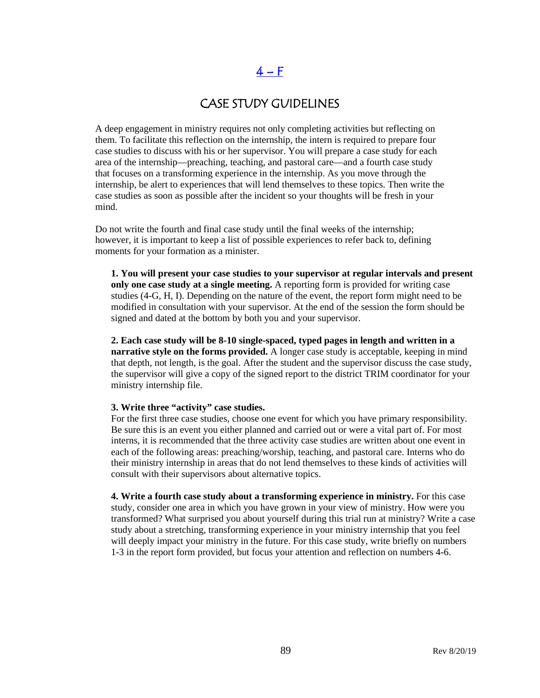# $4-F$

### CASE STUDY GUIDELINES

A deep engagement in ministry requires not only completing activities but reflecting on them. To facilitate this reflection on the internship, the intern is required to prepare four case studies to discuss with his or her supervisor. You will prepare a case study for each area of the internship—preaching, teaching, and pastoral care—and a fourth case study that focuses on a transforming experience in the internship. As you move through the internship, be alert to experiences that will lend themselves to these topics. Then write the case studies as soon as possible after the incident so your thoughts will be fresh in your mind.

Do not write the fourth and final case study until the final weeks of the internship; however, it is important to keep a list of possible experiences to refer back to, defining moments for your formation as a minister.

**1. You will present your case studies to your supervisor at regular intervals and present only one case study at a single meeting.** A reporting form is provided for writing case studies (4-G, H, I). Depending on the nature of the event, the report form might need to be modified in consultation with your supervisor. At the end of the session the form should be signed and dated at the bottom by both you and your supervisor.

**2. Each case study will be 8-10 single-spaced, typed pages in length and written in a narrative style on the forms provided.** A longer case study is acceptable, keeping in mind that depth, not length, is the goal. After the student and the supervisor discuss the case study, the supervisor will give a copy of the signed report to the district TRIM coordinator for your ministry internship file.

#### **3. Write three "activity" case studies.**

For the first three case studies, choose one event for which you have primary responsibility. Be sure this is an event you either planned and carried out or were a vital part of. For most interns, it is recommended that the three activity case studies are written about one event in each of the following areas: preaching/worship, teaching, and pastoral care. Interns who do their ministry internship in areas that do not lend themselves to these kinds of activities will consult with their supervisors about alternative topics.

**4. Write a fourth case study about a transforming experience in ministry.** For this case study, consider one area in which you have grown in your view of ministry. How were you transformed? What surprised you about yourself during this trial run at ministry? Write a case study about a stretching, transforming experience in your ministry internship that you feel will deeply impact your ministry in the future. For this case study, write briefly on numbers 1-3 in the report form provided, but focus your attention and reflection on numbers 4-6.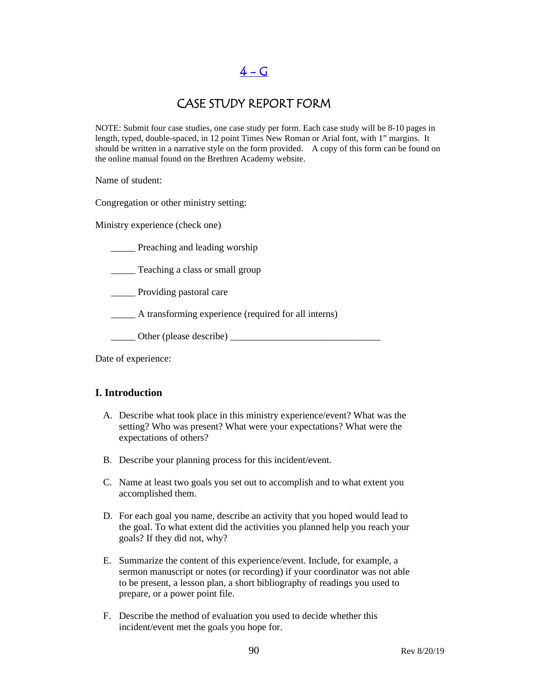$4 - G$ 

### CASE STUDY REPORT FORM

NOTE: Submit four case studies, one case study per form. Each case study will be 8-10 pages in length, typed, double-spaced, in 12 point Times New Roman or Arial font, with 1" margins. It should be written in a narrative style on the form provided. A copy of this form can be found on the online manual found on the Brethren Academy website.

Name of student:

Congregation or other ministry setting:

Ministry experience (check one)

**\_\_\_\_\_** Preaching and leading worship

\_\_\_\_\_ Teaching a class or small group

\_\_\_\_\_ Providing pastoral care

\_\_\_\_\_ A transforming experience (required for all interns)

\_\_\_\_\_ Other (please describe) \_\_\_\_\_\_\_\_\_\_\_\_\_\_\_\_\_\_\_\_\_\_\_\_\_\_\_\_\_\_\_

Date of experience:

#### **I. Introduction**

- A. Describe what took place in this ministry experience/event? What was the setting? Who was present? What were your expectations? What were the expectations of others?
- B. Describe your planning process for this incident/event.
- C. Name at least two goals you set out to accomplish and to what extent you accomplished them.
- D. For each goal you name, describe an activity that you hoped would lead to the goal. To what extent did the activities you planned help you reach your goals? If they did not, why?
- E. Summarize the content of this experience/event. Include, for example, a sermon manuscript or notes (or recording) if your coordinator was not able to be present, a lesson plan, a short bibliography of readings you used to prepare, or a power point file.
- F. Describe the method of evaluation you used to decide whether this incident/event met the goals you hope for.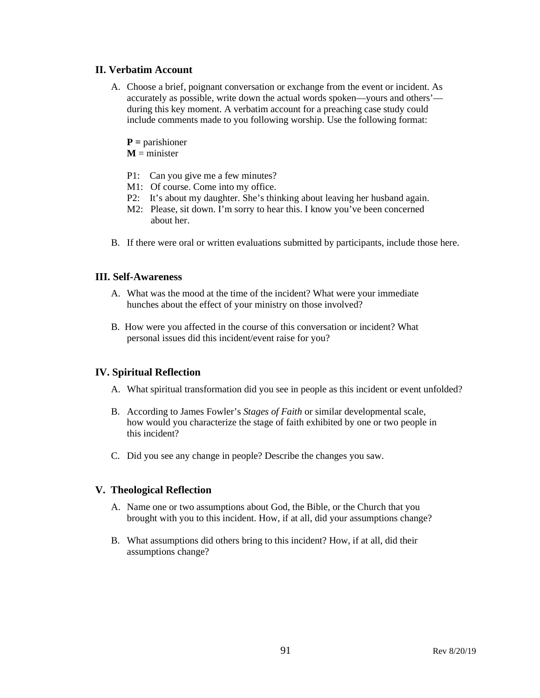#### **II. Verbatim Account**

- A. Choose a brief, poignant conversation or exchange from the event or incident. As accurately as possible, write down the actual words spoken—yours and others' during this key moment. A verbatim account for a preaching case study could include comments made to you following worship. Use the following format:
	- **P =** parishioner
	- $M =$  minister
	- P1: Can you give me a few minutes?
	- M1: Of course. Come into my office.
	- P2: It's about my daughter. She's thinking about leaving her husband again.
	- M2: Please, sit down. I'm sorry to hear this. I know you've been concerned about her.
- B. If there were oral or written evaluations submitted by participants, include those here.

#### **III. Self-Awareness**

- A. What was the mood at the time of the incident? What were your immediate hunches about the effect of your ministry on those involved?
- B. How were you affected in the course of this conversation or incident? What personal issues did this incident/event raise for you?

#### **IV. Spiritual Reflection**

- A. What spiritual transformation did you see in people as this incident or event unfolded?
- B. According to James Fowler's *Stages of Faith* or similar developmental scale, how would you characterize the stage of faith exhibited by one or two people in this incident?
- C. Did you see any change in people? Describe the changes you saw.

#### **V. Theological Reflection**

- A. Name one or two assumptions about God, the Bible, or the Church that you brought with you to this incident. How, if at all, did your assumptions change?
- B. What assumptions did others bring to this incident? How, if at all, did their assumptions change?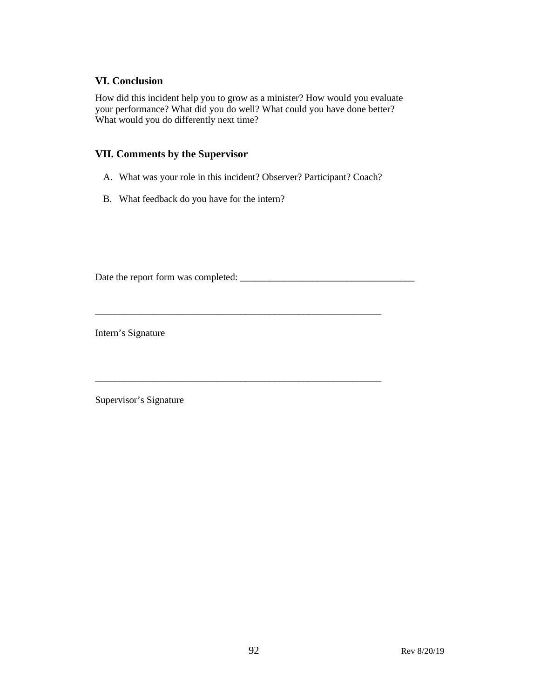#### **VI. Conclusion**

How did this incident help you to grow as a minister? How would you evaluate your performance? What did you do well? What could you have done better? What would you do differently next time?

#### **VII. Comments by the Supervisor**

A. What was your role in this incident? Observer? Participant? Coach?

\_\_\_\_\_\_\_\_\_\_\_\_\_\_\_\_\_\_\_\_\_\_\_\_\_\_\_\_\_\_\_\_\_\_\_\_\_\_\_\_\_\_\_\_\_\_\_\_\_\_\_\_\_\_\_\_\_\_\_

\_\_\_\_\_\_\_\_\_\_\_\_\_\_\_\_\_\_\_\_\_\_\_\_\_\_\_\_\_\_\_\_\_\_\_\_\_\_\_\_\_\_\_\_\_\_\_\_\_\_\_\_\_\_\_\_\_\_\_

B. What feedback do you have for the intern?

Date the report form was completed: \_\_\_\_\_\_\_\_\_\_\_\_\_\_\_\_\_\_\_\_\_\_\_\_\_\_\_\_\_\_\_\_\_\_\_\_

Intern's Signature

Supervisor's Signature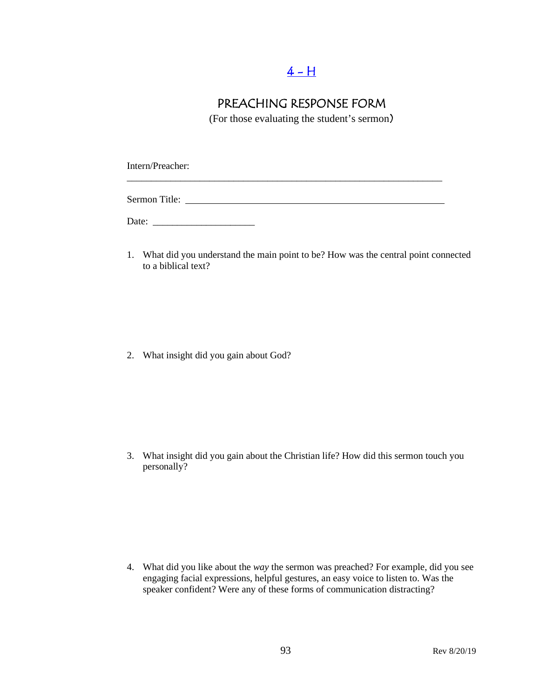## $4 - H$

## PREACHING RESPONSE FORM

(For those evaluating the student's sermon)

\_\_\_\_\_\_\_\_\_\_\_\_\_\_\_\_\_\_\_\_\_\_\_\_\_\_\_\_\_\_\_\_\_\_\_\_\_\_\_\_\_\_\_\_\_\_\_\_\_\_\_\_\_\_\_\_\_\_\_\_\_\_\_\_\_

Intern/Preacher:

Sermon Title:

Date: \_\_\_\_\_\_\_\_\_\_\_\_\_\_\_\_\_\_\_\_\_

1. What did you understand the main point to be? How was the central point connected to a biblical text?

2. What insight did you gain about God?

3. What insight did you gain about the Christian life? How did this sermon touch you personally?

4. What did you like about the *way* the sermon was preached? For example, did you see engaging facial expressions, helpful gestures, an easy voice to listen to. Was the speaker confident? Were any of these forms of communication distracting?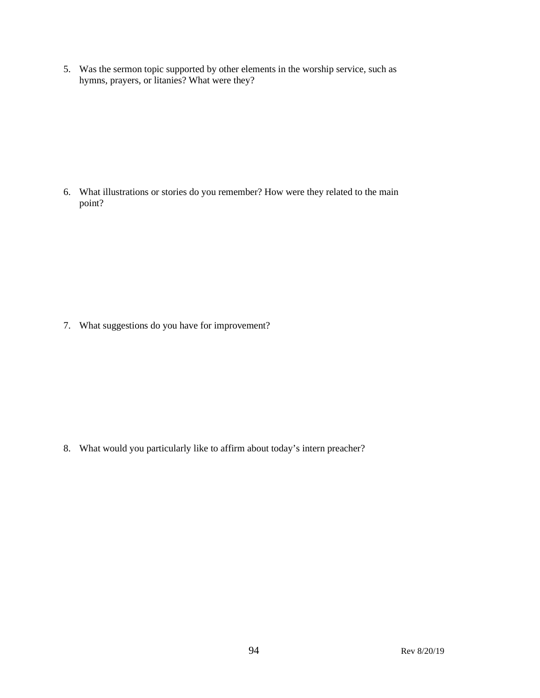5. Was the sermon topic supported by other elements in the worship service, such as hymns, prayers, or litanies? What were they?

6. What illustrations or stories do you remember? How were they related to the main point?

7. What suggestions do you have for improvement?

8. What would you particularly like to affirm about today's intern preacher?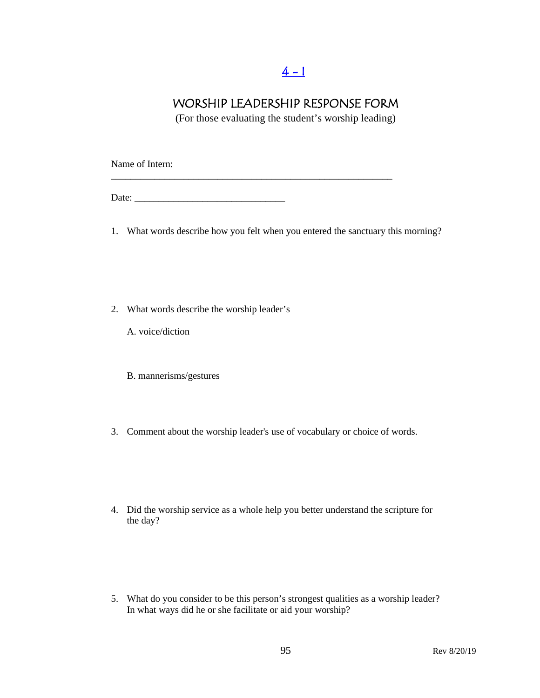## $4 - 1$

### WORSHIP LEADERSHIP RESPONSE FORM

(For those evaluating the student's worship leading)

Name of Intern:

Date: \_\_\_\_\_\_\_\_\_\_\_\_\_\_\_\_\_\_\_\_\_\_\_\_\_\_\_\_\_\_\_

1. What words describe how you felt when you entered the sanctuary this morning?

\_\_\_\_\_\_\_\_\_\_\_\_\_\_\_\_\_\_\_\_\_\_\_\_\_\_\_\_\_\_\_\_\_\_\_\_\_\_\_\_\_\_\_\_\_\_\_\_\_\_\_\_\_\_\_\_\_\_

- 2. What words describe the worship leader's
	- A. voice/diction
	- B. mannerisms/gestures
- 3. Comment about the worship leader's use of vocabulary or choice of words.
- 4. Did the worship service as a whole help you better understand the scripture for the day?
- 5. What do you consider to be this person's strongest qualities as a worship leader? In what ways did he or she facilitate or aid your worship?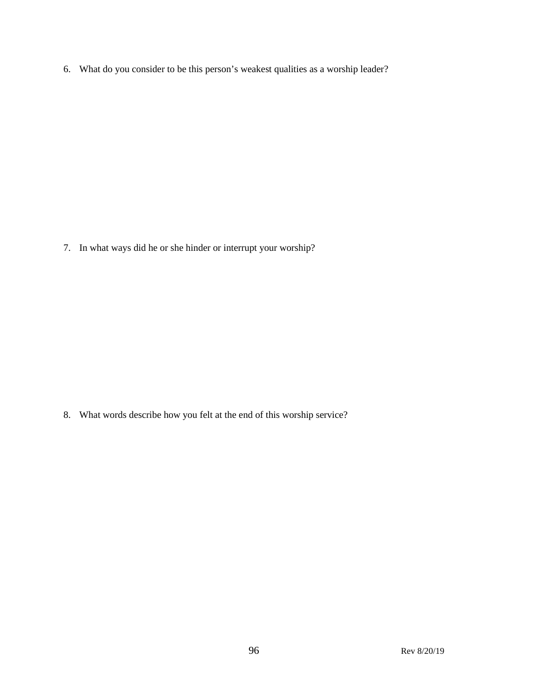6. What do you consider to be this person's weakest qualities as a worship leader?

7. In what ways did he or she hinder or interrupt your worship?

8. What words describe how you felt at the end of this worship service?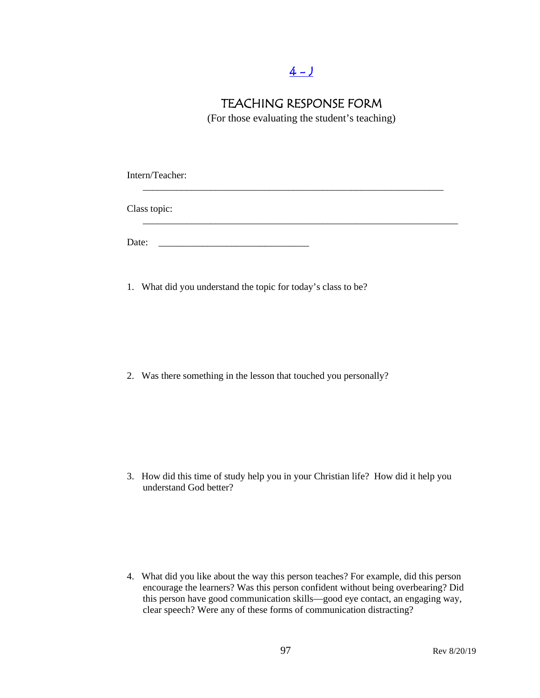## $4 - J$

### TEACHING RESPONSE FORM

(For those evaluating the student's teaching)

Intern/Teacher: \_\_\_\_\_\_\_\_\_\_\_\_\_\_\_\_\_\_\_\_\_\_\_\_\_\_\_\_\_\_\_\_\_\_\_\_\_\_\_\_\_\_\_\_\_\_\_\_\_\_\_\_\_\_\_\_\_\_\_\_\_\_ Class topic: \_\_\_\_\_\_\_\_\_\_\_\_\_\_\_\_\_\_\_\_\_\_\_\_\_\_\_\_\_\_\_\_\_\_\_\_\_\_\_\_\_\_\_\_\_\_\_\_\_\_\_\_\_\_\_\_\_\_\_\_\_\_\_\_\_ Date: \_\_\_\_\_\_\_\_\_\_\_\_\_\_\_\_\_\_\_\_\_\_\_\_\_\_\_\_\_\_\_

1. What did you understand the topic for today's class to be?

2. Was there something in the lesson that touched you personally?

3. How did this time of study help you in your Christian life? How did it help you understand God better?

4. What did you like about the way this person teaches? For example, did this person encourage the learners? Was this person confident without being overbearing? Did this person have good communication skills—good eye contact, an engaging way, clear speech? Were any of these forms of communication distracting?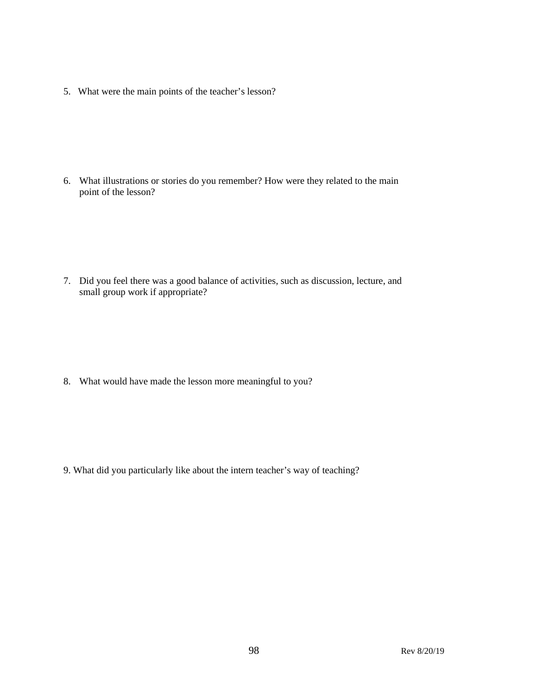5. What were the main points of the teacher's lesson?

6. What illustrations or stories do you remember? How were they related to the main point of the lesson?

7. Did you feel there was a good balance of activities, such as discussion, lecture, and small group work if appropriate?

8. What would have made the lesson more meaningful to you?

9. What did you particularly like about the intern teacher's way of teaching?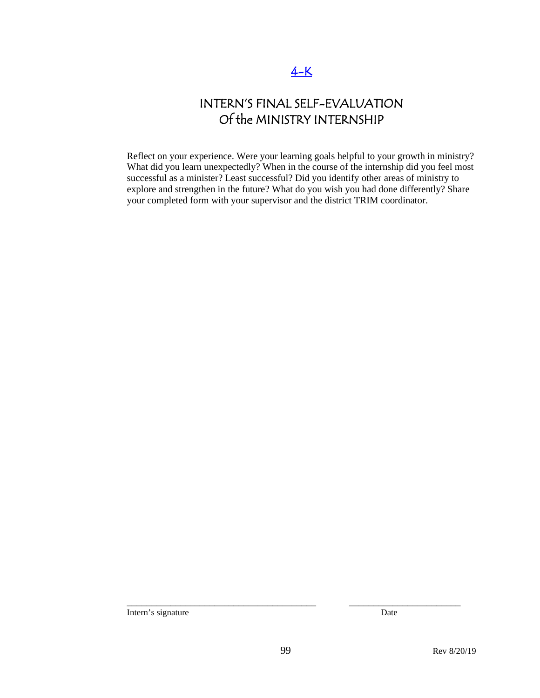# INTERN'S FINAL SELF-EVALUATION Of the MINISTRY INTERNSHIP

Reflect on your experience. Were your learning goals helpful to your growth in ministry? What did you learn unexpectedly? When in the course of the internship did you feel most successful as a minister? Least successful? Did you identify other areas of ministry to explore and strengthen in the future? What do you wish you had done differently? Share your completed form with your supervisor and the district TRIM coordinator.

Intern's signature Date

\_\_\_\_\_\_\_\_\_\_\_\_\_\_\_\_\_\_\_\_\_\_\_\_\_\_\_\_\_\_\_\_\_\_\_\_\_\_\_ \_\_\_\_\_\_\_\_\_\_\_\_\_\_\_\_\_\_\_\_\_\_\_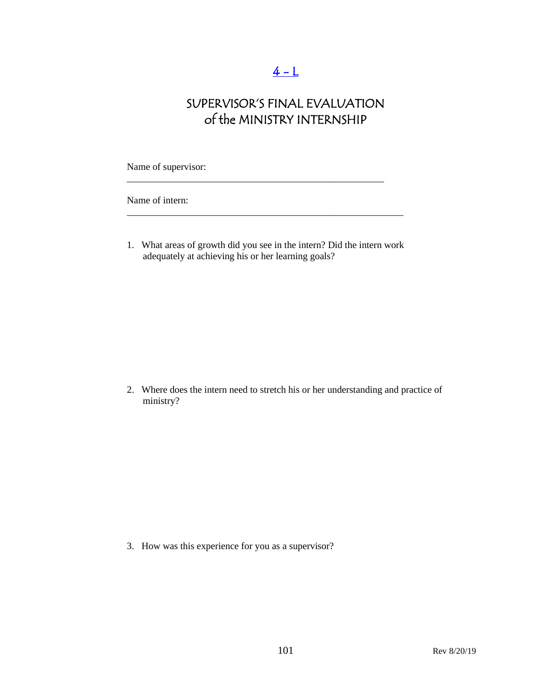# $4 - L$

# SUPERVISOR'S FINAL EVALUATION of the MINISTRY INTERNSHIP

Name of supervisor:

Name of intern:

1. What areas of growth did you see in the intern? Did the intern work adequately at achieving his or her learning goals?

\_\_\_\_\_\_\_\_\_\_\_\_\_\_\_\_\_\_\_\_\_\_\_\_\_\_\_\_\_\_\_\_\_\_\_\_\_\_\_\_\_\_\_\_\_\_\_\_\_\_\_\_\_\_\_\_\_

\_\_\_\_\_\_\_\_\_\_\_\_\_\_\_\_\_\_\_\_\_\_\_\_\_\_\_\_\_\_\_\_\_\_\_\_\_\_\_\_\_\_\_\_\_\_\_\_\_\_\_\_\_

2. Where does the intern need to stretch his or her understanding and practice of ministry?

3. How was this experience for you as a supervisor?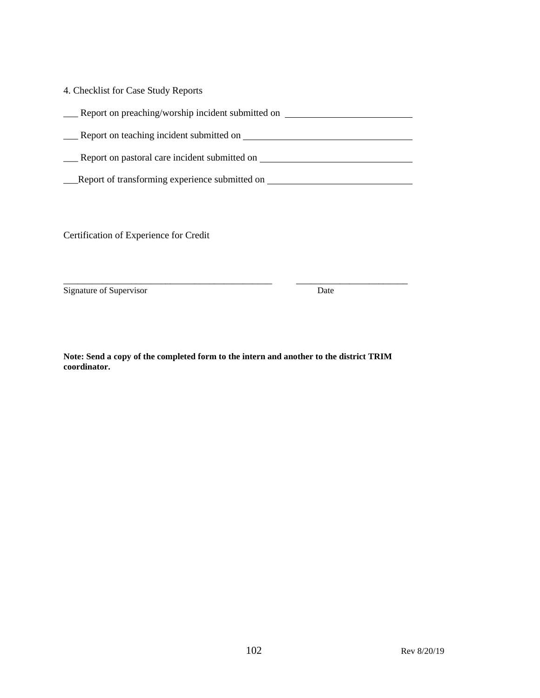| 4. Checklist for Case Study Reports               |
|---------------------------------------------------|
| Report on preaching/worship incident submitted on |
| Report on teaching incident submitted on          |
| Report on pastoral care incident submitted on     |
| Report of transforming experience submitted on    |

Certification of Experience for Credit

Signature of Supervisor Date

**Note: Send a copy of the completed form to the intern and another to the district TRIM coordinator.** 

\_\_\_\_\_\_\_\_\_\_\_\_\_\_\_\_\_\_\_\_\_\_\_\_\_\_\_\_\_\_\_\_\_\_\_\_\_\_\_\_\_\_\_ \_\_\_\_\_\_\_\_\_\_\_\_\_\_\_\_\_\_\_\_\_\_\_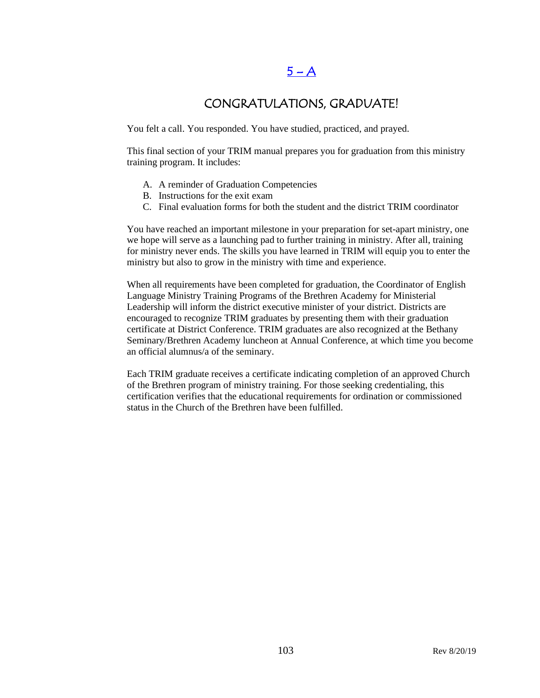## $5 - A$

### CONGRATULATIONS, GRADUATE!

You felt a call. You responded. You have studied, practiced, and prayed.

This final section of your TRIM manual prepares you for graduation from this ministry training program. It includes:

- A. A reminder of Graduation Competencies
- B. Instructions for the exit exam
- C. Final evaluation forms for both the student and the district TRIM coordinator

You have reached an important milestone in your preparation for set-apart ministry, one we hope will serve as a launching pad to further training in ministry. After all, training for ministry never ends. The skills you have learned in TRIM will equip you to enter the ministry but also to grow in the ministry with time and experience.

When all requirements have been completed for graduation, the Coordinator of English Language Ministry Training Programs of the Brethren Academy for Ministerial Leadership will inform the district executive minister of your district. Districts are encouraged to recognize TRIM graduates by presenting them with their graduation certificate at District Conference. TRIM graduates are also recognized at the Bethany Seminary/Brethren Academy luncheon at Annual Conference, at which time you become an official alumnus/a of the seminary.

Each TRIM graduate receives a certificate indicating completion of an approved Church of the Brethren program of ministry training. For those seeking credentialing, this certification verifies that the educational requirements for ordination or commissioned status in the Church of the Brethren have been fulfilled.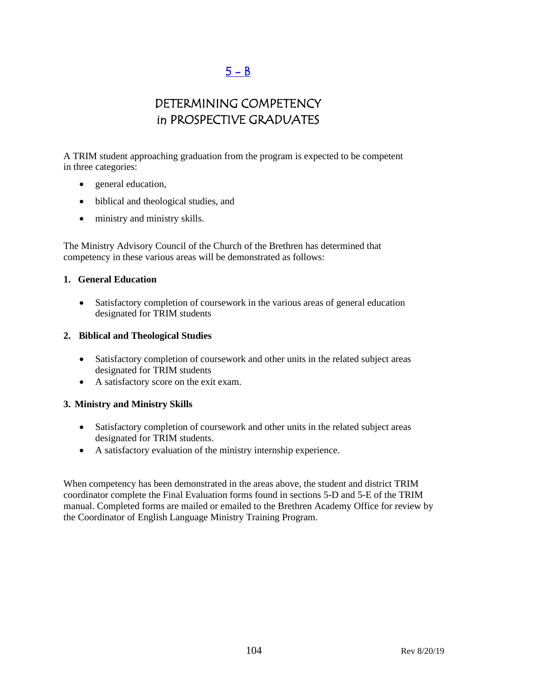## $5 - B$

## DETERMINING COMPETENCY in PROSPECTIVE GRADUATES

A TRIM student approaching graduation from the program is expected to be competent in three categories:

- general education,
- biblical and theological studies, and
- ministry and ministry skills.

The Ministry Advisory Council of the Church of the Brethren has determined that competency in these various areas will be demonstrated as follows:

#### **1. General Education**

• Satisfactory completion of coursework in the various areas of general education designated for TRIM students

#### **2. Biblical and Theological Studies**

- Satisfactory completion of coursework and other units in the related subject areas designated for TRIM students
- A satisfactory score on the exit exam.

#### **3. Ministry and Ministry Skills**

- Satisfactory completion of coursework and other units in the related subject areas designated for TRIM students.
- A satisfactory evaluation of the ministry internship experience.

When competency has been demonstrated in the areas above, the student and district TRIM coordinator complete the Final Evaluation forms found in sections 5-D and 5-E of the TRIM manual. Completed forms are mailed or emailed to the Brethren Academy Office for review by the Coordinator of English Language Ministry Training Program.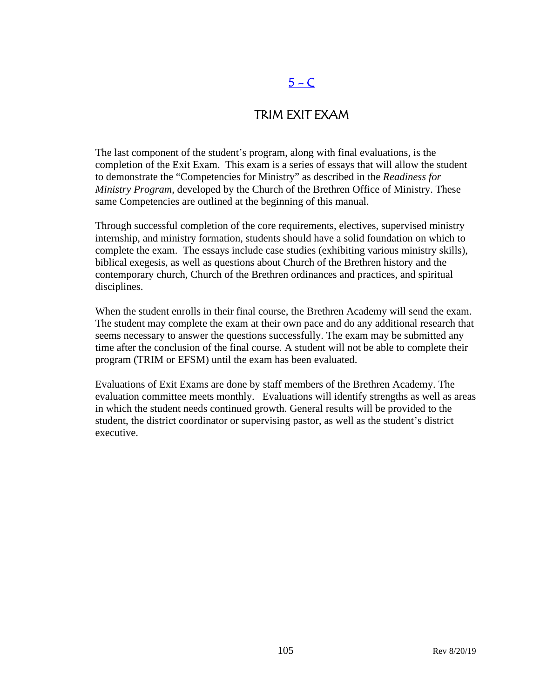# $5 - C$

### TRIM EXIT EXAM

The last component of the student's program, along with final evaluations, is the completion of the Exit Exam. This exam is a series of essays that will allow the student to demonstrate the "Competencies for Ministry" as described in the *Readiness for Ministry Program*, developed by the Church of the Brethren Office of Ministry. These same Competencies are outlined at the beginning of this manual.

Through successful completion of the core requirements, electives, supervised ministry internship, and ministry formation, students should have a solid foundation on which to complete the exam. The essays include case studies (exhibiting various ministry skills), biblical exegesis, as well as questions about Church of the Brethren history and the contemporary church, Church of the Brethren ordinances and practices, and spiritual disciplines.

When the student enrolls in their final course, the Brethren Academy will send the exam. The student may complete the exam at their own pace and do any additional research that seems necessary to answer the questions successfully. The exam may be submitted any time after the conclusion of the final course. A student will not be able to complete their program (TRIM or EFSM) until the exam has been evaluated.

Evaluations of Exit Exams are done by staff members of the Brethren Academy. The evaluation committee meets monthly. Evaluations will identify strengths as well as areas in which the student needs continued growth. General results will be provided to the student, the district coordinator or supervising pastor, as well as the student's district executive.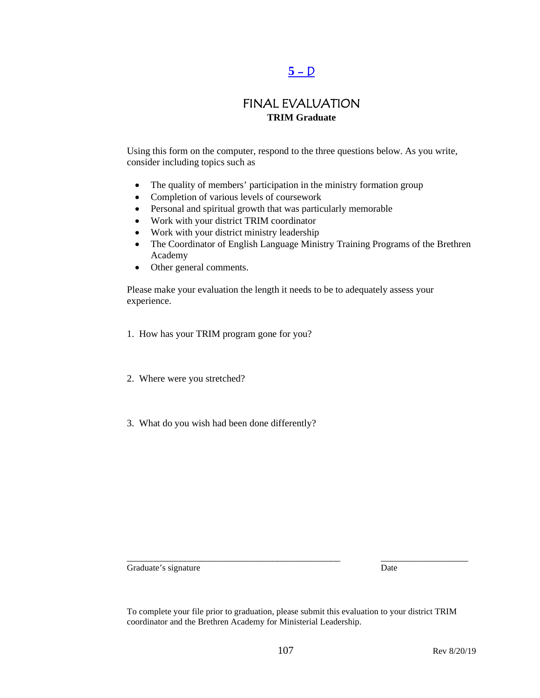# $5 - D$

### FINAL EVALUATION **TRIM Graduate**

Using this form on the computer, respond to the three questions below. As you write, consider including topics such as

- The quality of members' participation in the ministry formation group
- Completion of various levels of coursework
- Personal and spiritual growth that was particularly memorable
- Work with your district TRIM coordinator
- Work with your district ministry leadership
- The Coordinator of English Language Ministry Training Programs of the Brethren Academy
- Other general comments.

Please make your evaluation the length it needs to be to adequately assess your experience.

- 1. How has your TRIM program gone for you?
- 2. Where were you stretched?
- 3. What do you wish had been done differently?

Graduate's signature Date

To complete your file prior to graduation, please submit this evaluation to your district TRIM coordinator and the Brethren Academy for Ministerial Leadership.

\_\_\_\_\_\_\_\_\_\_\_\_\_\_\_\_\_\_\_\_\_\_\_\_\_\_\_\_\_\_\_\_\_\_\_\_\_\_\_\_\_\_\_\_ \_\_\_\_\_\_\_\_\_\_\_\_\_\_\_\_\_\_